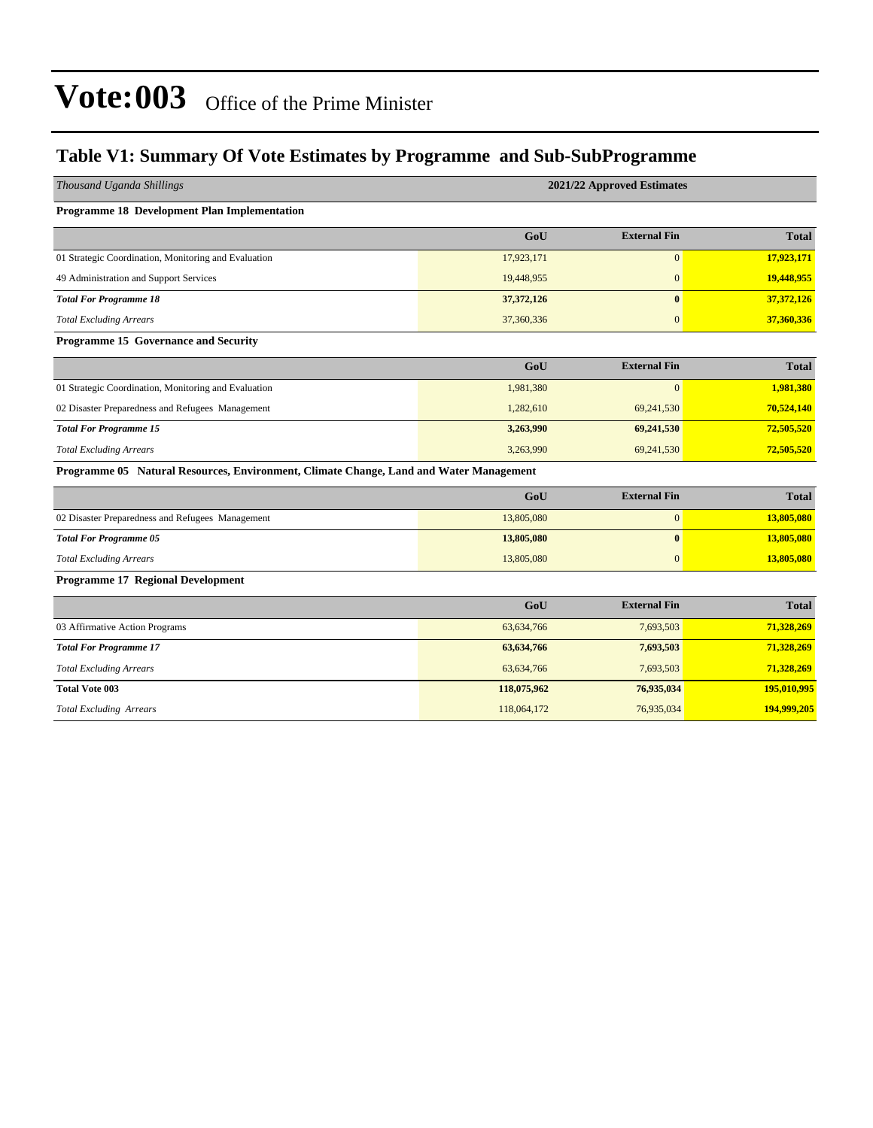#### **Table V1: Summary Of Vote Estimates by Programme and Sub-SubProgramme**

| Thousand Uganda Shillings                                                              |              | 2021/22 Approved Estimates |              |
|----------------------------------------------------------------------------------------|--------------|----------------------------|--------------|
| Programme 18 Development Plan Implementation                                           |              |                            |              |
|                                                                                        | GoU          | <b>External Fin</b>        | <b>Total</b> |
| 01 Strategic Coordination, Monitoring and Evaluation                                   | 17,923,171   | $\mathbf{0}$               | 17,923,171   |
| 49 Administration and Support Services                                                 | 19,448,955   | $\mathbf{0}$               | 19,448,955   |
| <b>Total For Programme 18</b>                                                          | 37, 372, 126 | $\mathbf{0}$               | 37,372,126   |
| <b>Total Excluding Arrears</b>                                                         | 37,360,336   | $\overline{0}$             | 37,360,336   |
| Programme 15 Governance and Security                                                   |              |                            |              |
|                                                                                        | GoU          | <b>External Fin</b>        | <b>Total</b> |
| 01 Strategic Coordination, Monitoring and Evaluation                                   | 1,981,380    | $\overline{0}$             | 1,981,380    |
| 02 Disaster Preparedness and Refugees Management                                       | 1,282,610    | 69,241,530                 | 70,524,140   |
| <b>Total For Programme 15</b>                                                          | 3,263,990    | 69,241,530                 | 72,505,520   |
| <b>Total Excluding Arrears</b>                                                         | 3,263,990    | 69,241,530                 | 72,505,520   |
| Programme 05 Natural Resources, Environment, Climate Change, Land and Water Management |              |                            |              |
|                                                                                        | GoU          | <b>External Fin</b>        | <b>Total</b> |
| 02 Disaster Preparedness and Refugees Management                                       | 13,805,080   | $\mathbf{0}$               | 13,805,080   |
| <b>Total For Programme 05</b>                                                          | 13,805,080   | $\bf{0}$                   | 13,805,080   |
| <b>Total Excluding Arrears</b>                                                         | 13,805,080   | $\overline{0}$             | 13,805,080   |
| <b>Programme 17 Regional Development</b>                                               |              |                            |              |
|                                                                                        | GoU          | <b>External Fin</b>        | <b>Total</b> |
| 03 Affirmative Action Programs                                                         | 63,634,766   | 7,693,503                  | 71,328,269   |
| <b>Total For Programme 17</b>                                                          | 63,634,766   | 7,693,503                  | 71,328,269   |
| <b>Total Excluding Arrears</b>                                                         | 63,634,766   | 7,693,503                  | 71,328,269   |
| <b>Total Vote 003</b>                                                                  | 118,075,962  | 76,935,034                 | 195,010,995  |
| <b>Total Excluding Arrears</b>                                                         | 118,064,172  | 76,935,034                 | 194,999,205  |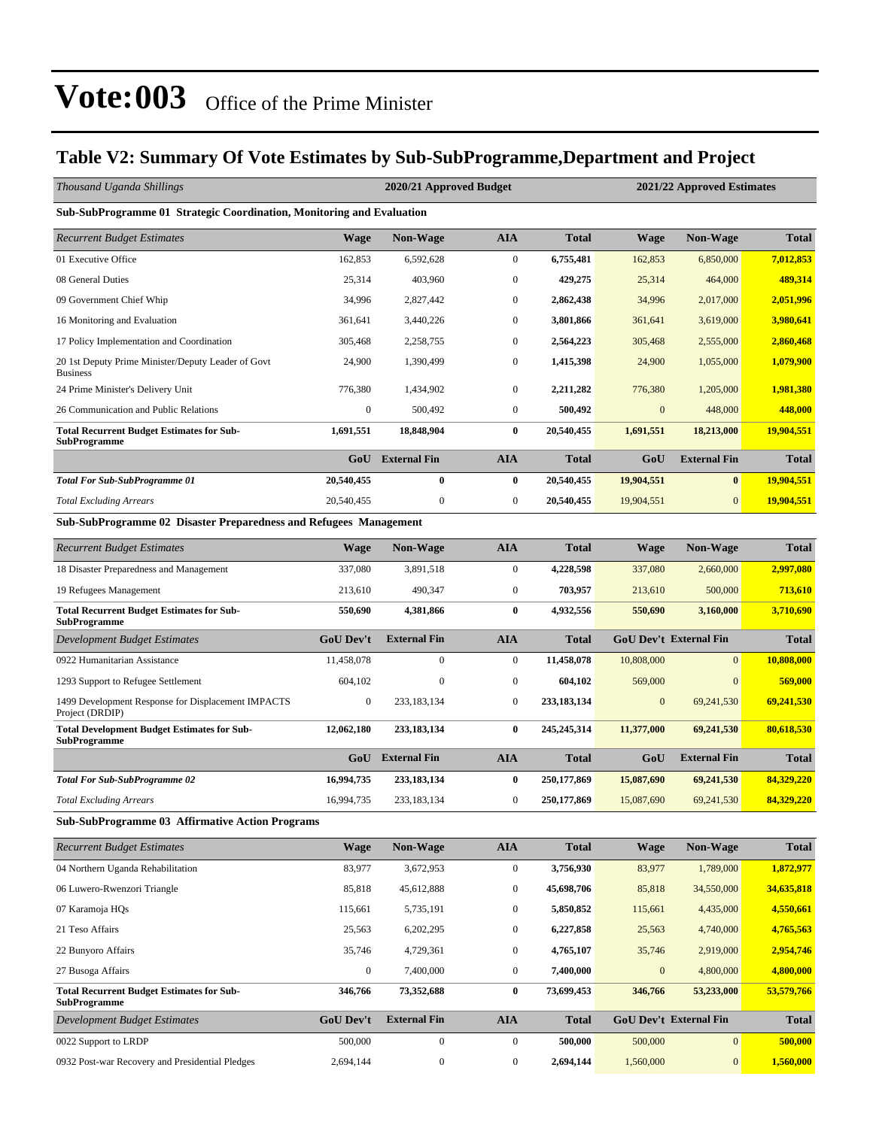#### **Table V2: Summary Of Vote Estimates by Sub-SubProgramme,Department and Project**

| Thousand Uganda Shillings                                               |                  | 2020/21 Approved Budget |                  |               |                  | 2021/22 Approved Estimates    |              |
|-------------------------------------------------------------------------|------------------|-------------------------|------------------|---------------|------------------|-------------------------------|--------------|
| Sub-SubProgramme 01 Strategic Coordination, Monitoring and Evaluation   |                  |                         |                  |               |                  |                               |              |
| <b>Recurrent Budget Estimates</b>                                       | Wage             | <b>Non-Wage</b>         | <b>AIA</b>       | <b>Total</b>  | <b>Wage</b>      | <b>Non-Wage</b>               | <b>Total</b> |
| 01 Executive Office                                                     | 162,853          | 6,592,628               | $\boldsymbol{0}$ | 6,755,481     | 162,853          | 6,850,000                     | 7,012,853    |
| 08 General Duties                                                       | 25,314           | 403,960                 | $\boldsymbol{0}$ | 429,275       | 25,314           | 464,000                       | 489,314      |
| 09 Government Chief Whip                                                | 34,996           | 2,827,442               | $\boldsymbol{0}$ | 2,862,438     | 34,996           | 2,017,000                     | 2,051,996    |
| 16 Monitoring and Evaluation                                            | 361,641          | 3,440,226               | $\boldsymbol{0}$ | 3,801,866     | 361.641          | 3.619.000                     | 3,980,641    |
| 17 Policy Implementation and Coordination                               | 305,468          | 2,258,755               | $\boldsymbol{0}$ | 2,564,223     | 305,468          | 2,555,000                     | 2,860,468    |
| 20 1st Deputy Prime Minister/Deputy Leader of Govt<br><b>Business</b>   | 24,900           | 1,390,499               | $\boldsymbol{0}$ | 1,415,398     | 24,900           | 1,055,000                     | 1,079,900    |
| 24 Prime Minister's Delivery Unit                                       | 776,380          | 1,434,902               | $\boldsymbol{0}$ | 2,211,282     | 776,380          | 1,205,000                     | 1,981,380    |
| 26 Communication and Public Relations                                   | $\mathbf{0}$     | 500,492                 | $\boldsymbol{0}$ | 500,492       | $\mathbf{0}$     | 448,000                       | 448,000      |
| <b>Total Recurrent Budget Estimates for Sub-</b><br>SubProgramme        | 1,691,551        | 18,848,904              | $\bf{0}$         | 20,540,455    | 1,691,551        | 18,213,000                    | 19,904,551   |
|                                                                         | GoU              | <b>External Fin</b>     | <b>AIA</b>       | <b>Total</b>  | GoU              | <b>External Fin</b>           | <b>Total</b> |
| Total For Sub-SubProgramme 01                                           | 20,540,455       | $\bf{0}$                | $\bf{0}$         | 20,540,455    | 19,904,551       | $\bf{0}$                      | 19,904,551   |
| <b>Total Excluding Arrears</b>                                          | 20,540,455       | $\mathbf{0}$            | $\boldsymbol{0}$ | 20,540,455    | 19,904,551       | $\mathbf{0}$                  | 19,904,551   |
| Sub-SubProgramme 02 Disaster Preparedness and Refugees Management       |                  |                         |                  |               |                  |                               |              |
| <b>Recurrent Budget Estimates</b>                                       | Wage             | <b>Non-Wage</b>         | <b>AIA</b>       | <b>Total</b>  | <b>Wage</b>      | <b>Non-Wage</b>               | <b>Total</b> |
| 18 Disaster Preparedness and Management                                 | 337,080          | 3,891,518               | $\boldsymbol{0}$ | 4,228,598     | 337,080          | 2,660,000                     | 2,997,080    |
| 19 Refugees Management                                                  | 213,610          | 490,347                 | $\boldsymbol{0}$ | 703,957       | 213,610          | 500,000                       | 713,610      |
| <b>Total Recurrent Budget Estimates for Sub-</b><br>SubProgramme        | 550,690          | 4,381,866               | $\bf{0}$         | 4,932,556     | 550,690          | 3,160,000                     | 3,710,690    |
| Development Budget Estimates                                            | <b>GoU Dev't</b> | <b>External Fin</b>     | <b>AIA</b>       | <b>Total</b>  |                  | <b>GoU Dev't External Fin</b> | <b>Total</b> |
| 0922 Humanitarian Assistance                                            | 11,458,078       | $\boldsymbol{0}$        | $\boldsymbol{0}$ | 11,458,078    | 10,808,000       | $\mathbf{0}$                  | 10,808,000   |
| 1293 Support to Refugee Settlement                                      | 604,102          | $\mathbf{0}$            | $\boldsymbol{0}$ | 604,102       | 569,000          | $\mathbf{0}$                  | 569,000      |
| 1499 Development Response for Displacement IMPACTS<br>Project (DRDIP)   | $\boldsymbol{0}$ | 233,183,134             | $\boldsymbol{0}$ | 233,183,134   | $\boldsymbol{0}$ | 69,241,530                    | 69,241,530   |
| <b>Total Development Budget Estimates for Sub-</b><br>SubProgramme      | 12,062,180       | 233, 183, 134           | $\bf{0}$         | 245, 245, 314 | 11,377,000       | 69,241,530                    | 80,618,530   |
|                                                                         | GoU              | <b>External Fin</b>     | <b>AIA</b>       | Total         | GoU              | <b>External Fin</b>           | <b>Total</b> |
| <b>Total For Sub-SubProgramme 02</b>                                    | 16,994,735       | 233,183,134             | $\bf{0}$         | 250,177,869   | 15,087,690       | 69,241,530                    | 84,329,220   |
| Total Excluding Arrears                                                 | 16,994,735       | 233,183,134             | $\boldsymbol{0}$ | 250,177,869   | 15,087,690       | 69,241,530                    | 84,329,220   |
| Sub-SubProgramme 03 Affirmative Action Programs                         |                  |                         |                  |               |                  |                               |              |
| <b>Recurrent Budget Estimates</b>                                       | <b>Wage</b>      | Non-Wage                | <b>AIA</b>       | <b>Total</b>  | <b>Wage</b>      | <b>Non-Wage</b>               | <b>Total</b> |
| 04 Northern Uganda Rehabilitation                                       | 83,977           | 3,672,953               | $\boldsymbol{0}$ | 3,756,930     | 83,977           | 1,789,000                     | 1,872,977    |
| 06 Luwero-Rwenzori Triangle                                             | 85,818           | 45,612,888              | $\boldsymbol{0}$ | 45,698,706    | 85,818           | 34,550,000                    | 34,635,818   |
| 07 Karamoja HQs                                                         | 115,661          | 5,735,191               | $\boldsymbol{0}$ | 5,850,852     | 115,661          | 4,435,000                     | 4,550,661    |
| 21 Teso Affairs                                                         | 25,563           | 6,202,295               | $\boldsymbol{0}$ | 6,227,858     | 25,563           | 4,740,000                     | 4,765,563    |
| 22 Bunyoro Affairs                                                      | 35,746           | 4,729,361               | $\boldsymbol{0}$ | 4,765,107     | 35,746           | 2,919,000                     | 2,954,746    |
| 27 Busoga Affairs                                                       | $\boldsymbol{0}$ | 7,400,000               | $\boldsymbol{0}$ | 7,400,000     | $\boldsymbol{0}$ | 4,800,000                     | 4,800,000    |
| <b>Total Recurrent Budget Estimates for Sub-</b><br><b>SubProgramme</b> | 346,766          | 73,352,688              | $\bf{0}$         | 73,699,453    | 346,766          | 53,233,000                    | 53,579,766   |
| <b>Development Budget Estimates</b>                                     | GoU Dev't        | <b>External Fin</b>     | <b>AIA</b>       | <b>Total</b>  |                  | GoU Dev't External Fin        | <b>Total</b> |
| 0022 Support to LRDP                                                    | 500,000          | $\boldsymbol{0}$        | $\boldsymbol{0}$ | 500,000       | 500,000          | $\mathbf{0}$                  | 500,000      |
| 0932 Post-war Recovery and Presidential Pledges                         | 2,694,144        | $\boldsymbol{0}$        | $\boldsymbol{0}$ | 2,694,144     | 1,560,000        | $\mathbf{0}$                  | 1,560,000    |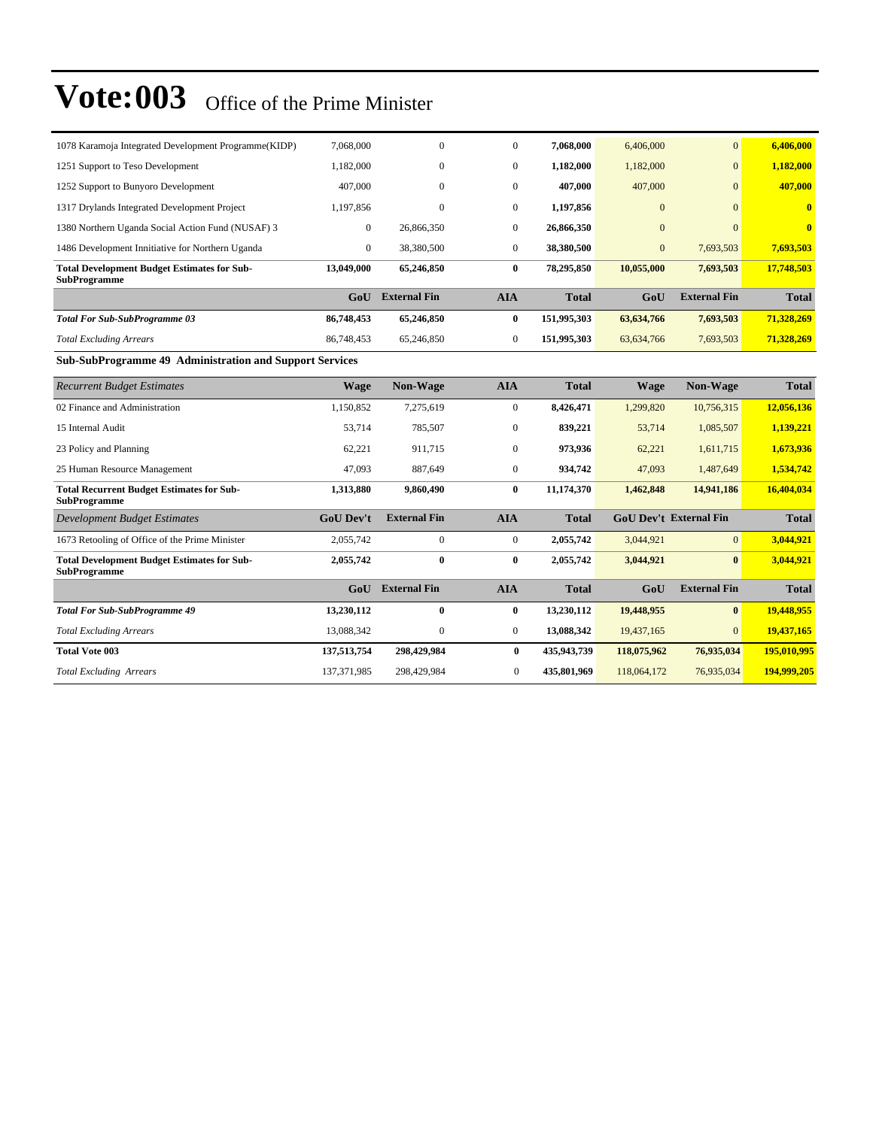| 1078 Karamoja Integrated Development Programme(KIDP)                      | 7,068,000      | $\mathbf{0}$        | $\mathbf{0}$ | 7,068,000    | 6,406,000    | $\Omega$            | 6,406,000    |
|---------------------------------------------------------------------------|----------------|---------------------|--------------|--------------|--------------|---------------------|--------------|
| 1251 Support to Teso Development                                          | 1.182,000      | $\mathbf{0}$        | $\mathbf{0}$ | 1,182,000    | 1,182,000    | $\overline{0}$      | 1,182,000    |
| 1252 Support to Bunyoro Development                                       | 407,000        | $\mathbf{0}$        | $\mathbf{0}$ | 407,000      | 407,000      | $\overline{0}$      | 407,000      |
| 1317 Drylands Integrated Development Project                              | 1,197,856      | $\mathbf{0}$        | $\mathbf{0}$ | 1,197,856    | $\mathbf{0}$ | $\overline{0}$      | $\bf{0}$     |
| 1380 Northern Uganda Social Action Fund (NUSAF) 3                         | $\overline{0}$ | 26,866,350          | $\mathbf{0}$ | 26,866,350   | $\mathbf{0}$ | $\Omega$            | $\bf{0}$     |
| 1486 Development Innitiative for Northern Uganda                          | $\overline{0}$ | 38,380,500          | $\mathbf{0}$ | 38,380,500   | $\mathbf{0}$ | 7,693,503           | 7,693,503    |
| <b>Total Development Budget Estimates for Sub-</b><br><b>SubProgramme</b> | 13,049,000     | 65,246,850          | 0            | 78,295,850   | 10,055,000   | 7,693,503           | 17,748,503   |
|                                                                           | GoU            | <b>External Fin</b> | <b>AIA</b>   | <b>Total</b> | GoU          | <b>External Fin</b> | <b>Total</b> |
| <b>Total For Sub-SubProgramme 03</b>                                      | 86,748,453     | 65,246,850          | 0            | 151,995,303  | 63,634,766   | 7,693,503           | 71,328,269   |
| <b>Total Excluding Arrears</b>                                            | 86,748,453     | 65,246,850          | $\mathbf{0}$ | 151,995,303  | 63,634,766   | 7,693,503           | 71,328,269   |

#### **Sub-SubProgramme 49 Administration and Support Services**

| <b>Recurrent Budget Estimates</b>                                         | <b>Wage</b>      | <b>Non-Wage</b>     | <b>AIA</b>   | <b>Total</b> | <b>Wage</b> | Non-Wage                      | <b>Total</b> |
|---------------------------------------------------------------------------|------------------|---------------------|--------------|--------------|-------------|-------------------------------|--------------|
| 02 Finance and Administration                                             | 1,150,852        | 7,275,619           | $\mathbf{0}$ | 8,426,471    | 1,299,820   | 10,756,315                    | 12,056,136   |
| 15 Internal Audit                                                         | 53,714           | 785,507             | $\mathbf{0}$ | 839,221      | 53,714      | 1,085,507                     | 1,139,221    |
| 23 Policy and Planning                                                    | 62,221           | 911,715             | $\mathbf{0}$ | 973,936      | 62,221      | 1,611,715                     | 1,673,936    |
| 25 Human Resource Management                                              | 47,093           | 887,649             | $\mathbf{0}$ | 934,742      | 47,093      | 1,487,649                     | 1,534,742    |
| <b>Total Recurrent Budget Estimates for Sub-</b><br><b>SubProgramme</b>   | 1,313,880        | 9,860,490           | 0            | 11,174,370   | 1,462,848   | 14,941,186                    | 16,404,034   |
| Development Budget Estimates                                              | <b>GoU Dev't</b> | <b>External Fin</b> | <b>AIA</b>   | <b>Total</b> |             | <b>GoU Dev't External Fin</b> | <b>Total</b> |
| 1673 Retooling of Office of the Prime Minister                            | 2,055,742        | $\mathbf{0}$        | $\mathbf{0}$ | 2,055,742    | 3,044,921   | $\Omega$                      | 3,044,921    |
| <b>Total Development Budget Estimates for Sub-</b><br><b>SubProgramme</b> | 2,055,742        | $\bf{0}$            | $\bf{0}$     | 2,055,742    | 3,044,921   | $\bf{0}$                      | 3,044,921    |
|                                                                           | GoU              | <b>External Fin</b> | <b>AIA</b>   | <b>Total</b> | GoU         | <b>External Fin</b>           | <b>Total</b> |
| <b>Total For Sub-SubProgramme 49</b>                                      | 13,230,112       | $\bf{0}$            | $\bf{0}$     | 13,230,112   | 19,448,955  | $\mathbf{0}$                  | 19,448,955   |
| <b>Total Excluding Arrears</b>                                            | 13,088,342       | $\mathbf{0}$        | $\mathbf{0}$ | 13,088,342   | 19,437,165  | $\overline{0}$                | 19,437,165   |
| <b>Total Vote 003</b>                                                     | 137,513,754      | 298,429,984         | $\bf{0}$     | 435,943,739  | 118,075,962 | 76,935,034                    | 195,010,995  |
| <b>Total Excluding Arrears</b>                                            | 137, 371, 985    | 298,429,984         | $\mathbf{0}$ | 435,801,969  | 118,064,172 | 76,935,034                    | 194,999,205  |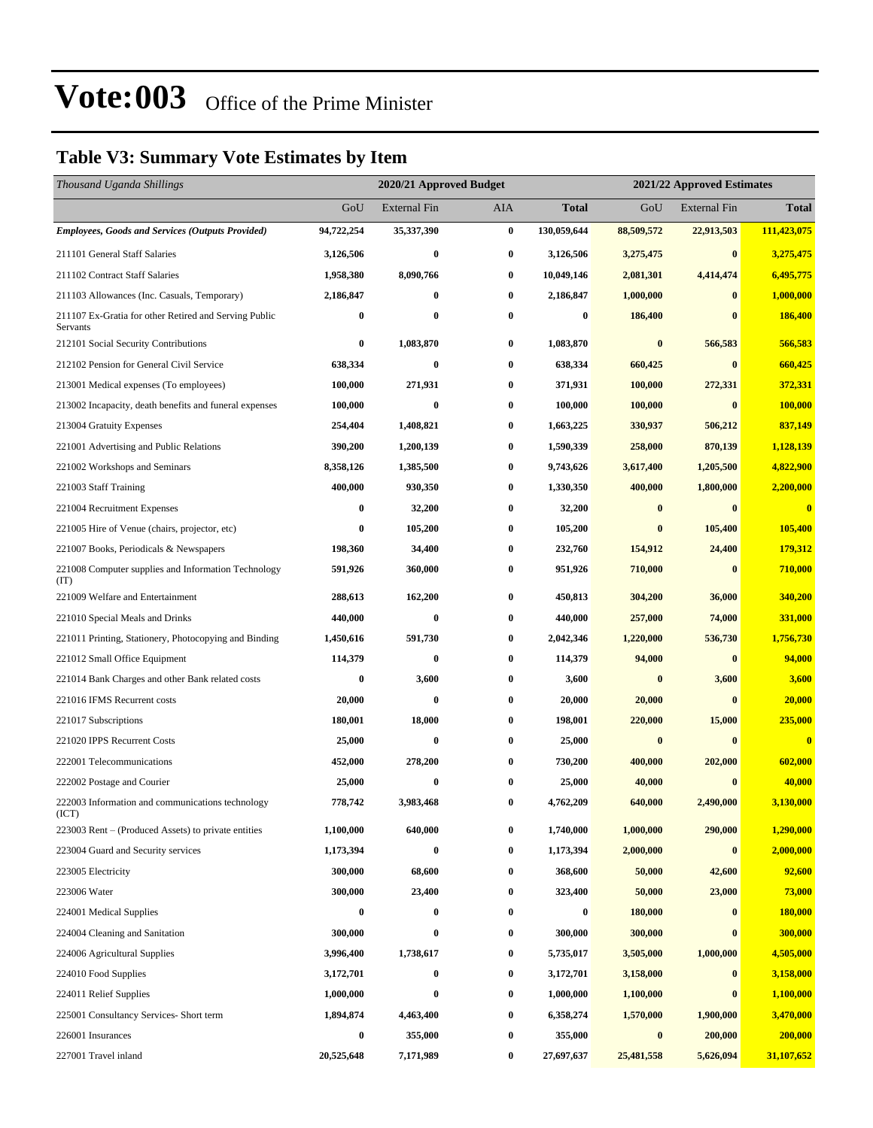### **Table V3: Summary Vote Estimates by Item**

| Thousand Uganda Shillings                                         |            | 2020/21 Approved Budget |                  |              | 2021/22 Approved Estimates |                     |              |
|-------------------------------------------------------------------|------------|-------------------------|------------------|--------------|----------------------------|---------------------|--------------|
|                                                                   | GoU        | External Fin            | AIA              | <b>Total</b> | GoU                        | <b>External Fin</b> | <b>Total</b> |
| <b>Employees, Goods and Services (Outputs Provided)</b>           | 94,722,254 | 35,337,390              | $\pmb{0}$        | 130,059,644  | 88,509,572                 | 22,913,503          | 111,423,075  |
| 211101 General Staff Salaries                                     | 3,126,506  | $\bf{0}$                | $\bf{0}$         | 3,126,506    | 3,275,475                  | $\bf{0}$            | 3,275,475    |
| 211102 Contract Staff Salaries                                    | 1,958,380  | 8,090,766               | $\bf{0}$         | 10,049,146   | 2,081,301                  | 4,414,474           | 6,495,775    |
| 211103 Allowances (Inc. Casuals, Temporary)                       | 2,186,847  | $\bf{0}$                | $\bf{0}$         | 2,186,847    | 1,000,000                  | $\bf{0}$            | 1,000,000    |
| 211107 Ex-Gratia for other Retired and Serving Public<br>Servants | 0          | $\bf{0}$                | $\bf{0}$         | $\bf{0}$     | 186,400                    | 0                   | 186,400      |
| 212101 Social Security Contributions                              | 0          | 1,083,870               | $\bf{0}$         | 1,083,870    | $\bf{0}$                   | 566,583             | 566,583      |
| 212102 Pension for General Civil Service                          | 638,334    | $\bf{0}$                | $\bf{0}$         | 638,334      | 660,425                    | $\bf{0}$            | 660,425      |
| 213001 Medical expenses (To employees)                            | 100,000    | 271,931                 | $\bf{0}$         | 371,931      | 100,000                    | 272,331             | 372,331      |
| 213002 Incapacity, death benefits and funeral expenses            | 100,000    | $\bf{0}$                | $\bf{0}$         | 100,000      | 100,000                    | $\bf{0}$            | 100,000      |
| 213004 Gratuity Expenses                                          | 254,404    | 1,408,821               | 0                | 1,663,225    | 330,937                    | 506,212             | 837,149      |
| 221001 Advertising and Public Relations                           | 390,200    | 1,200,139               | $\boldsymbol{0}$ | 1,590,339    | 258,000                    | 870,139             | 1,128,139    |
| 221002 Workshops and Seminars                                     | 8,358,126  | 1,385,500               | 0                | 9,743,626    | 3,617,400                  | 1,205,500           | 4,822,900    |
| 221003 Staff Training                                             | 400,000    | 930,350                 | 0                | 1,330,350    | 400,000                    | 1,800,000           | 2,200,000    |
| 221004 Recruitment Expenses                                       | 0          | 32,200                  | $\bf{0}$         | 32,200       | $\bf{0}$                   | $\bf{0}$            | $\bf{0}$     |
| 221005 Hire of Venue (chairs, projector, etc)                     | 0          | 105,200                 | $\bf{0}$         | 105,200      | $\bf{0}$                   | 105,400             | 105,400      |
| 221007 Books, Periodicals & Newspapers                            | 198,360    | 34,400                  | $\boldsymbol{0}$ | 232,760      | 154,912                    | 24,400              | 179,312      |
| 221008 Computer supplies and Information Technology<br>(TT)       | 591,926    | 360,000                 | 0                | 951,926      | 710,000                    | $\bf{0}$            | 710,000      |
| 221009 Welfare and Entertainment                                  | 288,613    | 162,200                 | $\bf{0}$         | 450,813      | 304,200                    | 36,000              | 340,200      |
| 221010 Special Meals and Drinks                                   | 440,000    | $\bf{0}$                | $\bf{0}$         | 440,000      | 257,000                    | 74,000              | 331,000      |
| 221011 Printing, Stationery, Photocopying and Binding             | 1,450,616  | 591,730                 | $\bf{0}$         | 2,042,346    | 1,220,000                  | 536,730             | 1,756,730    |
| 221012 Small Office Equipment                                     | 114,379    | $\bf{0}$                | $\bf{0}$         | 114,379      | 94,000                     | $\bf{0}$            | 94,000       |
| 221014 Bank Charges and other Bank related costs                  | 0          | 3,600                   | $\bf{0}$         | 3,600        | $\bf{0}$                   | 3,600               | 3,600        |
| 221016 IFMS Recurrent costs                                       | 20,000     | $\bf{0}$                | 0                | 20,000       | 20,000                     | $\bf{0}$            | 20,000       |
| 221017 Subscriptions                                              | 180,001    | 18,000                  | $\boldsymbol{0}$ | 198,001      | 220,000                    | 15,000              | 235,000      |
| 221020 IPPS Recurrent Costs                                       | 25,000     | $\bf{0}$                | $\bf{0}$         | 25,000       | $\bf{0}$                   | $\bf{0}$            | $\bf{0}$     |
| 222001 Telecommunications                                         | 452,000    | 278,200                 | 0                | 730,200      | 400,000                    | 202,000             | 602,000      |
| 222002 Postage and Courier                                        | 25,000     | $\bf{0}$                | $\bf{0}$         | 25,000       | 40,000                     |                     | 40,000       |
| 222003 Information and communications technology<br>(ICT)         | 778,742    | 3,983,468               | 0                | 4,762,209    | 640,000                    | 2,490,000           | 3,130,000    |
| 223003 Rent – (Produced Assets) to private entities               | 1,100,000  | 640,000                 | $\bf{0}$         | 1,740,000    | 1,000,000                  | 290,000             | 1,290,000    |
| 223004 Guard and Security services                                | 1,173,394  | $\boldsymbol{0}$        | $\bf{0}$         | 1,173,394    | 2,000,000                  | $\bf{0}$            | 2,000,000    |
| 223005 Electricity                                                | 300,000    | 68,600                  | $\bf{0}$         | 368,600      | 50,000                     | 42,600              | 92,600       |
| 223006 Water                                                      | 300,000    | 23,400                  | $\boldsymbol{0}$ | 323,400      | 50,000                     | 23,000              | 73,000       |
| 224001 Medical Supplies                                           | 0          | 0                       | 0                | 0            | 180,000                    | $\bf{0}$            | 180,000      |
| 224004 Cleaning and Sanitation                                    | 300,000    | $\bf{0}$                | $\bf{0}$         | 300,000      | 300,000                    | $\bf{0}$            | 300,000      |
| 224006 Agricultural Supplies                                      | 3,996,400  | 1,738,617               | $\bf{0}$         | 5,735,017    | 3,505,000                  | 1,000,000           | 4,505,000    |
| 224010 Food Supplies                                              | 3,172,701  | $\bf{0}$                | $\bf{0}$         | 3,172,701    | 3,158,000                  | $\bf{0}$            | 3,158,000    |
| 224011 Relief Supplies                                            | 1,000,000  | $\bf{0}$                | $\bf{0}$         | 1,000,000    | 1,100,000                  | $\bf{0}$            | 1,100,000    |
| 225001 Consultancy Services- Short term                           | 1,894,874  | 4,463,400               | $\bf{0}$         | 6,358,274    | 1,570,000                  | 1,900,000           | 3,470,000    |
| 226001 Insurances                                                 | $\bf{0}$   | 355,000                 | $\bf{0}$         | 355,000      | $\bf{0}$                   | 200,000             | 200,000      |
| 227001 Travel inland                                              | 20,525,648 | 7,171,989               | $\boldsymbol{0}$ | 27,697,637   | 25,481,558                 | 5,626,094           | 31,107,652   |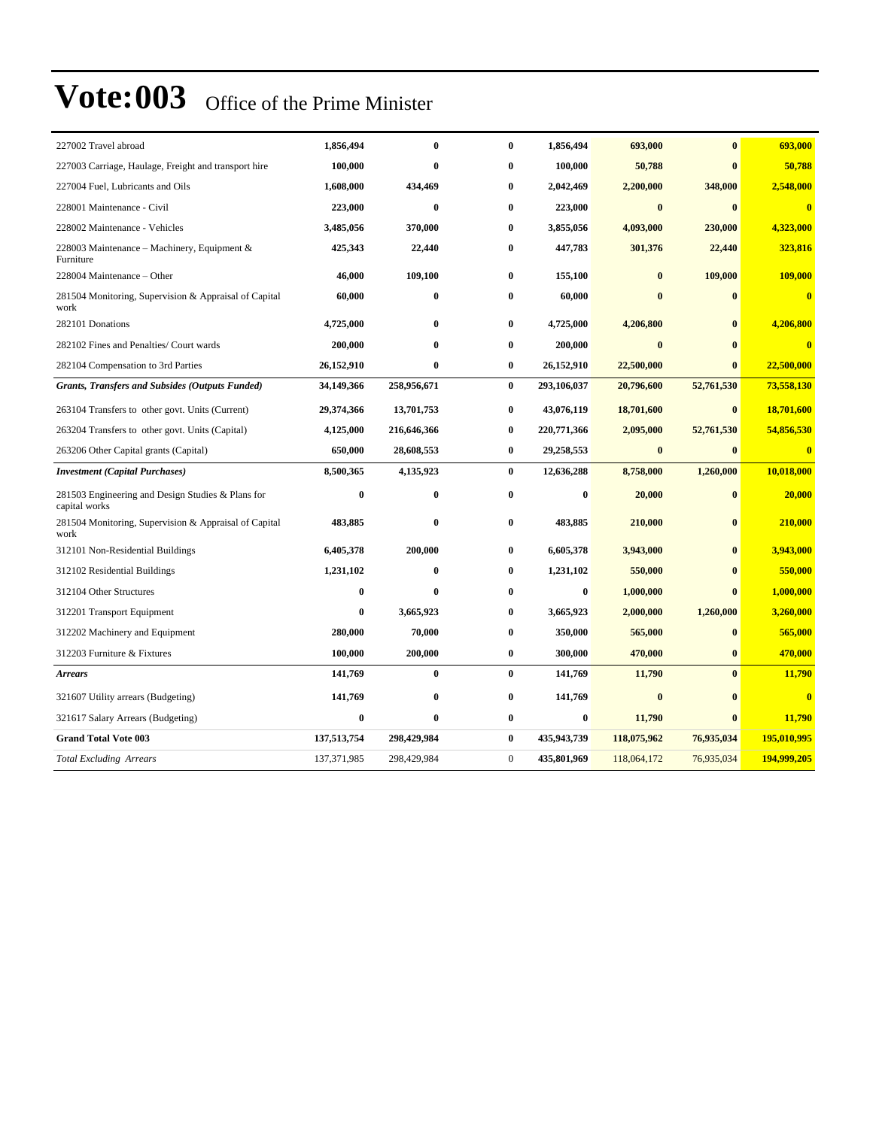| 227002 Travel abroad                                               | 1,856,494     | $\mathbf{0}$ | $\bf{0}$         | 1,856,494   | 693,000     | $\mathbf{0}$ | 693,000     |
|--------------------------------------------------------------------|---------------|--------------|------------------|-------------|-------------|--------------|-------------|
| 227003 Carriage, Haulage, Freight and transport hire               | 100.000       | $\bf{0}$     | $\bf{0}$         | 100.000     | 50,788      | $\mathbf{0}$ | 50,788      |
| 227004 Fuel, Lubricants and Oils                                   | 1,608,000     | 434,469      | $\bf{0}$         | 2,042,469   | 2,200,000   | 348,000      | 2,548,000   |
| 228001 Maintenance - Civil                                         | 223,000       | $\bf{0}$     | 0                | 223,000     | $\bf{0}$    | $\mathbf{0}$ | $\bf{0}$    |
| 228002 Maintenance - Vehicles                                      | 3,485,056     | 370,000      | 0                | 3,855,056   | 4,093,000   | 230,000      | 4,323,000   |
| 228003 Maintenance - Machinery, Equipment &<br>Furniture           | 425,343       | 22,440       | 0                | 447,783     | 301,376     | 22,440       | 323,816     |
| 228004 Maintenance - Other                                         | 46,000        | 109,100      | 0                | 155,100     | $\bf{0}$    | 109,000      | 109,000     |
| 281504 Monitoring, Supervision & Appraisal of Capital<br>work      | 60,000        | $\bf{0}$     | 0                | 60,000      | $\bf{0}$    |              | $\bf{0}$    |
| 282101 Donations                                                   | 4,725,000     | $\bf{0}$     | 0                | 4,725,000   | 4,206,800   | $\mathbf{0}$ | 4,206,800   |
| 282102 Fines and Penalties/ Court wards                            | 200,000       | $\bf{0}$     | 0                | 200,000     | $\bf{0}$    | $\mathbf{0}$ | $\bf{0}$    |
| 282104 Compensation to 3rd Parties                                 | 26,152,910    | $\bf{0}$     | 0                | 26,152,910  | 22,500,000  | $\bf{0}$     | 22,500,000  |
| <b>Grants, Transfers and Subsides (Outputs Funded)</b>             | 34,149,366    | 258,956,671  | $\bf{0}$         | 293,106,037 | 20,796,600  | 52,761,530   | 73,558,130  |
| 263104 Transfers to other govt. Units (Current)                    | 29,374,366    | 13,701,753   | $\bf{0}$         | 43,076,119  | 18,701,600  | $\bf{0}$     | 18,701,600  |
| 263204 Transfers to other govt. Units (Capital)                    | 4,125,000     | 216,646,366  | 0                | 220,771,366 | 2,095,000   | 52,761,530   | 54,856,530  |
| 263206 Other Capital grants (Capital)                              | 650,000       | 28,608,553   | 0                | 29,258,553  | $\bf{0}$    | $\mathbf{0}$ | $\bf{0}$    |
| <b>Investment</b> (Capital Purchases)                              | 8,500,365     | 4,135,923    | $\bf{0}$         | 12,636,288  | 8,758,000   | 1,260,000    | 10,018,000  |
| 281503 Engineering and Design Studies & Plans for<br>capital works | $\bf{0}$      | $\bf{0}$     | $\bf{0}$         | $\bf{0}$    | 20,000      | $\mathbf{0}$ | 20,000      |
| 281504 Monitoring, Supervision & Appraisal of Capital<br>work      | 483,885       | $\bf{0}$     | 0                | 483,885     | 210,000     | $\mathbf{0}$ | 210,000     |
| 312101 Non-Residential Buildings                                   | 6,405,378     | 200,000      | 0                | 6,605,378   | 3,943,000   | $\mathbf{0}$ | 3,943,000   |
| 312102 Residential Buildings                                       | 1,231,102     | $\mathbf{0}$ | $\bf{0}$         | 1,231,102   | 550,000     | $\mathbf{0}$ | 550,000     |
| 312104 Other Structures                                            | $\bf{0}$      | $\bf{0}$     | 0                | $\bf{0}$    | 1,000,000   | $\mathbf{0}$ | 1,000,000   |
| 312201 Transport Equipment                                         | $\bf{0}$      | 3,665,923    | 0                | 3,665,923   | 2,000,000   | 1,260,000    | 3,260,000   |
| 312202 Machinery and Equipment                                     | 280,000       | 70,000       | $\bf{0}$         | 350,000     | 565,000     | $\bf{0}$     | 565,000     |
| 312203 Furniture & Fixtures                                        | 100,000       | 200,000      | 0                | 300,000     | 470,000     | $\bf{0}$     | 470,000     |
| <b>Arrears</b>                                                     | 141,769       | $\bf{0}$     | $\bf{0}$         | 141,769     | 11,790      | $\mathbf{0}$ | 11,790      |
| 321607 Utility arrears (Budgeting)                                 | 141,769       | $\bf{0}$     | $\bf{0}$         | 141,769     | $\bf{0}$    | $\bf{0}$     | $\bf{0}$    |
| 321617 Salary Arrears (Budgeting)                                  | $\bf{0}$      | $\bf{0}$     | 0                | $\bf{0}$    | 11,790      | $\mathbf{0}$ | 11,790      |
| <b>Grand Total Vote 003</b>                                        | 137,513,754   | 298,429,984  | 0                | 435,943,739 | 118,075,962 | 76,935,034   | 195,010,995 |
| <b>Total Excluding Arrears</b>                                     | 137, 371, 985 | 298,429,984  | $\boldsymbol{0}$ | 435,801,969 | 118,064,172 | 76,935,034   | 194,999,205 |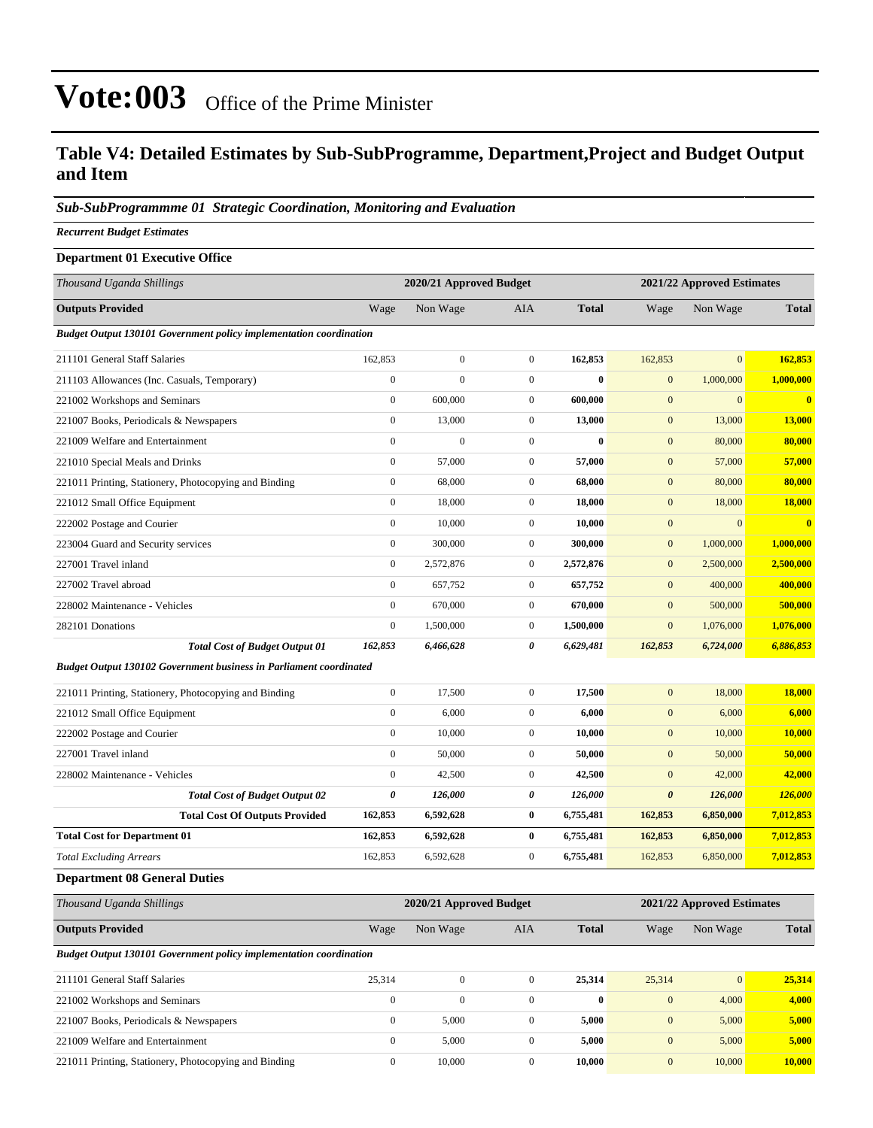#### **Table V4: Detailed Estimates by Sub-SubProgramme, Department,Project and Budget Output and Item**

#### *Sub-SubProgrammme 01 Strategic Coordination, Monitoring and Evaluation*

*Recurrent Budget Estimates*

| <b>Department 01 Executive Office</b>                                     |                  |                         |                  |              |                       |                            |               |
|---------------------------------------------------------------------------|------------------|-------------------------|------------------|--------------|-----------------------|----------------------------|---------------|
| Thousand Uganda Shillings                                                 |                  | 2020/21 Approved Budget |                  |              |                       | 2021/22 Approved Estimates |               |
| <b>Outputs Provided</b>                                                   | Wage             | Non Wage                | <b>AIA</b>       | <b>Total</b> | Wage                  | Non Wage                   | <b>Total</b>  |
| Budget Output 130101 Government policy implementation coordination        |                  |                         |                  |              |                       |                            |               |
| 211101 General Staff Salaries                                             | 162,853          | $\boldsymbol{0}$        | $\boldsymbol{0}$ | 162,853      | 162,853               | $\mathbf{0}$               | 162,853       |
| 211103 Allowances (Inc. Casuals, Temporary)                               | $\boldsymbol{0}$ | $\mathbf{0}$            | $\boldsymbol{0}$ | $\bf{0}$     | $\mathbf{0}$          | 1,000,000                  | 1,000,000     |
| 221002 Workshops and Seminars                                             | $\mathbf{0}$     | 600,000                 | $\mathbf{0}$     | 600,000      | $\mathbf{0}$          | $\mathbf{0}$               | $\mathbf{0}$  |
| 221007 Books, Periodicals & Newspapers                                    | $\boldsymbol{0}$ | 13,000                  | $\boldsymbol{0}$ | 13,000       | $\mathbf{0}$          | 13,000                     | 13,000        |
| 221009 Welfare and Entertainment                                          | $\overline{0}$   | $\overline{0}$          | $\boldsymbol{0}$ | $\bf{0}$     | $\mathbf{0}$          | 80,000                     | 80,000        |
| 221010 Special Meals and Drinks                                           | $\boldsymbol{0}$ | 57,000                  | $\boldsymbol{0}$ | 57,000       | $\boldsymbol{0}$      | 57,000                     | 57,000        |
| 221011 Printing, Stationery, Photocopying and Binding                     | $\mathbf{0}$     | 68,000                  | $\boldsymbol{0}$ | 68,000       | $\mathbf{0}$          | 80,000                     | 80,000        |
| 221012 Small Office Equipment                                             | $\boldsymbol{0}$ | 18,000                  | $\boldsymbol{0}$ | 18,000       | $\mathbf{0}$          | 18,000                     | 18,000        |
| 222002 Postage and Courier                                                | $\mathbf{0}$     | 10,000                  | $\mathbf{0}$     | 10,000       | $\boldsymbol{0}$      | $\mathbf{0}$               | $\bf{0}$      |
| 223004 Guard and Security services                                        | $\overline{0}$   | 300,000                 | $\boldsymbol{0}$ | 300,000      | $\mathbf{0}$          | 1,000,000                  | 1,000,000     |
| 227001 Travel inland                                                      | $\boldsymbol{0}$ | 2,572,876               | $\boldsymbol{0}$ | 2,572,876    | $\mathbf{0}$          | 2,500,000                  | 2,500,000     |
| 227002 Travel abroad                                                      | $\overline{0}$   | 657,752                 | $\boldsymbol{0}$ | 657,752      | $\mathbf{0}$          | 400,000                    | 400,000       |
| 228002 Maintenance - Vehicles                                             | $\boldsymbol{0}$ | 670,000                 | $\boldsymbol{0}$ | 670,000      | $\mathbf{0}$          | 500,000                    | 500,000       |
| 282101 Donations                                                          | $\boldsymbol{0}$ | 1,500,000               | $\boldsymbol{0}$ | 1,500,000    | $\mathbf{0}$          | 1,076,000                  | 1,076,000     |
| <b>Total Cost of Budget Output 01</b>                                     | 162,853          | 6,466,628               | 0                | 6,629,481    | 162,853               | 6,724,000                  | 6,886,853     |
| <b>Budget Output 130102 Government business in Parliament coordinated</b> |                  |                         |                  |              |                       |                            |               |
| 221011 Printing, Stationery, Photocopying and Binding                     | $\boldsymbol{0}$ | 17,500                  | $\boldsymbol{0}$ | 17,500       | $\mathbf{0}$          | 18,000                     | <b>18,000</b> |
| 221012 Small Office Equipment                                             | $\boldsymbol{0}$ | 6,000                   | $\boldsymbol{0}$ | 6,000        | $\boldsymbol{0}$      | 6,000                      | 6,000         |
| 222002 Postage and Courier                                                | $\overline{0}$   | 10,000                  | $\mathbf{0}$     | 10,000       | $\mathbf{0}$          | 10,000                     | 10,000        |
| 227001 Travel inland                                                      | $\boldsymbol{0}$ | 50,000                  | $\boldsymbol{0}$ | 50,000       | $\mathbf{0}$          | 50,000                     | 50,000        |
| 228002 Maintenance - Vehicles                                             | $\mathbf{0}$     | 42,500                  | $\mathbf{0}$     | 42,500       | $\mathbf{0}$          | 42,000                     | 42,000        |
| <b>Total Cost of Budget Output 02</b>                                     | $\pmb{\theta}$   | 126,000                 | 0                | 126,000      | $\boldsymbol{\theta}$ | 126,000                    | 126,000       |
| <b>Total Cost Of Outputs Provided</b>                                     | 162,853          | 6,592,628               | $\bf{0}$         | 6,755,481    | 162,853               | 6,850,000                  | 7,012,853     |
| <b>Total Cost for Department 01</b>                                       | 162,853          | 6,592,628               | $\bf{0}$         | 6,755,481    | 162,853               | 6,850,000                  | 7,012,853     |
| <b>Total Excluding Arrears</b>                                            | 162,853          | 6,592,628               | $\mathbf{0}$     | 6,755,481    | 162,853               | 6,850,000                  | 7,012,853     |
| <b>Department 08 General Duties</b>                                       |                  |                         |                  |              |                       |                            |               |
| Thousand Uganda Shillings                                                 |                  | 2020/21 Approved Budget |                  |              |                       | 2021/22 Approved Estimates |               |

| <b>Outputs Provided</b>                                                   | Wage         | Non Wage     | <b>AIA</b> | <b>Total</b> | Wage         | Non Wage        | <b>Total</b> |
|---------------------------------------------------------------------------|--------------|--------------|------------|--------------|--------------|-----------------|--------------|
| <b>Budget Output 130101 Government policy implementation coordination</b> |              |              |            |              |              |                 |              |
| 211101 General Staff Salaries                                             | 25.314       | $\mathbf{0}$ | $\Omega$   | 25.314       | 25,314       | $\vert 0 \vert$ | 25,314       |
| 221002 Workshops and Seminars                                             | $\mathbf{0}$ | $\Omega$     | $\Omega$   | $\mathbf{0}$ | $\mathbf{0}$ | 4,000           | 4,000        |
| 221007 Books, Periodicals & Newspapers                                    | $\Omega$     | 5,000        | $\Omega$   | 5,000        | $\mathbf{0}$ | 5,000           | 5,000        |
| 221009 Welfare and Entertainment                                          | $\mathbf{0}$ | 5,000        | $\Omega$   | 5,000        | $\mathbf{0}$ | 5,000           | 5,000        |
| 221011 Printing, Stationery, Photocopying and Binding                     | $\Omega$     | 10.000       | $\Omega$   | 10.000       | $\mathbf{0}$ | 10,000          | 10,000       |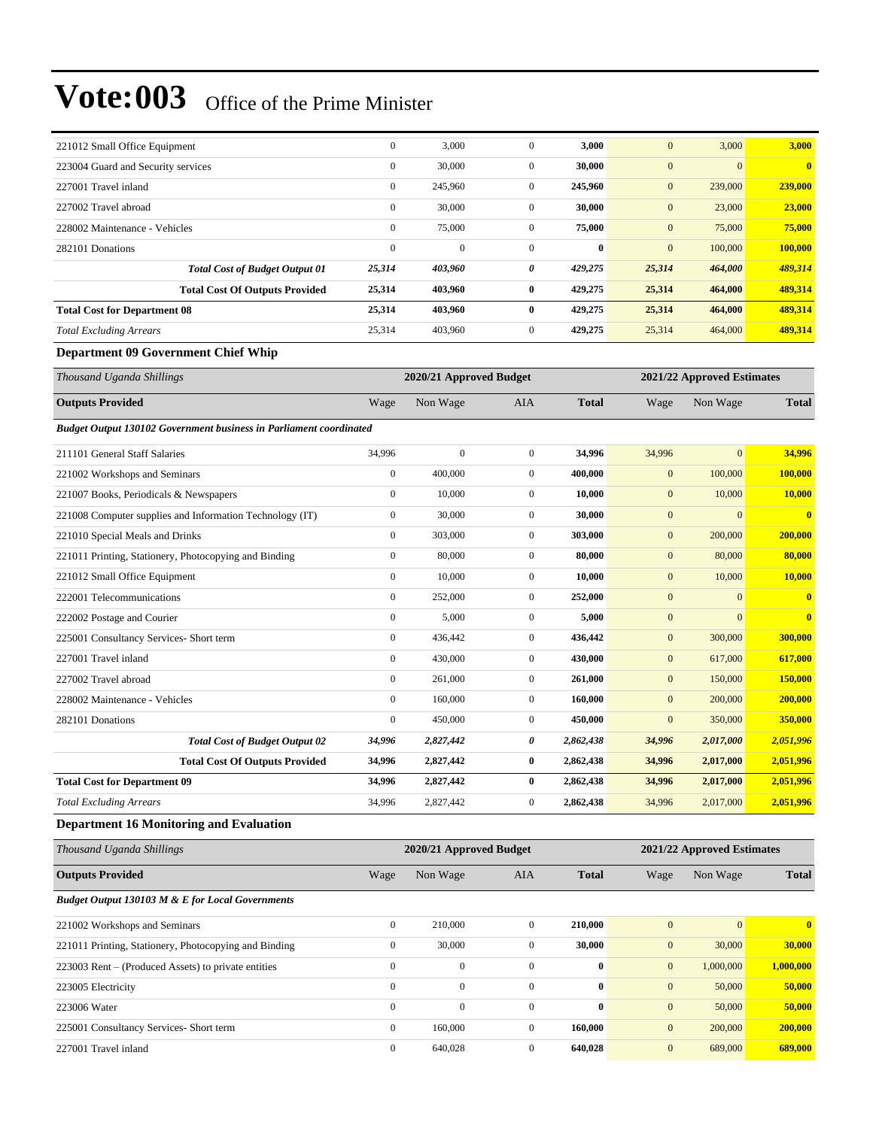| 221012 Small Office Equipment         | $\mathbf{0}$ | 3,000    | $\theta$     | 3,000        | $\mathbf{0}$   | 3,000        | 3,000        |
|---------------------------------------|--------------|----------|--------------|--------------|----------------|--------------|--------------|
| 223004 Guard and Security services    | $\mathbf{0}$ | 30,000   | $\mathbf{0}$ | 30,000       | $\overline{0}$ | $\mathbf{0}$ | $\mathbf{0}$ |
| 227001 Travel inland                  | $\mathbf{0}$ | 245,960  | $\mathbf{0}$ | 245,960      | $\mathbf{0}$   | 239,000      | 239,000      |
| 227002 Travel abroad                  | $\mathbf{0}$ | 30,000   | $\mathbf{0}$ | 30,000       | $\mathbf{0}$   | 23,000       | 23,000       |
| 228002 Maintenance - Vehicles         | $\mathbf{0}$ | 75,000   | $\mathbf{0}$ | 75,000       | $\mathbf{0}$   | 75,000       | 75,000       |
| 282101 Donations                      | $\mathbf{0}$ | $\theta$ | $\mathbf{0}$ | $\mathbf{0}$ | $\mathbf{0}$   | 100,000      | 100,000      |
| <b>Total Cost of Budget Output 01</b> | 25,314       | 403,960  | 0            | 429,275      | 25,314         | 464,000      | 489,314      |
| <b>Total Cost Of Outputs Provided</b> | 25,314       | 403,960  | $\bf{0}$     | 429,275      | 25,314         | 464,000      | 489,314      |
| <b>Total Cost for Department 08</b>   | 25,314       | 403,960  | $\mathbf{0}$ | 429,275      | 25,314         | 464,000      | 489,314      |
| <b>Total Excluding Arrears</b>        | 25,314       | 403,960  | $\mathbf{0}$ | 429,275      | 25,314         | 464,000      | 489,314      |

#### **Department 09 Government Chief Whip**

| Thousand Uganda Shillings                                                 |                  | 2020/21 Approved Budget |                  |              |              | 2021/22 Approved Estimates |                         |
|---------------------------------------------------------------------------|------------------|-------------------------|------------------|--------------|--------------|----------------------------|-------------------------|
| <b>Outputs Provided</b>                                                   | Wage             | Non Wage                | <b>AIA</b>       | <b>Total</b> | Wage         | Non Wage                   | <b>Total</b>            |
| <b>Budget Output 130102 Government business in Parliament coordinated</b> |                  |                         |                  |              |              |                            |                         |
| 211101 General Staff Salaries                                             | 34,996           | $\boldsymbol{0}$        | $\mathbf{0}$     | 34,996       | 34,996       | $\overline{0}$             | 34,996                  |
| 221002 Workshops and Seminars                                             | $\boldsymbol{0}$ | 400,000                 | $\boldsymbol{0}$ | 400,000      | $\mathbf{0}$ | 100,000                    | 100,000                 |
| 221007 Books, Periodicals & Newspapers                                    | $\mathbf{0}$     | 10,000                  | $\overline{0}$   | 10,000       | $\mathbf{0}$ | 10,000                     | 10,000                  |
| 221008 Computer supplies and Information Technology (IT)                  | $\mathbf{0}$     | 30,000                  | $\overline{0}$   | 30,000       | $\mathbf{0}$ | $\mathbf{0}$               | $\overline{\mathbf{0}}$ |
| 221010 Special Meals and Drinks                                           | $\mathbf{0}$     | 303,000                 | $\overline{0}$   | 303,000      | $\mathbf{0}$ | 200,000                    | 200,000                 |
| 221011 Printing, Stationery, Photocopying and Binding                     | $\boldsymbol{0}$ | 80,000                  | $\mathbf{0}$     | 80,000       | $\mathbf{0}$ | 80,000                     | 80,000                  |
| 221012 Small Office Equipment                                             | $\mathbf{0}$     | 10,000                  | $\boldsymbol{0}$ | 10,000       | $\mathbf{0}$ | 10,000                     | 10,000                  |
| 222001 Telecommunications                                                 | $\mathbf{0}$     | 252,000                 | $\overline{0}$   | 252,000      | $\mathbf{0}$ | $\mathbf{0}$               | $\overline{\mathbf{0}}$ |
| 222002 Postage and Courier                                                | $\mathbf{0}$     | 5,000                   | $\overline{0}$   | 5,000        | $\mathbf{0}$ | $\mathbf{0}$               | $\mathbf{0}$            |
| 225001 Consultancy Services- Short term                                   | $\mathbf{0}$     | 436,442                 | $\overline{0}$   | 436,442      | $\mathbf{0}$ | 300,000                    | 300,000                 |
| 227001 Travel inland                                                      | $\mathbf{0}$     | 430,000                 | $\overline{0}$   | 430,000      | $\mathbf{0}$ | 617,000                    | 617,000                 |
| 227002 Travel abroad                                                      | $\mathbf{0}$     | 261,000                 | $\boldsymbol{0}$ | 261,000      | $\mathbf{0}$ | 150,000                    | 150,000                 |
| 228002 Maintenance - Vehicles                                             | $\mathbf{0}$     | 160,000                 | $\overline{0}$   | 160,000      | $\mathbf{0}$ | 200,000                    | 200,000                 |
| 282101 Donations                                                          | $\mathbf{0}$     | 450,000                 | $\overline{0}$   | 450,000      | $\mathbf{0}$ | 350,000                    | 350,000                 |
| <b>Total Cost of Budget Output 02</b>                                     | 34,996           | 2,827,442               | 0                | 2,862,438    | 34,996       | 2,017,000                  | 2,051,996               |
| <b>Total Cost Of Outputs Provided</b>                                     | 34,996           | 2,827,442               | 0                | 2,862,438    | 34,996       | 2,017,000                  | 2,051,996               |
| <b>Total Cost for Department 09</b>                                       | 34,996           | 2,827,442               | 0                | 2,862,438    | 34,996       | 2,017,000                  | 2,051,996               |
| <b>Total Excluding Arrears</b>                                            | 34,996           | 2,827,442               | 0                | 2,862,438    | 34,996       | 2,017,000                  | 2,051,996               |
| <b>Department 16 Monitoring and Evaluation</b>                            |                  |                         |                  |              |              |                            |                         |

| Thousand Uganda Shillings                             | 2020/21 Approved Budget |              |              |              |                  | 2021/22 Approved Estimates |              |  |
|-------------------------------------------------------|-------------------------|--------------|--------------|--------------|------------------|----------------------------|--------------|--|
| <b>Outputs Provided</b>                               | Wage                    | Non Wage     | AIA          | <b>Total</b> | Wage             | Non Wage                   | <b>Total</b> |  |
| Budget Output 130103 M & E for Local Governments      |                         |              |              |              |                  |                            |              |  |
| 221002 Workshops and Seminars                         | $\mathbf{0}$            | 210,000      | $\Omega$     | 210,000      | $\overline{0}$   | $\Omega$                   | 0            |  |
| 221011 Printing, Stationery, Photocopying and Binding | $\mathbf{0}$            | 30,000       | $\mathbf{0}$ | 30,000       | $\overline{0}$   | 30,000                     | 30,000       |  |
| 223003 Rent – (Produced Assets) to private entities   | $\Omega$                | $\mathbf{0}$ | $\Omega$     | $\mathbf{0}$ | $\mathbf{0}$     | 1,000,000                  | 1,000,000    |  |
| 223005 Electricity                                    | $\mathbf{0}$            | $\mathbf{0}$ | $\mathbf{0}$ | $\bf{0}$     | $\boldsymbol{0}$ | 50,000                     | 50,000       |  |
| 223006 Water                                          | $\mathbf{0}$            | $\mathbf{0}$ | $\Omega$     | $\mathbf{0}$ | $\mathbf{0}$     | 50,000                     | 50,000       |  |
| 225001 Consultancy Services- Short term               | $\mathbf{0}$            | 160,000      | $\mathbf{0}$ | 160,000      | $\mathbf{0}$     | 200,000                    | 200,000      |  |
| 227001 Travel inland                                  | $\mathbf{0}$            | 640,028      | $\Omega$     | 640,028      | $\mathbf{0}$     | 689,000                    | 689,000      |  |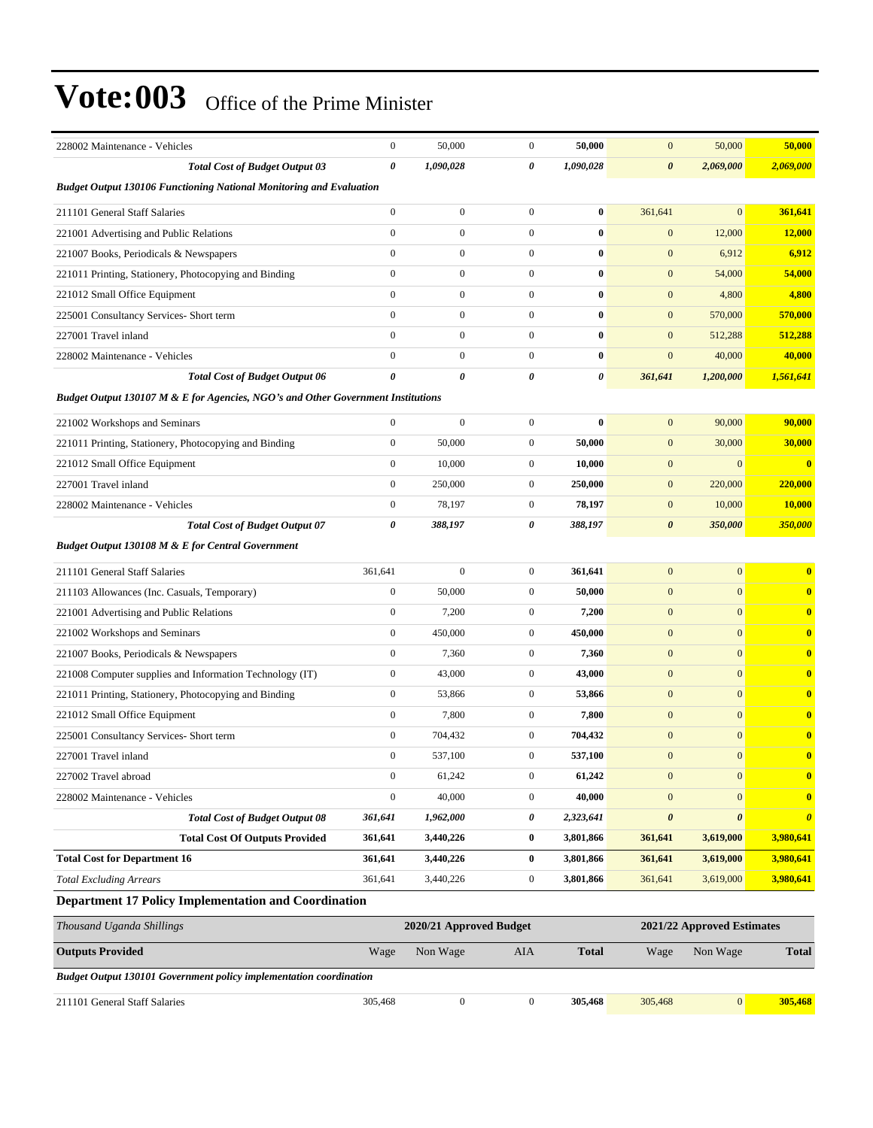| 228002 Maintenance - Vehicles                                                    | $\boldsymbol{0}$ | 50,000           | $\mathbf{0}$     | 50,000    | $\mathbf{0}$          | 50,000                | 50,000                |
|----------------------------------------------------------------------------------|------------------|------------------|------------------|-----------|-----------------------|-----------------------|-----------------------|
| <b>Total Cost of Budget Output 03</b>                                            | 0                | 1,090,028        | 0                | 1,090,028 | $\boldsymbol{\theta}$ | 2,069,000             | 2,069,000             |
| <b>Budget Output 130106 Functioning National Monitoring and Evaluation</b>       |                  |                  |                  |           |                       |                       |                       |
| 211101 General Staff Salaries                                                    | $\boldsymbol{0}$ | $\boldsymbol{0}$ | $\mathbf{0}$     | $\bf{0}$  | 361,641               | $\mathbf{0}$          | 361,641               |
| 221001 Advertising and Public Relations                                          | $\overline{0}$   | $\boldsymbol{0}$ | $\mathbf{0}$     | $\bf{0}$  | $\boldsymbol{0}$      | 12,000                | 12,000                |
| 221007 Books, Periodicals & Newspapers                                           | $\overline{0}$   | $\boldsymbol{0}$ | $\mathbf{0}$     | $\bf{0}$  | $\mathbf{0}$          | 6,912                 | 6,912                 |
| 221011 Printing, Stationery, Photocopying and Binding                            | $\overline{0}$   | $\boldsymbol{0}$ | $\mathbf{0}$     | $\bf{0}$  | $\mathbf{0}$          | 54,000                | 54,000                |
| 221012 Small Office Equipment                                                    | $\boldsymbol{0}$ | $\boldsymbol{0}$ | $\mathbf{0}$     | $\bf{0}$  | $\mathbf{0}$          | 4,800                 | 4,800                 |
| 225001 Consultancy Services- Short term                                          | $\overline{0}$   | $\boldsymbol{0}$ | $\mathbf{0}$     | $\bf{0}$  | $\mathbf{0}$          | 570,000               | 570,000               |
| 227001 Travel inland                                                             | $\overline{0}$   | $\boldsymbol{0}$ | $\mathbf{0}$     | $\bf{0}$  | $\mathbf{0}$          | 512,288               | 512,288               |
| 228002 Maintenance - Vehicles                                                    | $\overline{0}$   | $\boldsymbol{0}$ | $\mathbf{0}$     | $\bf{0}$  | $\mathbf{0}$          | 40,000                | 40,000                |
| <b>Total Cost of Budget Output 06</b>                                            | 0                | 0                | 0                | 0         | 361,641               | 1,200,000             | 1,561,641             |
| Budget Output 130107 M & E for Agencies, NGO's and Other Government Institutions |                  |                  |                  |           |                       |                       |                       |
| 221002 Workshops and Seminars                                                    | $\boldsymbol{0}$ | $\boldsymbol{0}$ | $\mathbf{0}$     | $\bf{0}$  | $\mathbf{0}$          | 90,000                | 90,000                |
| 221011 Printing, Stationery, Photocopying and Binding                            | $\boldsymbol{0}$ | 50,000           | $\mathbf{0}$     | 50,000    | $\mathbf{0}$          | 30,000                | 30,000                |
| 221012 Small Office Equipment                                                    | $\overline{0}$   | 10,000           | $\mathbf{0}$     | 10,000    | $\mathbf{0}$          | $\mathbf{0}$          | $\bf{0}$              |
| 227001 Travel inland                                                             | $\overline{0}$   | 250,000          | $\mathbf{0}$     | 250,000   | $\mathbf{0}$          | 220,000               | 220,000               |
| 228002 Maintenance - Vehicles                                                    | $\overline{0}$   | 78,197           | $\mathbf{0}$     | 78,197    | $\mathbf{0}$          | 10,000                | 10,000                |
| <b>Total Cost of Budget Output 07</b>                                            | 0                | 388,197          | 0                | 388,197   | $\boldsymbol{\theta}$ | 350,000               | 350,000               |
| <b>Budget Output 130108 M &amp; E for Central Government</b>                     |                  |                  |                  |           |                       |                       |                       |
| 211101 General Staff Salaries                                                    | 361,641          | $\boldsymbol{0}$ | $\mathbf{0}$     | 361,641   | $\mathbf{0}$          | $\mathbf{0}$          | $\bf{0}$              |
| 211103 Allowances (Inc. Casuals, Temporary)                                      | $\boldsymbol{0}$ | 50,000           | $\mathbf{0}$     | 50,000    | $\boldsymbol{0}$      | $\mathbf{0}$          | $\bf{0}$              |
| 221001 Advertising and Public Relations                                          | $\boldsymbol{0}$ | 7,200            | $\mathbf{0}$     | 7,200     | $\mathbf{0}$          | $\mathbf{0}$          | $\bf{0}$              |
| 221002 Workshops and Seminars                                                    | $\boldsymbol{0}$ | 450,000          | $\mathbf{0}$     | 450,000   | $\mathbf{0}$          | $\mathbf{0}$          | $\bf{0}$              |
| 221007 Books, Periodicals & Newspapers                                           | $\boldsymbol{0}$ | 7,360            | $\mathbf{0}$     | 7,360     | $\mathbf{0}$          | $\mathbf{0}$          | $\bf{0}$              |
| 221008 Computer supplies and Information Technology (IT)                         | $\boldsymbol{0}$ | 43,000           | $\mathbf{0}$     | 43,000    | $\mathbf{0}$          | $\mathbf{0}$          | $\mathbf{0}$          |
| 221011 Printing, Stationery, Photocopying and Binding                            | $\boldsymbol{0}$ | 53,866           | $\mathbf{0}$     | 53,866    | $\mathbf{0}$          | $\mathbf{0}$          | $\bf{0}$              |
| 221012 Small Office Equipment                                                    | $\boldsymbol{0}$ | 7,800            | $\mathbf{0}$     | 7,800     | $\mathbf{0}$          | $\mathbf{0}$          | $\bf{0}$              |
| 225001 Consultancy Services- Short term                                          | $\boldsymbol{0}$ | 704,432          | $\mathbf{0}$     | 704,432   | $\mathbf{0}$          | $\mathbf{0}$          | $\bf{0}$              |
| 227001 Travel inland                                                             | $\boldsymbol{0}$ | 537,100          | $\mathbf{0}$     | 537,100   | $\mathbf{0}$          | $\mathbf{0}$          | $\bf{0}$              |
| 227002 Travel abroad                                                             | $\boldsymbol{0}$ | 61,242           | $\boldsymbol{0}$ | 61,242    | $\boldsymbol{0}$      | $\mathbf{0}$          | $\bf{0}$              |
| 228002 Maintenance - Vehicles                                                    | $\boldsymbol{0}$ | 40,000           | $\mathbf{0}$     | 40,000    | $\mathbf{0}$          | $\mathbf{0}$          | $\bf{0}$              |
| <b>Total Cost of Budget Output 08</b>                                            | 361,641          | 1,962,000        | 0                | 2,323,641 | $\boldsymbol{\theta}$ | $\boldsymbol{\theta}$ | $\boldsymbol{\theta}$ |
| <b>Total Cost Of Outputs Provided</b>                                            | 361,641          | 3,440,226        | $\bf{0}$         | 3,801,866 | 361,641               | 3,619,000             | 3,980,641             |
| <b>Total Cost for Department 16</b>                                              | 361,641          | 3,440,226        | $\bf{0}$         | 3,801,866 | 361,641               | 3,619,000             | 3,980,641             |
| <b>Total Excluding Arrears</b>                                                   | 361,641          | 3,440,226        | $\boldsymbol{0}$ | 3,801,866 | 361,641               | 3,619,000             | 3,980,641             |
| Department 17 Policy Implementation and Coordination                             |                  |                  |                  |           |                       |                       |                       |
|                                                                                  |                  |                  |                  |           |                       |                       |                       |

| Thousand Uganda Shillings                                                 |         | 2020/21 Approved Budget |     | 2021/22 Approved Estimates |         |                |              |
|---------------------------------------------------------------------------|---------|-------------------------|-----|----------------------------|---------|----------------|--------------|
| <b>Outputs Provided</b>                                                   | Wage    | Non Wage                | AIA | <b>Total</b>               | Wage    | Non Wage       | <b>Total</b> |
| <b>Budget Output 130101 Government policy implementation coordination</b> |         |                         |     |                            |         |                |              |
| 211101 General Staff Salaries                                             | 305,468 |                         |     | 305.468                    | 305,468 | $\overline{0}$ | 305,468      |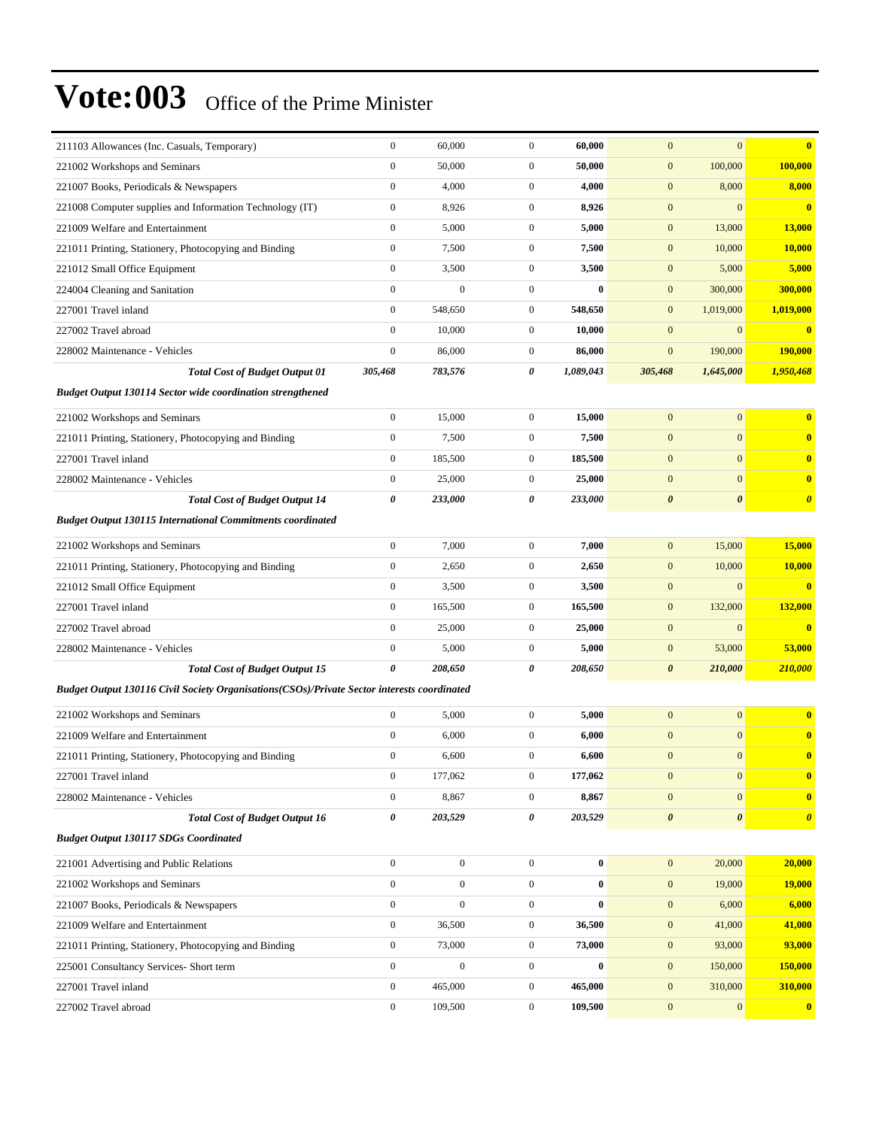| 211103 Allowances (Inc. Casuals, Temporary)                                                  | $\boldsymbol{0}$ | 60,000           | $\mathbf{0}$     | 60,000    | $\mathbf{0}$          | $\mathbf{0}$          | $\bf{0}$                |
|----------------------------------------------------------------------------------------------|------------------|------------------|------------------|-----------|-----------------------|-----------------------|-------------------------|
| 221002 Workshops and Seminars                                                                | $\boldsymbol{0}$ | 50,000           | $\mathbf{0}$     | 50,000    | $\mathbf{0}$          | 100,000               | 100,000                 |
| 221007 Books, Periodicals & Newspapers                                                       | $\boldsymbol{0}$ | 4,000            | $\mathbf{0}$     | 4,000     | $\mathbf{0}$          | 8,000                 | 8,000                   |
| 221008 Computer supplies and Information Technology (IT)                                     | $\boldsymbol{0}$ | 8,926            | $\overline{0}$   | 8,926     | $\mathbf{0}$          | $\mathbf{0}$          | $\bf{0}$                |
| 221009 Welfare and Entertainment                                                             | $\boldsymbol{0}$ | 5,000            | $\overline{0}$   | 5,000     | $\mathbf{0}$          | 13,000                | <b>13,000</b>           |
| 221011 Printing, Stationery, Photocopying and Binding                                        | $\boldsymbol{0}$ | 7,500            | $\mathbf{0}$     | 7,500     | $\mathbf{0}$          | 10,000                | 10,000                  |
| 221012 Small Office Equipment                                                                | $\boldsymbol{0}$ | 3,500            | $\mathbf{0}$     | 3,500     | $\mathbf{0}$          | 5,000                 | 5,000                   |
| 224004 Cleaning and Sanitation                                                               | $\boldsymbol{0}$ | $\boldsymbol{0}$ | $\mathbf{0}$     | $\bf{0}$  | $\mathbf{0}$          | 300,000               | 300,000                 |
| 227001 Travel inland                                                                         | $\boldsymbol{0}$ | 548,650          | $\mathbf{0}$     | 548,650   | $\mathbf{0}$          | 1,019,000             | 1,019,000               |
| 227002 Travel abroad                                                                         | $\mathbf{0}$     | 10,000           | $\mathbf{0}$     | 10,000    | $\mathbf{0}$          | $\mathbf{0}$          | $\bf{0}$                |
| 228002 Maintenance - Vehicles                                                                | $\boldsymbol{0}$ | 86,000           | $\mathbf{0}$     | 86,000    | $\boldsymbol{0}$      | 190,000               | 190,000                 |
| <b>Total Cost of Budget Output 01</b>                                                        | 305,468          | 783,576          | 0                | 1,089,043 | 305,468               | 1,645,000             | 1,950,468               |
| <b>Budget Output 130114 Sector wide coordination strengthened</b>                            |                  |                  |                  |           |                       |                       |                         |
| 221002 Workshops and Seminars                                                                | $\boldsymbol{0}$ | 15,000           | $\mathbf{0}$     | 15,000    | $\mathbf{0}$          | $\mathbf{0}$          | $\bf{0}$                |
| 221011 Printing, Stationery, Photocopying and Binding                                        | $\boldsymbol{0}$ | 7,500            | $\overline{0}$   | 7,500     | $\mathbf{0}$          | $\mathbf{0}$          | $\bf{0}$                |
| 227001 Travel inland                                                                         | $\boldsymbol{0}$ | 185,500          | $\mathbf{0}$     | 185,500   | $\mathbf{0}$          | $\mathbf{0}$          | $\bf{0}$                |
| 228002 Maintenance - Vehicles                                                                | $\boldsymbol{0}$ | 25,000           | $\mathbf{0}$     | 25,000    | $\mathbf{0}$          | $\mathbf{0}$          | $\bf{0}$                |
| <b>Total Cost of Budget Output 14</b>                                                        | 0                | 233,000          | 0                | 233,000   | $\boldsymbol{\theta}$ | $\boldsymbol{\theta}$ | $\boldsymbol{\theta}$   |
| <b>Budget Output 130115 International Commitments coordinated</b>                            |                  |                  |                  |           |                       |                       |                         |
| 221002 Workshops and Seminars                                                                | $\boldsymbol{0}$ | 7,000            | $\overline{0}$   | 7,000     | $\mathbf{0}$          | 15,000                | 15,000                  |
| 221011 Printing, Stationery, Photocopying and Binding                                        | $\boldsymbol{0}$ | 2,650            | $\mathbf{0}$     | 2,650     | $\mathbf{0}$          | 10,000                | 10,000                  |
| 221012 Small Office Equipment                                                                | $\boldsymbol{0}$ | 3,500            | $\mathbf{0}$     | 3,500     | $\mathbf{0}$          | $\mathbf{0}$          | $\bf{0}$                |
| 227001 Travel inland                                                                         | $\boldsymbol{0}$ | 165,500          | $\mathbf{0}$     | 165,500   | $\mathbf{0}$          | 132,000               | 132,000                 |
| 227002 Travel abroad                                                                         | $\boldsymbol{0}$ | 25,000           | $\mathbf{0}$     | 25,000    | $\mathbf{0}$          | $\boldsymbol{0}$      | $\bf{0}$                |
| 228002 Maintenance - Vehicles                                                                | $\boldsymbol{0}$ | 5,000            | $\mathbf{0}$     | 5,000     | $\mathbf{0}$          | 53,000                | 53,000                  |
| <b>Total Cost of Budget Output 15</b>                                                        | 0                | 208,650          | 0                | 208,650   | $\boldsymbol{\theta}$ | 210,000               | 210,000                 |
| Budget Output 130116 Civil Society Organisations (CSOs)/Private Sector interests coordinated |                  |                  |                  |           |                       |                       |                         |
|                                                                                              | $\boldsymbol{0}$ | 5,000            | $\overline{0}$   | 5,000     | $\mathbf{0}$          | $\boldsymbol{0}$      | $\bf{0}$                |
| 221002 Workshops and Seminars<br>221009 Welfare and Entertainment                            | $\boldsymbol{0}$ | 6,000            | $\mathbf{0}$     | 6,000     | $\mathbf{0}$          | $\mathbf{0}$          | $\bf{0}$                |
| 221011 Printing, Stationery, Photocopying and Binding                                        | $\boldsymbol{0}$ | 6,600            | $\mathbf{0}$     | 6,600     | $\boldsymbol{0}$      | $\mathbf{0}$          | $\bf{0}$                |
| 227001 Travel inland                                                                         | $\boldsymbol{0}$ | 177,062          | $\boldsymbol{0}$ | 177,062   | $\boldsymbol{0}$      | $\boldsymbol{0}$      | $\bf{0}$                |
| 228002 Maintenance - Vehicles                                                                | $\boldsymbol{0}$ | 8,867            | $\overline{0}$   | 8,867     | $\mathbf{0}$          | $\mathbf{0}$          | $\bf{0}$                |
| <b>Total Cost of Budget Output 16</b>                                                        | $\pmb{\theta}$   | 203,529          | 0                | 203,529   | $\boldsymbol{\theta}$ | $\boldsymbol{\theta}$ | $\boldsymbol{\theta}$   |
| <b>Budget Output 130117 SDGs Coordinated</b>                                                 |                  |                  |                  |           |                       |                       |                         |
|                                                                                              |                  |                  |                  |           |                       |                       |                         |
| 221001 Advertising and Public Relations                                                      | $\boldsymbol{0}$ | $\boldsymbol{0}$ | $\boldsymbol{0}$ | $\bf{0}$  | $\mathbf{0}$          | 20,000                | 20,000                  |
| 221002 Workshops and Seminars                                                                | $\mathbf{0}$     | $\boldsymbol{0}$ | $\overline{0}$   | $\bf{0}$  | $\mathbf{0}$          | 19,000                | 19,000                  |
| 221007 Books, Periodicals & Newspapers                                                       | $\boldsymbol{0}$ | $\boldsymbol{0}$ | $\boldsymbol{0}$ | $\bf{0}$  | $\mathbf{0}$          | 6,000                 | 6,000                   |
| 221009 Welfare and Entertainment                                                             | $\boldsymbol{0}$ | 36,500           | $\boldsymbol{0}$ | 36,500    | $\mathbf{0}$          | 41,000                | 41,000                  |
| 221011 Printing, Stationery, Photocopying and Binding                                        | $\boldsymbol{0}$ | 73,000           | $\boldsymbol{0}$ | 73,000    | $\mathbf{0}$          | 93,000                | 93,000                  |
| 225001 Consultancy Services- Short term                                                      | $\boldsymbol{0}$ | $\boldsymbol{0}$ | $\boldsymbol{0}$ | $\bf{0}$  | $\mathbf{0}$          | 150,000               | 150,000                 |
| 227001 Travel inland                                                                         | $\boldsymbol{0}$ | 465,000          | $\boldsymbol{0}$ | 465,000   | $\mathbf{0}$          | 310,000               | 310,000                 |
| 227002 Travel abroad                                                                         | $\boldsymbol{0}$ | 109,500          | $\boldsymbol{0}$ | 109,500   | $\mathbf{0}$          | $\mathbf{0}$          | $\overline{\mathbf{0}}$ |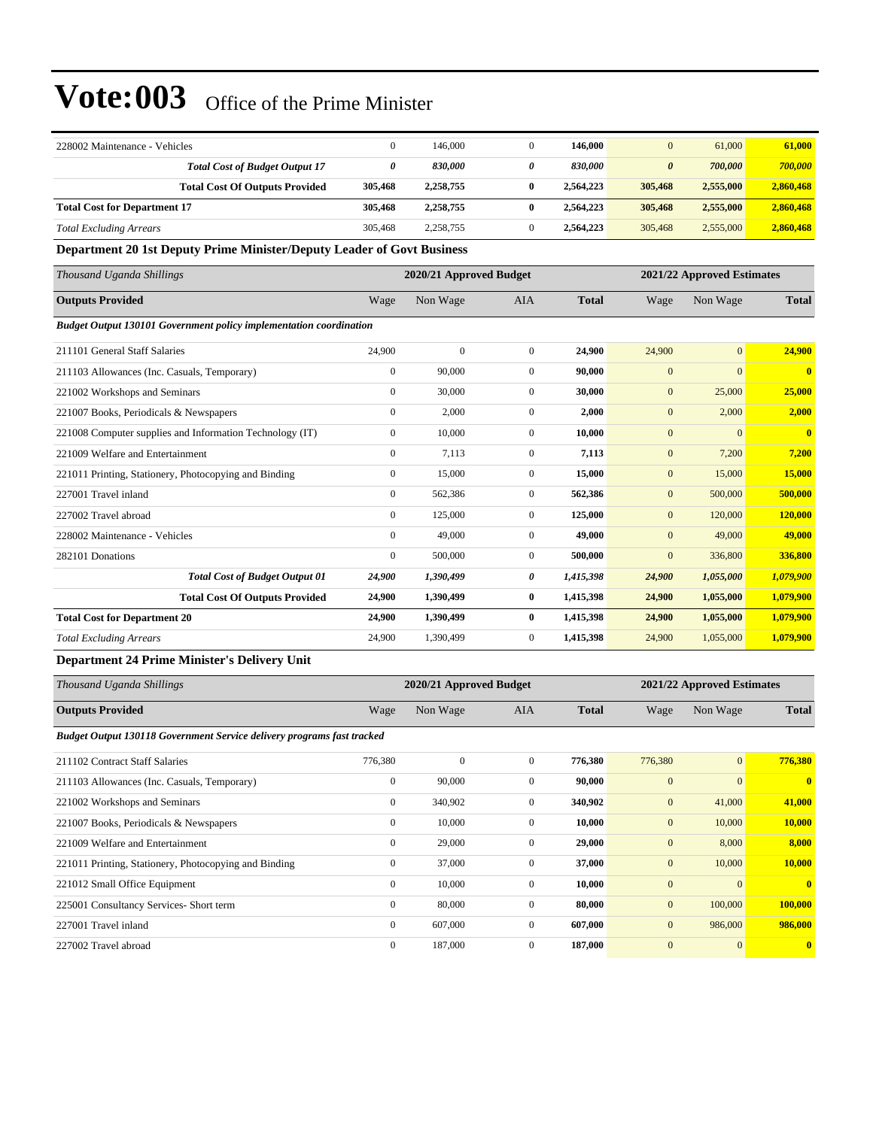| 228002 Maintenance - Vehicles                                          | $\mathbf{0}$ | 146,000                 | $\mathbf{0}$   | 146,000      | $\mathbf{0}$          | 61,000                     | 61,000                  |  |  |  |  |
|------------------------------------------------------------------------|--------------|-------------------------|----------------|--------------|-----------------------|----------------------------|-------------------------|--|--|--|--|
| <b>Total Cost of Budget Output 17</b>                                  | 0            | 830,000                 | 0              | 830,000      | $\boldsymbol{\theta}$ | 700,000                    | 700,000                 |  |  |  |  |
| <b>Total Cost Of Outputs Provided</b>                                  | 305,468      | 2,258,755               | $\bf{0}$       | 2,564,223    | 305,468               | 2,555,000                  | 2,860,468               |  |  |  |  |
| <b>Total Cost for Department 17</b>                                    | 305,468      | 2,258,755               | $\bf{0}$       | 2,564,223    | 305,468               | 2,555,000                  | 2,860,468               |  |  |  |  |
| <b>Total Excluding Arrears</b>                                         | 305,468      | 2,258,755               | $\mathbf{0}$   | 2,564,223    | 305,468               | 2,555,000                  | 2,860,468               |  |  |  |  |
| Department 20 1st Deputy Prime Minister/Deputy Leader of Govt Business |              |                         |                |              |                       |                            |                         |  |  |  |  |
| Thousand Uganda Shillings                                              |              | 2020/21 Approved Budget |                |              |                       | 2021/22 Approved Estimates |                         |  |  |  |  |
| <b>Outputs Provided</b>                                                | Wage         | Non Wage                | <b>AIA</b>     | <b>Total</b> | Wage                  | Non Wage                   | <b>Total</b>            |  |  |  |  |
| Budget Output 130101 Government policy implementation coordination     |              |                         |                |              |                       |                            |                         |  |  |  |  |
| 211101 General Staff Salaries                                          | 24,900       | $\boldsymbol{0}$        | $\overline{0}$ | 24,900       | 24,900                | $\overline{0}$             | 24,900                  |  |  |  |  |
| 211103 Allowances (Inc. Casuals, Temporary)                            | $\mathbf{0}$ | 90,000                  | $\Omega$       | 90,000       | $\mathbf{0}$          | $\overline{0}$             | $\bf{0}$                |  |  |  |  |
| 221002 Workshops and Seminars                                          | $\mathbf{0}$ | 30,000                  | $\overline{0}$ | 30,000       | $\mathbf{0}$          | 25,000                     | 25,000                  |  |  |  |  |
| 221007 Books, Periodicals & Newspapers                                 | $\mathbf{0}$ | 2,000                   | $\overline{0}$ | 2,000        | $\mathbf{0}$          | 2,000                      | 2,000                   |  |  |  |  |
| 221008 Computer supplies and Information Technology (IT)               | $\mathbf{0}$ | 10,000                  | $\overline{0}$ | 10,000       | $\mathbf{0}$          | $\overline{0}$             | $\overline{\mathbf{0}}$ |  |  |  |  |
| 221009 Welfare and Entertainment                                       | $\mathbf{0}$ | 7,113                   | $\mathbf{0}$   | 7,113        | $\mathbf{0}$          | 7,200                      | 7,200                   |  |  |  |  |
| 221011 Printing, Stationery, Photocopying and Binding                  | $\mathbf{0}$ | 15,000                  | $\overline{0}$ | 15,000       | $\mathbf{0}$          | 15,000                     | 15,000                  |  |  |  |  |
| 227001 Travel inland                                                   | $\mathbf{0}$ | 562,386                 | $\mathbf{0}$   | 562,386      | $\mathbf{0}$          | 500,000                    | 500,000                 |  |  |  |  |
| 227002 Travel abroad                                                   | $\mathbf{0}$ | 125,000                 | $\overline{0}$ | 125,000      | $\mathbf{0}$          | 120,000                    | 120,000                 |  |  |  |  |
| 228002 Maintenance - Vehicles                                          | $\mathbf{0}$ | 49,000                  | $\overline{0}$ | 49,000       | $\mathbf{0}$          | 49,000                     | 49,000                  |  |  |  |  |
| 282101 Donations                                                       | $\mathbf{0}$ | 500,000                 | $\overline{0}$ | 500,000      | $\mathbf{0}$          | 336,800                    | 336,800                 |  |  |  |  |
| <b>Total Cost of Budget Output 01</b>                                  | 24,900       | 1,390,499               | 0              | 1,415,398    | 24,900                | 1,055,000                  | 1,079,900               |  |  |  |  |
| <b>Total Cost Of Outputs Provided</b>                                  | 24,900       | 1,390,499               | $\bf{0}$       | 1,415,398    | 24,900                | 1,055,000                  | 1,079,900               |  |  |  |  |
| <b>Total Cost for Department 20</b>                                    | 24,900       | 1,390,499               | $\bf{0}$       | 1,415,398    | 24,900                | 1,055,000                  | 1,079,900               |  |  |  |  |
| <b>Total Excluding Arrears</b>                                         | 24,900       | 1.390.499               | $\overline{0}$ | 1,415,398    | 24,900                | 1,055,000                  | 1,079,900               |  |  |  |  |

#### **Department 24 Prime Minister's Delivery Unit**

| Thousand Uganda Shillings                                                     |                  | 2020/21 Approved Budget |                |              |                | 2021/22 Approved Estimates |                |  |
|-------------------------------------------------------------------------------|------------------|-------------------------|----------------|--------------|----------------|----------------------------|----------------|--|
| <b>Outputs Provided</b>                                                       | Wage             | Non Wage                | <b>AIA</b>     | <b>Total</b> | Wage           | Non Wage                   | <b>Total</b>   |  |
| <b>Budget Output 130118 Government Service delivery programs fast tracked</b> |                  |                         |                |              |                |                            |                |  |
| 211102 Contract Staff Salaries                                                | 776,380          | $\mathbf{0}$            | $\overline{0}$ | 776,380      | 776,380        | $\mathbf{0}$               | 776,380        |  |
| 211103 Allowances (Inc. Casuals, Temporary)                                   | $\mathbf{0}$     | 90,000                  | $\overline{0}$ | 90,000       | $\mathbf{0}$   | $\Omega$                   | $\mathbf{0}$   |  |
| 221002 Workshops and Seminars                                                 | $\boldsymbol{0}$ | 340,902                 | $\overline{0}$ | 340,902      | $\mathbf{0}$   | 41,000                     | 41,000         |  |
| 221007 Books, Periodicals & Newspapers                                        | $\overline{0}$   | 10,000                  | $\overline{0}$ | 10,000       | $\mathbf{0}$   | 10,000                     | 10,000         |  |
| 221009 Welfare and Entertainment                                              | $\mathbf{0}$     | 29,000                  | $\overline{0}$ | 29,000       | $\mathbf{0}$   | 8,000                      | 8,000          |  |
| 221011 Printing, Stationery, Photocopying and Binding                         | $\mathbf{0}$     | 37,000                  | $\overline{0}$ | 37,000       | $\mathbf{0}$   | 10,000                     | 10,000         |  |
| 221012 Small Office Equipment                                                 | $\mathbf{0}$     | 10,000                  | $\overline{0}$ | 10,000       | $\mathbf{0}$   | $\mathbf{0}$               | $\overline{0}$ |  |
| 225001 Consultancy Services- Short term                                       | $\overline{0}$   | 80,000                  | $\overline{0}$ | 80,000       | $\mathbf{0}$   | 100,000                    | 100,000        |  |
| 227001 Travel inland                                                          | $\mathbf{0}$     | 607,000                 | $\Omega$       | 607,000      | $\mathbf{0}$   | 986,000                    | 986,000        |  |
| 227002 Travel abroad                                                          | $\mathbf{0}$     | 187,000                 | $\overline{0}$ | 187,000      | $\overline{0}$ | $\mathbf{0}$               | $\overline{0}$ |  |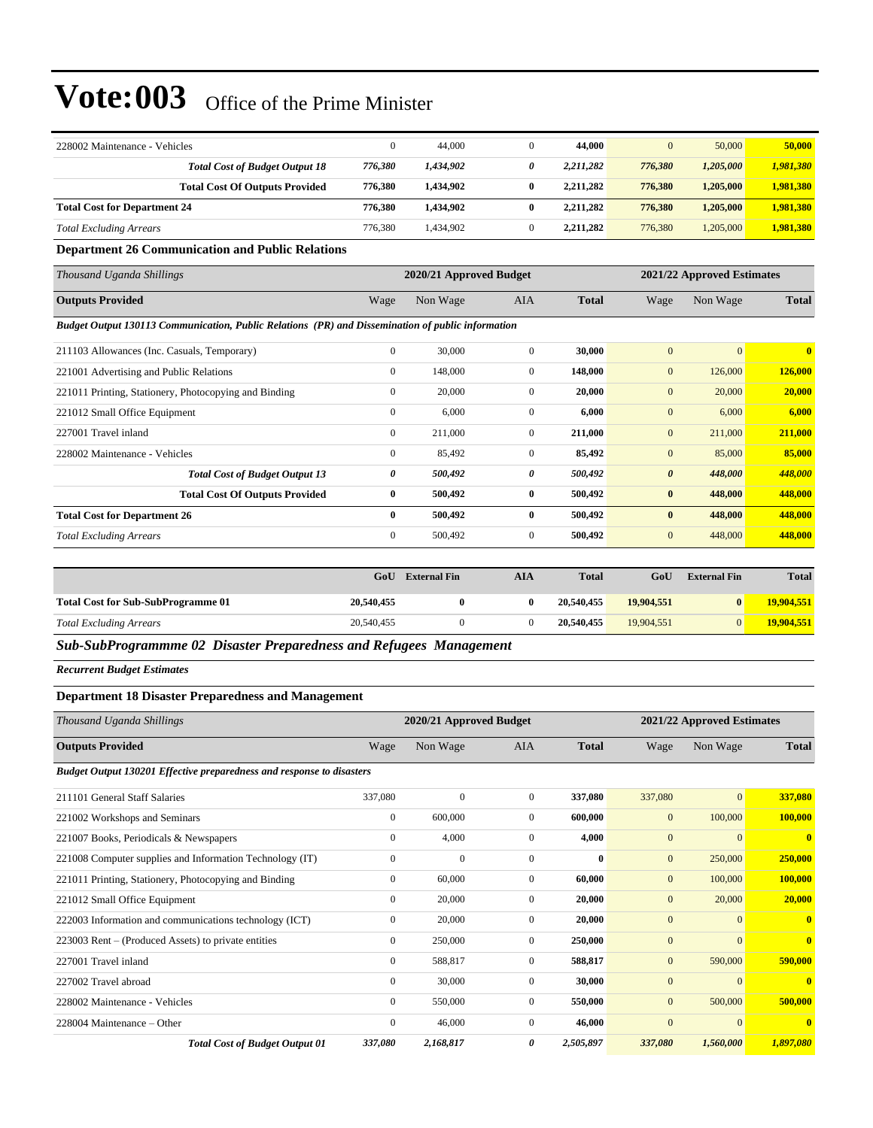| 228002 Maintenance - Vehicles       |                                       |         | 44,000    | 44,000    | $\mathbf{0}$ | 50,000    | 50,000    |
|-------------------------------------|---------------------------------------|---------|-----------|-----------|--------------|-----------|-----------|
|                                     | <b>Total Cost of Budget Output 18</b> | 776.380 | 1.434.902 | 2.211.282 | 776.380      | 1,205,000 | 1,981,380 |
|                                     | <b>Total Cost Of Outputs Provided</b> | 776.380 | 1.434.902 | 2.211.282 | 776.380      | 1.205,000 | 1,981,380 |
| <b>Total Cost for Department 24</b> |                                       | 776.380 | 1.434.902 | 2,211,282 | 776,380      | 1,205,000 | 1,981,380 |
| <b>Total Excluding Arrears</b>      |                                       | 776.380 | 1.434.902 | 2.211.282 | 776,380      | 1.205,000 | 1,981,380 |

**Department 26 Communication and Public Relations**

| Thousand Uganda Shillings                                                                         |              | 2020/21 Approved Budget |                |              |                       | 2021/22 Approved Estimates |              |  |  |
|---------------------------------------------------------------------------------------------------|--------------|-------------------------|----------------|--------------|-----------------------|----------------------------|--------------|--|--|
| <b>Outputs Provided</b>                                                                           | Wage         | Non Wage                | <b>AIA</b>     | <b>Total</b> | Wage                  | Non Wage                   | <b>Total</b> |  |  |
| Budget Output 130113 Communication, Public Relations (PR) and Dissemination of public information |              |                         |                |              |                       |                            |              |  |  |
| 211103 Allowances (Inc. Casuals, Temporary)                                                       | $\mathbf{0}$ | 30,000                  | $\overline{0}$ | 30,000       | $\overline{0}$        | $\Omega$                   | $\mathbf{0}$ |  |  |
| 221001 Advertising and Public Relations                                                           | $\mathbf{0}$ | 148,000                 | $\overline{0}$ | 148,000      | $\mathbf{0}$          | 126,000                    | 126,000      |  |  |
| 221011 Printing, Stationery, Photocopying and Binding                                             | $\mathbf{0}$ | 20,000                  | $\overline{0}$ | 20,000       | $\mathbf{0}$          | 20,000                     | 20,000       |  |  |
| 221012 Small Office Equipment                                                                     | $\mathbf{0}$ | 6,000                   | $\overline{0}$ | 6,000        | $\mathbf{0}$          | 6,000                      | 6,000        |  |  |
| 227001 Travel inland                                                                              | $\mathbf{0}$ | 211,000                 | $\overline{0}$ | 211,000      | $\mathbf{0}$          | 211,000                    | 211,000      |  |  |
| 228002 Maintenance - Vehicles                                                                     | $\mathbf{0}$ | 85,492                  | $\overline{0}$ | 85,492       | $\mathbf{0}$          | 85,000                     | 85,000       |  |  |
| <b>Total Cost of Budget Output 13</b>                                                             | 0            | 500,492                 | 0              | 500,492      | $\boldsymbol{\theta}$ | 448,000                    | 448,000      |  |  |
| <b>Total Cost Of Outputs Provided</b>                                                             | $\bf{0}$     | 500,492                 | $\bf{0}$       | 500,492      | $\bf{0}$              | 448,000                    | 448,000      |  |  |
| <b>Total Cost for Department 26</b>                                                               | $\bf{0}$     | 500,492                 | $\bf{0}$       | 500,492      | $\bf{0}$              | 448,000                    | 448,000      |  |  |
| <b>Total Excluding Arrears</b>                                                                    | $\mathbf{0}$ | 500,492                 | $\mathbf{0}$   | 500,492      | $\mathbf{0}$          | 448,000                    | 448,000      |  |  |

|                                           | GoU        | <b>External Fin</b> | AIA | <b>Total</b> | GoU        | <b>External Fin</b> | <b>Total</b> |
|-------------------------------------------|------------|---------------------|-----|--------------|------------|---------------------|--------------|
| <b>Total Cost for Sub-SubProgramme 01</b> | 20,540,455 |                     |     | 20,540,455   | 19,904.551 |                     | 19,904,551   |
| <b>Total Excluding Arrears</b>            | 20,540,455 |                     |     | 20,540,455   | 19,904.551 |                     | 19,904,551   |

*Sub-SubProgrammme 02 Disaster Preparedness and Refugees Management*

*Recurrent Budget Estimates*

#### **Department 18 Disaster Preparedness and Management**

| Thousand Uganda Shillings                                             |                  | 2020/21 Approved Budget |                |              |                | 2021/22 Approved Estimates |                |  |
|-----------------------------------------------------------------------|------------------|-------------------------|----------------|--------------|----------------|----------------------------|----------------|--|
| <b>Outputs Provided</b>                                               | Wage             | Non Wage                | <b>AIA</b>     | <b>Total</b> | Wage           | Non Wage                   | <b>Total</b>   |  |
| Budget Output 130201 Effective preparedness and response to disasters |                  |                         |                |              |                |                            |                |  |
| 211101 General Staff Salaries                                         | 337,080          | $\mathbf{0}$            | $\overline{0}$ | 337,080      | 337,080        | $\overline{0}$             | 337,080        |  |
| 221002 Workshops and Seminars                                         | $\boldsymbol{0}$ | 600,000                 | $\mathbf{0}$   | 600,000      | $\mathbf{0}$   | 100,000                    | 100,000        |  |
| 221007 Books, Periodicals & Newspapers                                | $\mathbf{0}$     | 4,000                   | $\mathbf{0}$   | 4,000        | $\mathbf{0}$   | $\Omega$                   | $\bf{0}$       |  |
| 221008 Computer supplies and Information Technology (IT)              | $\mathbf{0}$     | $\Omega$                | $\Omega$       | $\mathbf{0}$ | $\mathbf{0}$   | 250,000                    | 250,000        |  |
| 221011 Printing, Stationery, Photocopying and Binding                 | $\mathbf{0}$     | 60,000                  | $\overline{0}$ | 60,000       | $\mathbf{0}$   | 100,000                    | <b>100,000</b> |  |
| 221012 Small Office Equipment                                         | $\mathbf{0}$     | 20,000                  | $\mathbf{0}$   | 20,000       | $\mathbf{0}$   | 20,000                     | 20,000         |  |
| 222003 Information and communications technology (ICT)                | $\mathbf{0}$     | 20,000                  | $\mathbf{0}$   | 20,000       | $\mathbf{0}$   | $\Omega$                   | $\mathbf{0}$   |  |
| 223003 Rent – (Produced Assets) to private entities                   | $\mathbf{0}$     | 250,000                 | $\mathbf{0}$   | 250,000      | $\mathbf{0}$   | $\Omega$                   | $\mathbf{0}$   |  |
| 227001 Travel inland                                                  | $\mathbf{0}$     | 588,817                 | $\mathbf{0}$   | 588,817      | $\mathbf{0}$   | 590,000                    | 590,000        |  |
| 227002 Travel abroad                                                  | $\mathbf{0}$     | 30,000                  | $\mathbf{0}$   | 30,000       | $\mathbf{0}$   | $\overline{0}$             | $\bf{0}$       |  |
| 228002 Maintenance - Vehicles                                         | $\mathbf{0}$     | 550,000                 | $\mathbf{0}$   | 550,000      | $\mathbf{0}$   | 500,000                    | 500,000        |  |
| 228004 Maintenance – Other                                            | $\mathbf{0}$     | 46,000                  | $\mathbf{0}$   | 46,000       | $\overline{0}$ | $\overline{0}$             | $\bf{0}$       |  |
| <b>Total Cost of Budget Output 01</b>                                 | 337,080          | 2,168,817               | 0              | 2,505,897    | 337,080        | 1,560,000                  | 1,897,080      |  |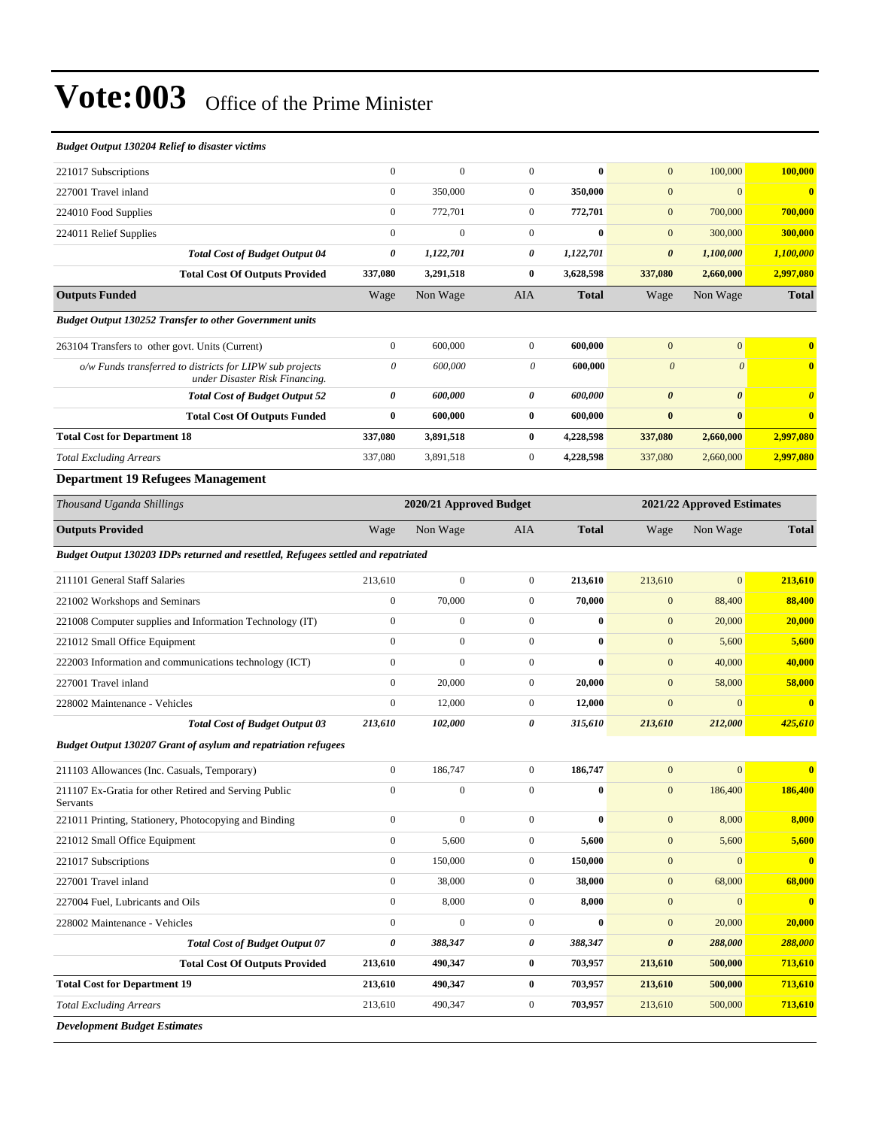*Development Budget Estimates*

| <b>Budget Output 130204 Relief to disaster victims</b>                                     |                                                       |                  |                       |              |                       |                       |                         |
|--------------------------------------------------------------------------------------------|-------------------------------------------------------|------------------|-----------------------|--------------|-----------------------|-----------------------|-------------------------|
| 221017 Subscriptions                                                                       | $\mathbf{0}$                                          | $\mathbf{0}$     | $\boldsymbol{0}$      | $\bf{0}$     | $\mathbf{0}$          | 100,000               | 100,000                 |
| 227001 Travel inland                                                                       | $\overline{0}$                                        | 350,000          | $\mathbf{0}$          | 350,000      | $\mathbf{0}$          | $\mathbf{0}$          | $\overline{\mathbf{0}}$ |
| 224010 Food Supplies                                                                       | $\boldsymbol{0}$                                      | 772,701          | $\mathbf{0}$          | 772,701      | $\mathbf{0}$          | 700,000               | 700,000                 |
| 224011 Relief Supplies                                                                     | $\boldsymbol{0}$                                      | $\boldsymbol{0}$ | $\mathbf{0}$          | $\bf{0}$     | $\mathbf{0}$          | 300,000               | 300,000                 |
| <b>Total Cost of Budget Output 04</b>                                                      | 0                                                     | 1,122,701        | 0                     | 1,122,701    | $\boldsymbol{\theta}$ | 1,100,000             | 1,100,000               |
| <b>Total Cost Of Outputs Provided</b>                                                      | 337,080                                               | 3,291,518        | 0                     | 3,628,598    | 337,080               | 2,660,000             | 2,997,080               |
| <b>Outputs Funded</b>                                                                      | Wage                                                  | Non Wage         | AIA                   | <b>Total</b> | Wage                  | Non Wage              | <b>Total</b>            |
| <b>Budget Output 130252 Transfer to other Government units</b>                             |                                                       |                  |                       |              |                       |                       |                         |
| 263104 Transfers to other govt. Units (Current)                                            | $\boldsymbol{0}$                                      | 600,000          | $\boldsymbol{0}$      | 600,000      | $\mathbf{0}$          | $\mathbf{0}$          | $\overline{\mathbf{0}}$ |
| o/w Funds transferred to districts for LIPW sub projects<br>under Disaster Risk Financing. | 0                                                     | 600,000          | $\boldsymbol{\theta}$ | 600,000      | $\boldsymbol{\theta}$ | $\theta$              | $\mathbf 0$             |
| <b>Total Cost of Budget Output 52</b>                                                      | 0                                                     | 600,000          | 0                     | 600,000      | $\boldsymbol{\theta}$ | $\boldsymbol{\theta}$ | $\boldsymbol{\theta}$   |
| <b>Total Cost Of Outputs Funded</b>                                                        | $\bf{0}$                                              | 600,000          | $\bf{0}$              | 600,000      | $\bf{0}$              | $\bf{0}$              | $\overline{\mathbf{0}}$ |
| <b>Total Cost for Department 18</b>                                                        | 337,080                                               | 3,891,518        | $\bf{0}$              | 4,228,598    | 337,080               | 2,660,000             | 2,997,080               |
| <b>Total Excluding Arrears</b>                                                             | 337,080                                               | 3,891,518        | $\mathbf{0}$          | 4,228,598    | 337,080               | 2,660,000             | 2,997,080               |
| <b>Department 19 Refugees Management</b>                                                   |                                                       |                  |                       |              |                       |                       |                         |
| Thousand Uganda Shillings                                                                  | 2020/21 Approved Budget<br>2021/22 Approved Estimates |                  |                       |              |                       |                       |                         |
| <b>Outputs Provided</b>                                                                    | Wage                                                  | Non Wage         | AIA                   | <b>Total</b> | Wage                  | Non Wage              | <b>Total</b>            |
| Budget Output 130203 IDPs returned and resettled, Refugees settled and repatriated         |                                                       |                  |                       |              |                       |                       |                         |
| 211101 General Staff Salaries                                                              | 213,610                                               | $\boldsymbol{0}$ | $\mathbf{0}$          | 213,610      | 213,610               | $\mathbf{0}$          | 213,610                 |
| 221002 Workshops and Seminars                                                              | $\boldsymbol{0}$                                      | 70,000           | $\mathbf{0}$          | 70,000       | $\boldsymbol{0}$      | 88,400                | 88,400                  |
| 221008 Computer supplies and Information Technology (IT)                                   | $\boldsymbol{0}$                                      | $\boldsymbol{0}$ | $\mathbf{0}$          | $\bf{0}$     | $\mathbf{0}$          | 20,000                | 20,000                  |
| 221012 Small Office Equipment                                                              | $\boldsymbol{0}$                                      | $\boldsymbol{0}$ | $\boldsymbol{0}$      | $\bf{0}$     | $\mathbf{0}$          | 5,600                 | 5,600                   |
| 222003 Information and communications technology (ICT)                                     | $\overline{0}$                                        | $\mathbf{0}$     | $\mathbf{0}$          | $\bf{0}$     | $\mathbf{0}$          | 40,000                | 40,000                  |
| 227001 Travel inland                                                                       | $\boldsymbol{0}$                                      | 20,000           | $\boldsymbol{0}$      | 20,000       | $\mathbf{0}$          | 58,000                | 58,000                  |
| 228002 Maintenance - Vehicles                                                              | $\boldsymbol{0}$                                      | 12,000           | $\boldsymbol{0}$      | 12,000       | $\mathbf{0}$          | $\mathbf{0}$          | $\overline{\mathbf{0}}$ |
| <b>Total Cost of Budget Output 03</b>                                                      | 213,610                                               | 102,000          | 0                     | 315,610      | 213,610               | 212,000               | 425,610                 |
| Budget Output 130207 Grant of asylum and repatriation refugees                             |                                                       |                  |                       |              |                       |                       |                         |
| 211103 Allowances (Inc. Casuals, Temporary)                                                | $\boldsymbol{0}$                                      | 186,747          | $\mathbf{0}$          | 186,747      | $\mathbf{0}$          | $\mathbf{0}$          | $\overline{\mathbf{0}}$ |
| 211107 Ex-Gratia for other Retired and Serving Public<br>Servants                          | $\boldsymbol{0}$                                      | $\boldsymbol{0}$ | $\boldsymbol{0}$      | $\bf{0}$     | $\mathbf{0}$          | 186,400               | 186,400                 |
| 221011 Printing, Stationery, Photocopying and Binding                                      | $\boldsymbol{0}$                                      | $\boldsymbol{0}$ | $\boldsymbol{0}$      | $\bf{0}$     | $\boldsymbol{0}$      | 8,000                 | 8,000                   |
| 221012 Small Office Equipment                                                              | $\boldsymbol{0}$                                      | 5,600            | $\boldsymbol{0}$      | 5,600        | $\boldsymbol{0}$      | 5,600                 | 5,600                   |
| 221017 Subscriptions                                                                       | $\boldsymbol{0}$                                      | 150,000          | $\boldsymbol{0}$      | 150,000      | $\boldsymbol{0}$      | $\mathbf{0}$          | $\overline{\mathbf{0}}$ |
| 227001 Travel inland                                                                       | $\boldsymbol{0}$                                      | 38,000           | $\boldsymbol{0}$      | 38,000       | $\boldsymbol{0}$      | 68,000                | 68,000                  |
| 227004 Fuel, Lubricants and Oils                                                           | $\boldsymbol{0}$                                      | 8,000            | $\boldsymbol{0}$      | 8,000        | $\boldsymbol{0}$      | $\bf{0}$              | $\overline{\mathbf{0}}$ |

228002 Maintenance - Vehicles 0 0 0 **0** 0 20,000 **20,000**

**Total Cost for Department 19 213,610 490,347 0 703,957 213,610 500,000 713,610** *Total Excluding Arrears* 213,610 490,347 0 **703,957** 213,610 500,000 **713,610**

*Total Cost of Budget Output 07 0 388,347 0 388,347 0 288,000 288,000* **Total Cost Of Outputs Provided 213,610 490,347 0 703,957 213,610 500,000 713,610**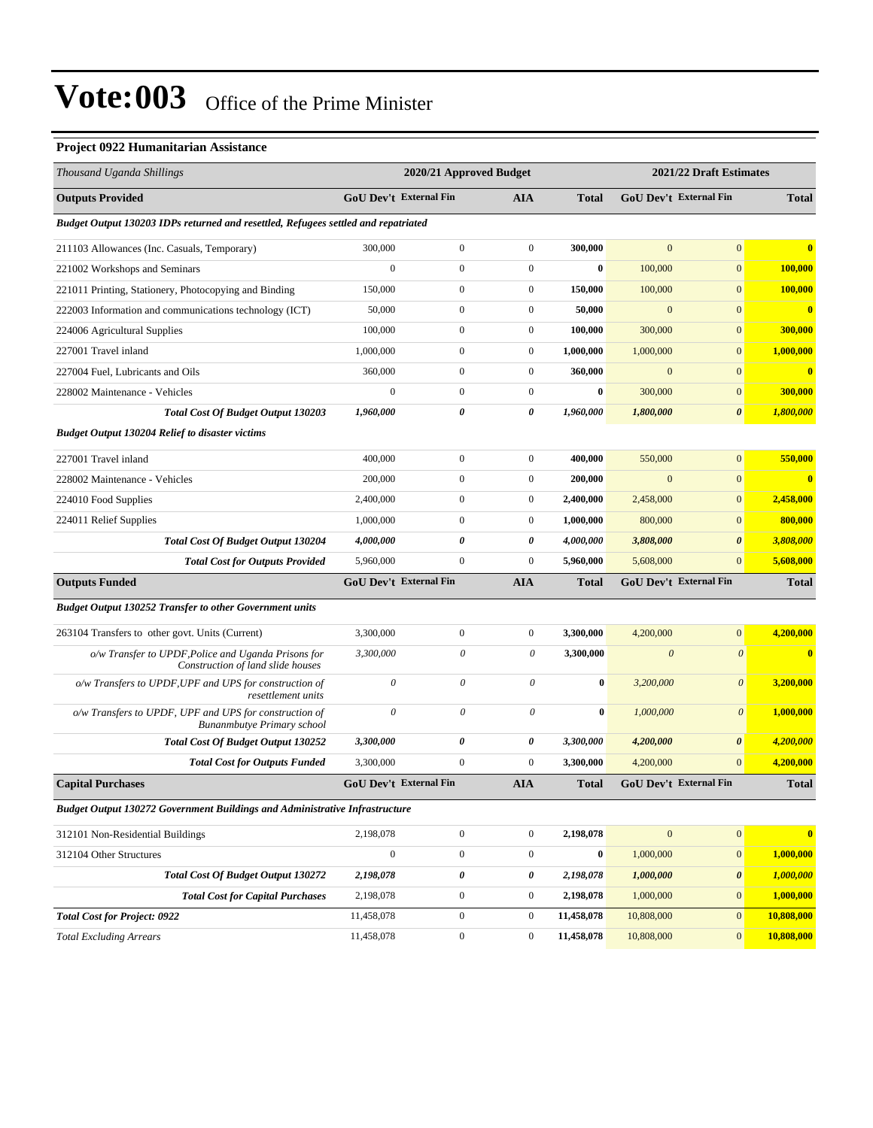#### **Project 0922 Humanitarian Assistance**

| Thousand Uganda Shillings                                                                   |                           | 2020/21 Approved Budget       |                  |                  |                       | 2021/22 Draft Estimates       |                         |  |
|---------------------------------------------------------------------------------------------|---------------------------|-------------------------------|------------------|------------------|-----------------------|-------------------------------|-------------------------|--|
| <b>Outputs Provided</b>                                                                     |                           | <b>GoU Dev't External Fin</b> | <b>AIA</b>       | <b>Total</b>     |                       | <b>GoU Dev't External Fin</b> | <b>Total</b>            |  |
| Budget Output 130203 IDPs returned and resettled, Refugees settled and repatriated          |                           |                               |                  |                  |                       |                               |                         |  |
| 211103 Allowances (Inc. Casuals, Temporary)                                                 | 300,000                   | $\boldsymbol{0}$              | $\boldsymbol{0}$ | 300,000          | $\mathbf{0}$          | $\mathbf{0}$                  | $\bf{0}$                |  |
| 221002 Workshops and Seminars                                                               | $\Omega$                  | $\mathbf{0}$                  | $\mathbf{0}$     | $\bf{0}$         | 100,000               | $\mathbf{0}$                  | 100,000                 |  |
| 221011 Printing, Stationery, Photocopying and Binding                                       | 150,000                   | $\mathbf{0}$                  | $\boldsymbol{0}$ | 150,000          | 100,000               | $\boldsymbol{0}$              | 100,000                 |  |
| 222003 Information and communications technology (ICT)                                      | 50,000                    | $\mathbf{0}$                  | $\boldsymbol{0}$ | 50,000           | $\mathbf{0}$          | $\mathbf{0}$                  | $\bf{0}$                |  |
| 224006 Agricultural Supplies                                                                | 100,000                   | $\mathbf{0}$                  | $\boldsymbol{0}$ | 100,000          | 300,000               | $\mathbf{0}$                  | 300,000                 |  |
| 227001 Travel inland                                                                        | 1,000,000                 | $\boldsymbol{0}$              | $\boldsymbol{0}$ | 1,000,000        | 1,000,000             | $\boldsymbol{0}$              | 1,000,000               |  |
| 227004 Fuel, Lubricants and Oils                                                            | 360,000                   | $\mathbf{0}$                  | $\boldsymbol{0}$ | 360,000          | $\mathbf{0}$          | $\mathbf{0}$                  | $\mathbf{0}$            |  |
| 228002 Maintenance - Vehicles                                                               | $\mathbf{0}$              | $\mathbf{0}$                  | $\boldsymbol{0}$ | $\bf{0}$         | 300,000               | $\mathbf{0}$                  | 300,000                 |  |
| <b>Total Cost Of Budget Output 130203</b>                                                   | 1,960,000                 | 0                             | 0                | 1,960,000        | 1,800,000             | $\boldsymbol{\theta}$         | 1,800,000               |  |
| <b>Budget Output 130204 Relief to disaster victims</b>                                      |                           |                               |                  |                  |                       |                               |                         |  |
| 227001 Travel inland                                                                        | 400,000                   | $\mathbf{0}$                  | $\boldsymbol{0}$ | 400,000          | 550,000               | $\overline{0}$                | 550,000                 |  |
| 228002 Maintenance - Vehicles                                                               | 200,000                   | $\mathbf{0}$                  | $\mathbf{0}$     | 200,000          | $\boldsymbol{0}$      | $\overline{0}$                | $\bf{0}$                |  |
| 224010 Food Supplies                                                                        | 2,400,000                 | $\boldsymbol{0}$              | $\boldsymbol{0}$ | 2,400,000        | 2,458,000             | $\mathbf{0}$                  | 2,458,000               |  |
| 224011 Relief Supplies                                                                      | 1,000,000                 | $\mathbf{0}$                  | $\boldsymbol{0}$ | 1,000,000        | 800,000               | $\mathbf{0}$                  | 800,000                 |  |
| <b>Total Cost Of Budget Output 130204</b>                                                   | 4,000,000                 | 0                             | 0                | 4,000,000        | 3,808,000             | $\boldsymbol{\theta}$         | 3,808,000               |  |
| <b>Total Cost for Outputs Provided</b>                                                      | 5,960,000                 | $\mathbf{0}$                  | $\boldsymbol{0}$ | 5,960,000        | 5,608,000             | $\overline{0}$                | 5,608,000               |  |
| <b>Outputs Funded</b>                                                                       |                           | <b>GoU Dev't External Fin</b> | <b>AIA</b>       | Total            |                       | <b>GoU Dev't External Fin</b> | <b>Total</b>            |  |
| <b>Budget Output 130252 Transfer to other Government units</b>                              |                           |                               |                  |                  |                       |                               |                         |  |
| 263104 Transfers to other govt. Units (Current)                                             | 3,300,000                 | $\mathbf{0}$                  | $\boldsymbol{0}$ | 3,300,000        | 4,200,000             | $\mathbf{0}$                  | 4,200,000               |  |
| o/w Transfer to UPDF, Police and Uganda Prisons for<br>Construction of land slide houses    | 3,300,000                 | $\theta$                      | $\theta$         | 3,300,000        | $\boldsymbol{\theta}$ | $\boldsymbol{\theta}$         | $\overline{\mathbf{0}}$ |  |
| o/w Transfers to UPDF, UPF and UPS for construction of<br>resettlement units                | $\boldsymbol{\mathit{0}}$ | $\theta$                      | $\theta$         | $\bf{0}$         | 3,200,000             | $\boldsymbol{0}$              | 3,200,000               |  |
| o/w Transfers to UPDF, UPF and UPS for construction of<br><b>Bunanmbutye Primary school</b> | $\theta$                  | $\theta$                      | 0                | $\bf{0}$         | 1,000,000             | $\boldsymbol{0}$              | 1,000,000               |  |
| <b>Total Cost Of Budget Output 130252</b>                                                   | 3,300,000                 | 0                             | 0                | 3,300,000        | 4,200,000             | $\boldsymbol{\theta}$         | 4,200,000               |  |
| <b>Total Cost for Outputs Funded</b>                                                        | 3,300,000                 | $\mathbf{0}$                  | $\mathbf{0}$     | 3,300,000        | 4,200,000             | $\mathbf{0}$                  | 4,200,000               |  |
| <b>Capital Purchases</b>                                                                    |                           | <b>GoU Dev't External Fin</b> | <b>AIA</b>       | <b>Total</b>     |                       | <b>GoU</b> Dev't External Fin | <b>Total</b>            |  |
| <b>Budget Output 130272 Government Buildings and Administrative Infrastructure</b>          |                           |                               |                  |                  |                       |                               |                         |  |
| 312101 Non-Residential Buildings                                                            | 2,198,078                 | $\boldsymbol{0}$              | $\boldsymbol{0}$ | 2,198,078        | $\boldsymbol{0}$      | $\vert 0 \vert$               | $\bf{0}$                |  |
| 312104 Other Structures                                                                     | $\boldsymbol{0}$          | $\boldsymbol{0}$              | $\boldsymbol{0}$ | $\boldsymbol{0}$ | 1,000,000             | $\mathbf{0}$                  | 1,000,000               |  |
| Total Cost Of Budget Output 130272                                                          | 2,198,078                 | $\pmb{\theta}$                | 0                | 2,198,078        | 1,000,000             | $\boldsymbol{\theta}$         | 1,000,000               |  |
| <b>Total Cost for Capital Purchases</b>                                                     | 2,198,078                 | $\boldsymbol{0}$              | $\boldsymbol{0}$ | 2,198,078        | 1,000,000             | $\mathbf{0}$                  | 1,000,000               |  |
| <b>Total Cost for Project: 0922</b>                                                         | 11,458,078                | $\boldsymbol{0}$              | $\boldsymbol{0}$ | 11,458,078       | 10,808,000            | $\mathbf{0}$                  | 10,808,000              |  |
| <b>Total Excluding Arrears</b>                                                              | 11,458,078                | $\boldsymbol{0}$              | $\boldsymbol{0}$ | 11,458,078       | 10,808,000            | $\boldsymbol{0}$              | 10,808,000              |  |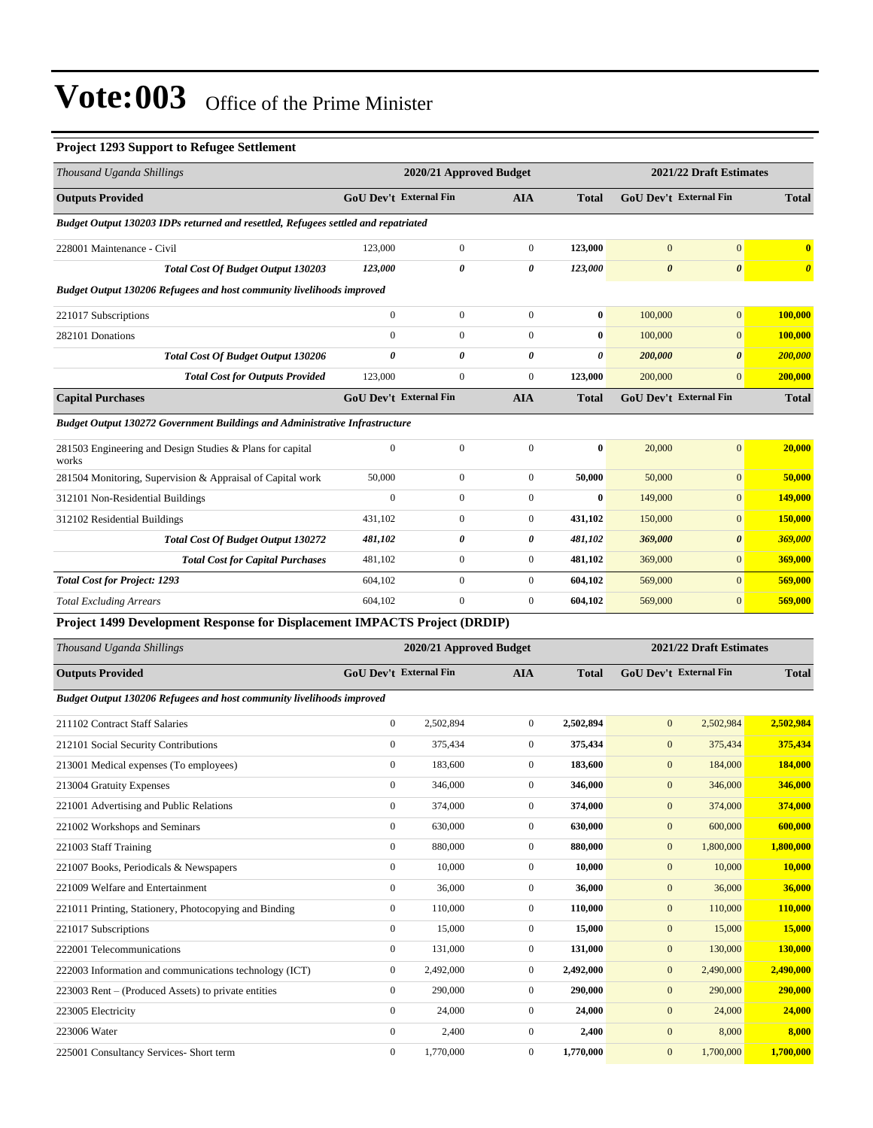#### **Project 1293 Support to Refugee Settlement**

| Thousand Uganda Shillings                                                          |                               | 2020/21 Approved Budget |                  |                       | 2021/22 Draft Estimates |                         |                       |  |
|------------------------------------------------------------------------------------|-------------------------------|-------------------------|------------------|-----------------------|-------------------------|-------------------------|-----------------------|--|
| <b>Outputs Provided</b>                                                            | <b>GoU Dev't External Fin</b> |                         | AIA              | <b>Total</b>          |                         | GoU Dev't External Fin  | <b>Total</b>          |  |
| Budget Output 130203 IDPs returned and resettled, Refugees settled and repatriated |                               |                         |                  |                       |                         |                         |                       |  |
| 228001 Maintenance - Civil                                                         | 123,000                       | $\boldsymbol{0}$        | $\boldsymbol{0}$ | 123,000               | $\mathbf{0}$            | $\boldsymbol{0}$        | $\bf{0}$              |  |
| <b>Total Cost Of Budget Output 130203</b>                                          | 123,000                       | 0                       | 0                | 123,000               | $\boldsymbol{\theta}$   | $\boldsymbol{\theta}$   | $\boldsymbol{\theta}$ |  |
| <b>Budget Output 130206 Refugees and host community livelihoods improved</b>       |                               |                         |                  |                       |                         |                         |                       |  |
| 221017 Subscriptions                                                               | $\boldsymbol{0}$              | $\boldsymbol{0}$        | $\boldsymbol{0}$ | $\boldsymbol{0}$      | 100,000                 | $\mathbf{0}$            | 100,000               |  |
| 282101 Donations                                                                   | $\mathbf{0}$                  | $\boldsymbol{0}$        | $\boldsymbol{0}$ | $\bf{0}$              | 100,000                 | $\mathbf{0}$            | 100,000               |  |
| <b>Total Cost Of Budget Output 130206</b>                                          | 0                             | 0                       | 0                | $\boldsymbol{\theta}$ | 200,000                 | $\boldsymbol{\theta}$   | <b>200,000</b>        |  |
| <b>Total Cost for Outputs Provided</b>                                             | 123,000                       | $\boldsymbol{0}$        | $\boldsymbol{0}$ | 123,000               | 200,000                 | $\mathbf{0}$            | 200,000               |  |
| <b>Capital Purchases</b>                                                           | <b>GoU Dev't External Fin</b> |                         | <b>AIA</b>       | <b>Total</b>          |                         | GoU Dev't External Fin  | <b>Total</b>          |  |
| Budget Output 130272 Government Buildings and Administrative Infrastructure        |                               |                         |                  |                       |                         |                         |                       |  |
| 281503 Engineering and Design Studies & Plans for capital<br>works                 | $\boldsymbol{0}$              | $\boldsymbol{0}$        | $\boldsymbol{0}$ | $\bf{0}$              | 20,000                  | $\mathbf{0}$            | 20,000                |  |
| 281504 Monitoring, Supervision & Appraisal of Capital work                         | 50,000                        | 0                       | $\boldsymbol{0}$ | 50,000                | 50,000                  | $\boldsymbol{0}$        | 50,000                |  |
| 312101 Non-Residential Buildings                                                   | $\boldsymbol{0}$              | $\boldsymbol{0}$        | $\boldsymbol{0}$ | $\bf{0}$              | 149,000                 | $\mathbf{0}$            | 149,000               |  |
| 312102 Residential Buildings                                                       | 431,102                       | $\boldsymbol{0}$        | $\boldsymbol{0}$ | 431,102               | 150,000                 | $\boldsymbol{0}$        | 150,000               |  |
| <b>Total Cost Of Budget Output 130272</b>                                          | 481,102                       | 0                       | 0                | 481,102               | 369,000                 | $\boldsymbol{\theta}$   | 369,000               |  |
| <b>Total Cost for Capital Purchases</b>                                            | 481,102                       | $\mathbf{0}$            | $\boldsymbol{0}$ | 481,102               | 369,000                 | $\mathbf{0}$            | 369,000               |  |
| <b>Total Cost for Project: 1293</b>                                                | 604,102                       | $\boldsymbol{0}$        | $\boldsymbol{0}$ | 604,102               | 569,000                 | $\mathbf{0}$            | 569,000               |  |
| <b>Total Excluding Arrears</b>                                                     | 604,102                       | $\boldsymbol{0}$        | $\boldsymbol{0}$ | 604,102               | 569,000                 | $\mathbf{0}$            | 569,000               |  |
| Project 1499 Development Response for Displacement IMPACTS Project (DRDIP)         |                               |                         |                  |                       |                         |                         |                       |  |
| Thousand Uganda Shillings                                                          |                               | 2020/21 Approved Budget |                  |                       |                         | 2021/22 Draft Estimates |                       |  |
| <b>Outputs Provided</b>                                                            | <b>GoU Dev't External Fin</b> |                         | <b>AIA</b>       | <b>Total</b>          |                         | GoU Dev't External Fin  | <b>Total</b>          |  |
| <b>Budget Output 130206 Refugees and host community livelihoods improved</b>       |                               |                         |                  |                       |                         |                         |                       |  |
| 211102 Contract Staff Salaries                                                     | $\boldsymbol{0}$              | 2,502,894               | $\boldsymbol{0}$ | 2,502,894             | $\boldsymbol{0}$        | 2,502,984               | 2,502,984             |  |
| 212101 Social Security Contributions                                               | $\boldsymbol{0}$              | 375,434                 | $\boldsymbol{0}$ | 375,434               | $\mathbf{0}$            | 375,434                 | 375,434               |  |
| 213001 Medical expenses (To employees)                                             | $\boldsymbol{0}$              | 183,600                 | 0                | 183,600               | $\mathbf{0}$            | 184,000                 | 184,000               |  |
| 213004 Gratuity Expenses                                                           | $\boldsymbol{0}$              | 346,000                 | $\mathbf{0}$     | 346,000               | $\mathbf{0}$            | 346,000                 | 346,000               |  |
| 221001 Advertising and Public Relations                                            | $\boldsymbol{0}$              | 374,000                 | $\boldsymbol{0}$ | 374,000               | $\boldsymbol{0}$        | 374,000                 | 374,000               |  |
| 221002 Workshops and Seminars                                                      | $\boldsymbol{0}$              | 630,000                 | $\boldsymbol{0}$ | 630,000               | $\boldsymbol{0}$        | 600,000                 | 600,000               |  |
| 221003 Staff Training                                                              | $\boldsymbol{0}$              | 880,000                 | $\boldsymbol{0}$ | 880,000               | $\boldsymbol{0}$        | 1,800,000               | 1,800,000             |  |
| 221007 Books, Periodicals & Newspapers                                             | $\boldsymbol{0}$              | 10,000                  | $\boldsymbol{0}$ | 10,000                | $\boldsymbol{0}$        | 10,000                  | 10,000                |  |
| 221009 Welfare and Entertainment                                                   | $\boldsymbol{0}$              | 36,000                  | $\boldsymbol{0}$ | 36,000                | $\boldsymbol{0}$        | 36,000                  | 36,000                |  |
| 221011 Printing, Stationery, Photocopying and Binding                              | $\boldsymbol{0}$              | 110,000                 | $\boldsymbol{0}$ | 110,000               | $\boldsymbol{0}$        | 110,000                 | 110,000               |  |
| 221017 Subscriptions                                                               | $\boldsymbol{0}$              | 15,000                  | $\boldsymbol{0}$ | 15,000                | $\boldsymbol{0}$        | 15,000                  | 15,000                |  |
| 222001 Telecommunications                                                          | $\boldsymbol{0}$              | 131,000                 | $\boldsymbol{0}$ | 131,000               | $\boldsymbol{0}$        | 130,000                 | <b>130,000</b>        |  |
| 222003 Information and communications technology (ICT)                             | $\boldsymbol{0}$              | 2,492,000               | $\boldsymbol{0}$ | 2,492,000             | $\boldsymbol{0}$        | 2,490,000               | 2,490,000             |  |
| 223003 Rent – (Produced Assets) to private entities                                | $\mathbf{0}$                  | 290,000                 | $\boldsymbol{0}$ | 290,000               | $\boldsymbol{0}$        | 290,000                 | 290,000               |  |
| 223005 Electricity                                                                 | $\boldsymbol{0}$              | 24,000                  | $\boldsymbol{0}$ | 24,000                | $\boldsymbol{0}$        | 24,000                  | 24,000                |  |
| 223006 Water                                                                       | $\boldsymbol{0}$              | 2,400                   | $\boldsymbol{0}$ | 2,400                 | $\boldsymbol{0}$        | 8,000                   | 8,000                 |  |
| 225001 Consultancy Services- Short term                                            | $\boldsymbol{0}$              | 1,770,000               | $\boldsymbol{0}$ | 1,770,000             | $\boldsymbol{0}$        | 1,700,000               | 1,700,000             |  |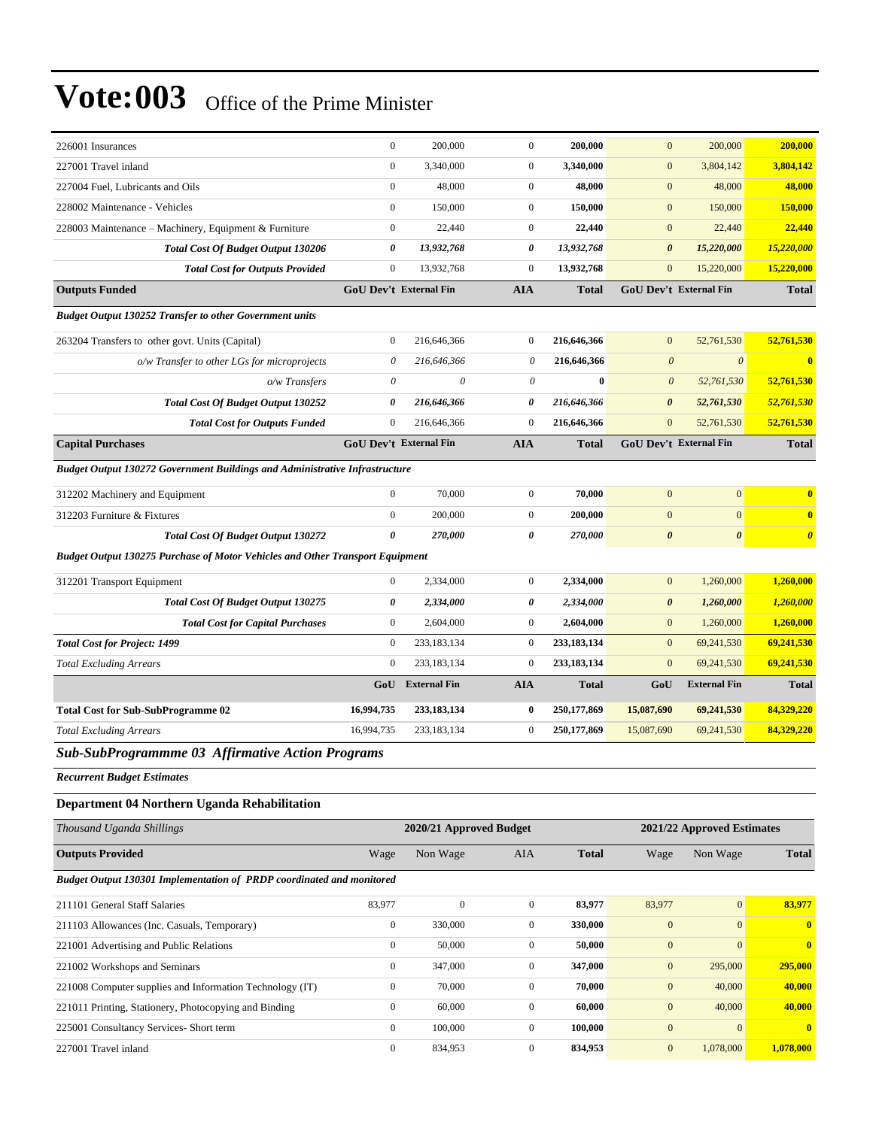| 226001 Insurances                                                                    | $\mathbf{0}$              | 200,000                       | $\boldsymbol{0}$          | 200,000       | $\mathbf{0}$                     | 200,000                       | 200,000               |
|--------------------------------------------------------------------------------------|---------------------------|-------------------------------|---------------------------|---------------|----------------------------------|-------------------------------|-----------------------|
| 227001 Travel inland                                                                 | $\overline{0}$            | 3,340,000                     | $\mathbf{0}$              | 3,340,000     | $\mathbf{0}$                     | 3,804,142                     | 3,804,142             |
| 227004 Fuel, Lubricants and Oils                                                     | $\overline{0}$            | 48,000                        | $\mathbf{0}$              | 48,000        | $\mathbf{0}$                     | 48,000                        | 48,000                |
| 228002 Maintenance - Vehicles                                                        | $\overline{0}$            | 150,000                       | $\mathbf{0}$              | 150,000       | $\boldsymbol{0}$                 | 150,000                       | 150,000               |
| 228003 Maintenance – Machinery, Equipment & Furniture                                | $\overline{0}$            | 22,440                        | $\mathbf{0}$              | 22,440        | $\bf{0}$                         | 22,440                        | 22,440                |
| <b>Total Cost Of Budget Output 130206</b>                                            | 0                         | 13,932,768                    | 0                         | 13,932,768    | $\boldsymbol{\theta}$            | 15,220,000                    | 15,220,000            |
| <b>Total Cost for Outputs Provided</b>                                               | $\mathbf{0}$              | 13,932,768                    | $\mathbf{0}$              | 13,932,768    | $\bf{0}$                         | 15,220,000                    | 15,220,000            |
| <b>Outputs Funded</b>                                                                |                           | <b>GoU Dev't External Fin</b> | <b>AIA</b>                | <b>Total</b>  |                                  | <b>GoU Dev't External Fin</b> | <b>Total</b>          |
| <b>Budget Output 130252 Transfer to other Government units</b>                       |                           |                               |                           |               |                                  |                               |                       |
| 263204 Transfers to other govt. Units (Capital)                                      | $\overline{0}$            | 216,646,366                   | $\mathbf{0}$              | 216,646,366   | $\mathbf{0}$                     | 52,761,530                    | 52,761,530            |
| o/w Transfer to other LGs for microprojects                                          | $\boldsymbol{\theta}$     | 216,646,366                   | $\boldsymbol{\mathit{0}}$ | 216,646,366   | $\boldsymbol{\mathit{0}}$        | $\boldsymbol{\theta}$         | $\bf{0}$              |
| o/w Transfers                                                                        | $\boldsymbol{\mathit{0}}$ | $\theta$                      | 0                         | $\bf{0}$      | $\boldsymbol{\theta}$            | 52,761,530                    | 52,761,530            |
| <b>Total Cost Of Budget Output 130252</b>                                            | 0                         | 216,646,366                   | 0                         | 216,646,366   | $\boldsymbol{\theta}$            | 52,761,530                    | 52,761,530            |
| <b>Total Cost for Outputs Funded</b>                                                 | $\boldsymbol{0}$          | 216,646,366                   | $\mathbf{0}$              | 216,646,366   | $\bf{0}$                         | 52,761,530                    | 52,761,530            |
| <b>Capital Purchases</b>                                                             |                           | GoU Dev't External Fin        | <b>AIA</b>                | <b>Total</b>  |                                  | <b>GoU Dev't External Fin</b> | <b>Total</b>          |
| <b>Budget Output 130272 Government Buildings and Administrative Infrastructure</b>   |                           |                               |                           |               |                                  |                               |                       |
|                                                                                      | $\overline{0}$            |                               | $\mathbf{0}$              | 70,000        |                                  | $\boldsymbol{0}$              |                       |
| 312202 Machinery and Equipment                                                       | $\boldsymbol{0}$          | 70,000                        | $\mathbf{0}$              |               | $\boldsymbol{0}$<br>$\mathbf{0}$ | $\overline{0}$                | $\mathbf{0}$          |
| 312203 Furniture & Fixtures                                                          |                           | 200,000                       |                           | 200,000       |                                  |                               | $\bf{0}$              |
| <b>Total Cost Of Budget Output 130272</b>                                            | 0                         | 270,000                       | $\boldsymbol{\theta}$     | 270,000       | $\boldsymbol{\theta}$            | $\pmb{\theta}$                | $\boldsymbol{\theta}$ |
| <b>Budget Output 130275 Purchase of Motor Vehicles and Other Transport Equipment</b> |                           |                               |                           |               |                                  |                               |                       |
| 312201 Transport Equipment                                                           | $\overline{0}$            | 2,334,000                     | $\boldsymbol{0}$          | 2,334,000     | $\mathbf{0}$                     | 1,260,000                     | 1,260,000             |
| Total Cost Of Budget Output 130275                                                   | 0                         | 2,334,000                     | $\boldsymbol{\theta}$     | 2,334,000     | 0                                | 1,260,000                     | 1,260,000             |
| <b>Total Cost for Capital Purchases</b>                                              | $\mathbf{0}$              | 2,604,000                     | $\mathbf{0}$              | 2,604,000     | $\mathbf{0}$                     | 1,260,000                     | 1,260,000             |
| <b>Total Cost for Project: 1499</b>                                                  | $\overline{0}$            | 233,183,134                   | $\mathbf{0}$              | 233,183,134   | $\mathbf{0}$                     | 69,241,530                    | 69,241,530            |
| <b>Total Excluding Arrears</b>                                                       | $\overline{0}$            | 233,183,134                   | $\mathbf{0}$              | 233, 183, 134 | $\boldsymbol{0}$                 | 69,241,530                    | 69,241,530            |
|                                                                                      | GoU                       | <b>External Fin</b>           | <b>AIA</b>                | <b>Total</b>  | GoU                              | <b>External Fin</b>           | <b>Total</b>          |
| <b>Total Cost for Sub-SubProgramme 02</b>                                            | 16,994,735                | 233,183,134                   | $\bf{0}$                  | 250,177,869   | 15,087,690                       | 69,241,530                    | 84,329,220            |
| <b>Total Excluding Arrears</b>                                                       | 16,994,735                | 233,183,134                   | $\boldsymbol{0}$          | 250,177,869   | 15,087,690                       | 69,241,530                    | 84,329,220            |
| Sub-SubProgrammme 03 Affirmative Action Programs                                     |                           |                               |                           |               |                                  |                               |                       |
| <b>Recurrent Budget Estimates</b>                                                    |                           |                               |                           |               |                                  |                               |                       |
| Department 04 Northern Uganda Rehabilitation                                         |                           |                               |                           |               |                                  |                               |                       |
| Thousand Uganda Shillings                                                            |                           | 2020/21 Approved Budget       |                           |               |                                  | 2021/22 Approved Estimates    |                       |
| <b>Outputs Provided</b>                                                              | Wage                      | Non Wage                      | AIA                       | Total         | Wage                             | Non Wage                      | <b>Total</b>          |
|                                                                                      |                           |                               |                           |               |                                  |                               |                       |
| Budget Output 130301 Implementation of PRDP coordinated and monitored                |                           |                               |                           |               |                                  |                               |                       |
| 211101 General Staff Salaries                                                        | 83,977                    | $\boldsymbol{0}$              | $\mathbf{0}$              | 83,977        | 83,977                           | $\mathbf{0}$                  | 83,977                |
| 211103 Allowances (Inc. Casuals, Temporary)                                          | $\boldsymbol{0}$          | 330,000                       | $\mathbf{0}$              | 330,000       | $\boldsymbol{0}$                 | $\mathbf{0}$                  | $\boldsymbol{0}$      |
| 221001 Advertising and Public Relations                                              | $\boldsymbol{0}$          | 50,000                        | $\boldsymbol{0}$          | 50,000        | $\boldsymbol{0}$                 | $\mathbf{0}$                  | $\bf{0}$              |
| 221002 Workshops and Seminars                                                        | $\boldsymbol{0}$          | 347,000                       | $\mathbf{0}$              | 347,000       | $\mathbf{0}$                     | 295,000                       | 295,000               |
| 221008 Computer supplies and Information Technology (IT)                             | $\boldsymbol{0}$          | 70,000                        | $\mathbf{0}$              | 70,000        | $\mathbf{0}$                     | 40,000                        | 40,000                |
| 221011 Printing, Stationery, Photocopying and Binding                                | $\boldsymbol{0}$          | 60,000                        | $\boldsymbol{0}$          | 60,000        | $\mathbf{0}$                     | 40,000                        | 40,000                |
| 225001 Consultancy Services- Short term                                              | $\boldsymbol{0}$          | 100,000                       | $\boldsymbol{0}$          | 100,000       | $\boldsymbol{0}$                 | $\boldsymbol{0}$              | $\bf{0}$              |
| 227001 Travel inland                                                                 | $\boldsymbol{0}$          | 834,953                       | $\boldsymbol{0}$          | 834,953       | $\boldsymbol{0}$                 | 1,078,000                     | 1,078,000             |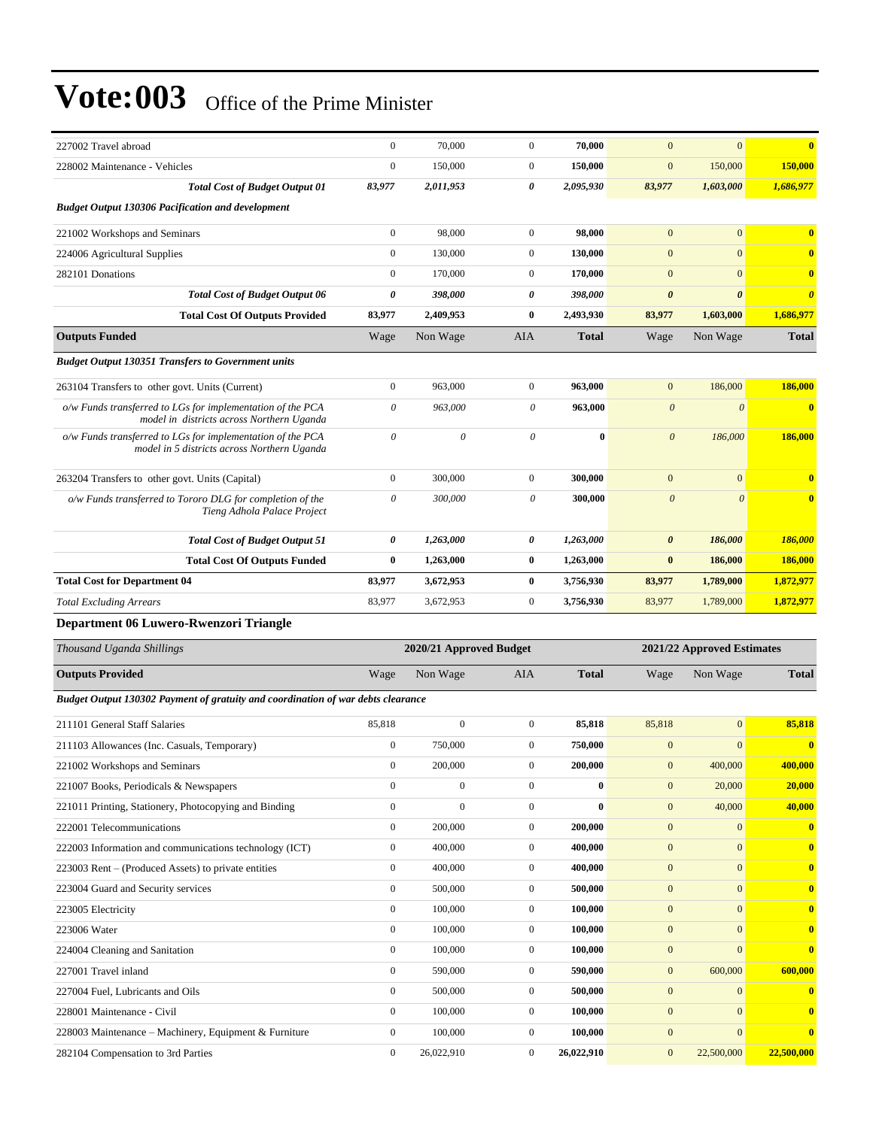| 227002 Travel abroad                                                                                      | $\mathbf{0}$          | 70,000                  | $\Omega$              | 70,000       | $\overline{0}$        | $\mathbf{0}$               | $\mathbf{0}$            |
|-----------------------------------------------------------------------------------------------------------|-----------------------|-------------------------|-----------------------|--------------|-----------------------|----------------------------|-------------------------|
| 228002 Maintenance - Vehicles                                                                             | $\mathbf{0}$          | 150,000                 | $\mathbf{0}$          | 150,000      | $\mathbf{0}$          | 150,000                    | 150,000                 |
| <b>Total Cost of Budget Output 01</b>                                                                     | 83,977                | 2,011,953               | 0                     | 2,095,930    | 83,977                | 1,603,000                  | 1,686,977               |
| <b>Budget Output 130306 Pacification and development</b>                                                  |                       |                         |                       |              |                       |                            |                         |
| 221002 Workshops and Seminars                                                                             | $\boldsymbol{0}$      | 98,000                  | $\mathbf{0}$          | 98,000       | $\mathbf{0}$          | $\mathbf{0}$               | $\overline{\mathbf{0}}$ |
| 224006 Agricultural Supplies                                                                              | $\mathbf{0}$          | 130,000                 | $\overline{0}$        | 130,000      | $\mathbf{0}$          | $\mathbf{0}$               | $\overline{\mathbf{0}}$ |
| 282101 Donations                                                                                          | $\boldsymbol{0}$      | 170,000                 | $\boldsymbol{0}$      | 170,000      | $\mathbf{0}$          | $\mathbf{0}$               | $\overline{\mathbf{0}}$ |
| <b>Total Cost of Budget Output 06</b>                                                                     | 0                     | 398,000                 | 0                     | 398,000      | $\boldsymbol{\theta}$ | $\boldsymbol{\theta}$      | $\boldsymbol{\theta}$   |
| <b>Total Cost Of Outputs Provided</b>                                                                     | 83,977                | 2,409,953               | $\bf{0}$              | 2,493,930    | 83,977                | 1,603,000                  | 1,686,977               |
| <b>Outputs Funded</b>                                                                                     | Wage                  | Non Wage                | <b>AIA</b>            | <b>Total</b> | Wage                  | Non Wage                   | <b>Total</b>            |
| <b>Budget Output 130351 Transfers to Government units</b>                                                 |                       |                         |                       |              |                       |                            |                         |
| 263104 Transfers to other govt. Units (Current)                                                           | $\mathbf{0}$          | 963,000                 | $\overline{0}$        | 963,000      | $\mathbf{0}$          | 186,000                    | 186,000                 |
| o/w Funds transferred to LGs for implementation of the PCA<br>model in districts across Northern Uganda   | $\theta$              | 963,000                 | $\theta$              | 963,000      | $\boldsymbol{\theta}$ | $\theta$                   | $\overline{\mathbf{0}}$ |
| o/w Funds transferred to LGs for implementation of the PCA<br>model in 5 districts across Northern Uganda | $\theta$              | $\theta$                | $\theta$              | $\mathbf{0}$ | $\theta$              | 186,000                    | 186,000                 |
| 263204 Transfers to other govt. Units (Capital)                                                           | $\mathbf{0}$          | 300,000                 | $\overline{0}$        | 300,000      | $\mathbf{0}$          | $\mathbf{0}$               | $\mathbf{0}$            |
| o/w Funds transferred to Tororo DLG for completion of the<br>Tieng Adhola Palace Project                  | $\theta$              | 300,000                 | 0                     | 300,000      | $\theta$              | $\theta$                   | $\overline{\mathbf{0}}$ |
| <b>Total Cost of Budget Output 51</b>                                                                     | $\boldsymbol{\theta}$ | 1,263,000               | $\boldsymbol{\theta}$ | 1,263,000    | $\boldsymbol{\theta}$ | 186,000                    | 186,000                 |
| <b>Total Cost Of Outputs Funded</b>                                                                       | $\mathbf{0}$          | 1,263,000               | $\bf{0}$              | 1,263,000    | $\bf{0}$              | 186,000                    | 186,000                 |
| <b>Total Cost for Department 04</b>                                                                       | 83,977                | 3,672,953               | $\bf{0}$              | 3,756,930    | 83,977                | 1,789,000                  | 1,872,977               |
| <b>Total Excluding Arrears</b>                                                                            | 83,977                | 3,672,953               | $\mathbf{0}$          | 3,756,930    | 83,977                | 1,789,000                  | 1,872,977               |
| Department 06 Luwero-Rwenzori Triangle                                                                    |                       |                         |                       |              |                       |                            |                         |
| Thousand Uganda Shillings                                                                                 |                       | 2020/21 Approved Budget |                       |              |                       | 2021/22 Approved Estimates |                         |

|                |              |                                                                                  | 2021/22 <i>ixpproved</i> Estimates |              |              |                         |
|----------------|--------------|----------------------------------------------------------------------------------|------------------------------------|--------------|--------------|-------------------------|
| Wage           | Non Wage     | <b>AIA</b>                                                                       | <b>Total</b>                       | Wage         | Non Wage     | <b>Total</b>            |
|                |              |                                                                                  |                                    |              |              |                         |
| 85,818         | $\mathbf{0}$ | $\mathbf{0}$                                                                     | 85,818                             | 85,818       | $\mathbf{0}$ | 85,818                  |
| $\overline{0}$ | 750,000      | $\mathbf{0}$                                                                     | 750,000                            | $\mathbf{0}$ | $\Omega$     | $\mathbf{0}$            |
| $\overline{0}$ | 200,000      | $\mathbf{0}$                                                                     | 200,000                            | $\mathbf{0}$ | 400,000      | 400,000                 |
| $\overline{0}$ | $\mathbf{0}$ | $\mathbf{0}$                                                                     | $\mathbf{0}$                       | $\mathbf{0}$ | 20,000       | 20,000                  |
| $\overline{0}$ | $\mathbf{0}$ | $\mathbf{0}$                                                                     | $\mathbf{0}$                       | $\mathbf{0}$ | 40,000       | 40,000                  |
| $\overline{0}$ | 200,000      | $\mathbf{0}$                                                                     | 200,000                            | $\mathbf{0}$ | $\mathbf{0}$ | $\overline{\mathbf{0}}$ |
| $\overline{0}$ | 400,000      | $\overline{0}$                                                                   | 400,000                            | $\mathbf{0}$ | $\mathbf{0}$ | $\mathbf{0}$            |
| $\overline{0}$ | 400,000      | $\overline{0}$                                                                   | 400,000                            | $\mathbf{0}$ | $\mathbf{0}$ | $\mathbf{0}$            |
| $\overline{0}$ | 500,000      | $\mathbf{0}$                                                                     | 500,000                            | $\mathbf{0}$ | $\mathbf{0}$ | $\overline{\mathbf{0}}$ |
| $\Omega$       | 100,000      | $\mathbf{0}$                                                                     | 100,000                            | $\mathbf{0}$ | $\mathbf{0}$ | $\overline{\mathbf{0}}$ |
| $\overline{0}$ | 100,000      | $\overline{0}$                                                                   | 100,000                            | $\mathbf{0}$ | $\mathbf{0}$ | $\overline{\mathbf{0}}$ |
| $\overline{0}$ | 100,000      | $\mathbf{0}$                                                                     | 100,000                            | $\mathbf{0}$ | $\Omega$     | $\mathbf{0}$            |
| $\overline{0}$ | 590,000      | $\mathbf{0}$                                                                     | 590,000                            | $\mathbf{0}$ | 600,000      | 600,000                 |
| $\overline{0}$ | 500,000      | $\mathbf{0}$                                                                     | 500,000                            | $\mathbf{0}$ | $\mathbf{0}$ | $\overline{\mathbf{0}}$ |
| $\overline{0}$ | 100,000      | $\mathbf{0}$                                                                     | 100,000                            | $\mathbf{0}$ | $\Omega$     | $\overline{\mathbf{0}}$ |
| $\Omega$       | 100,000      | $\Omega$                                                                         | 100,000                            | $\mathbf{0}$ | $\mathbf{0}$ | $\mathbf{0}$            |
| $\overline{0}$ | 26,022,910   | $\mathbf{0}$                                                                     | 26,022,910                         | $\mathbf{0}$ | 22,500,000   | 22,500,000              |
|                |              | Budget Output 130302 Payment of gratuity and coordination of war debts clearance | 2020/21 Approved Duuget            |              |              |                         |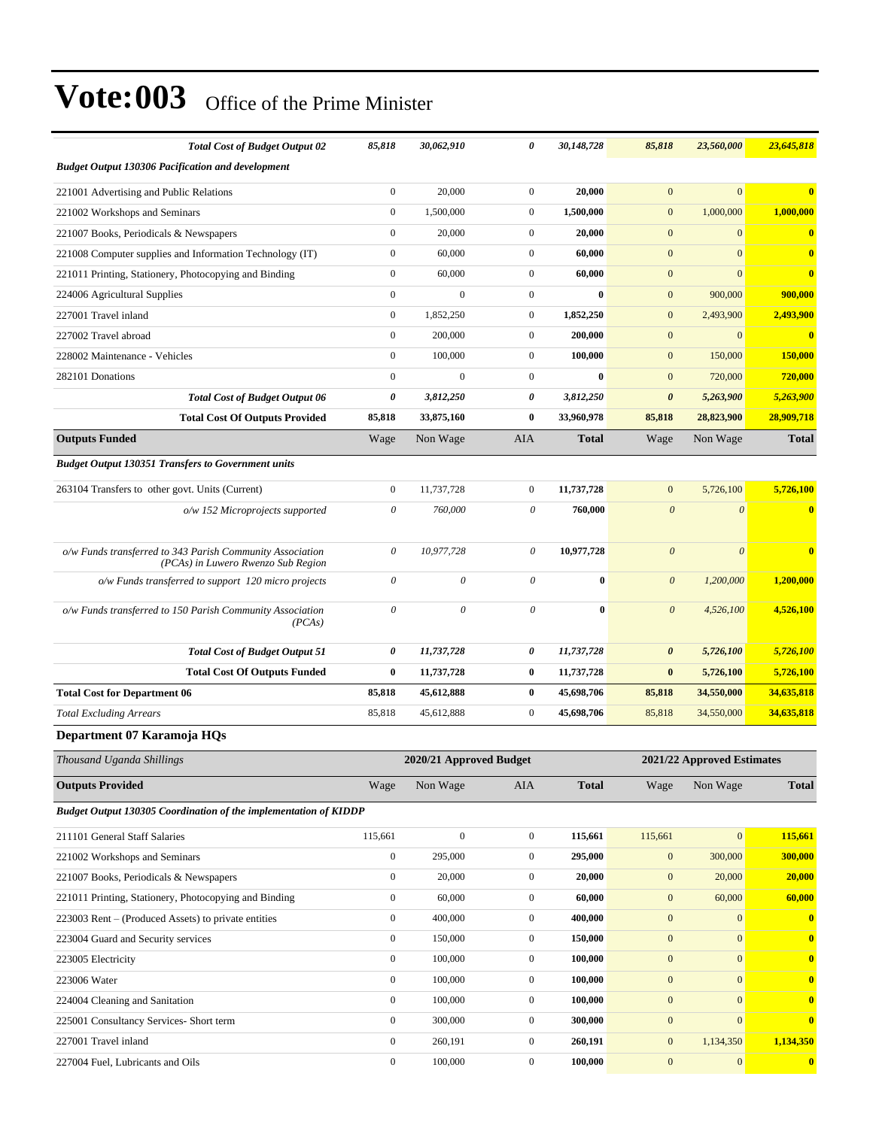| <b>Total Cost of Budget Output 02</b>                                                           | 85,818                | 30,062,910                | 0                | 30,148,728   | 85,818                | 23,560,000                 | 23,645,818              |
|-------------------------------------------------------------------------------------------------|-----------------------|---------------------------|------------------|--------------|-----------------------|----------------------------|-------------------------|
| <b>Budget Output 130306 Pacification and development</b>                                        |                       |                           |                  |              |                       |                            |                         |
| 221001 Advertising and Public Relations                                                         | $\boldsymbol{0}$      | 20,000                    | $\overline{0}$   | 20,000       | $\overline{0}$        | $\mathbf{0}$               | $\mathbf{0}$            |
| 221002 Workshops and Seminars                                                                   | $\mathbf{0}$          | 1,500,000                 | $\overline{0}$   | 1,500,000    | $\mathbf{0}$          | 1,000,000                  | 1,000,000               |
| 221007 Books, Periodicals & Newspapers                                                          | $\boldsymbol{0}$      | 20,000                    | $\boldsymbol{0}$ | 20,000       | $\mathbf{0}$          | $\mathbf{0}$               | $\mathbf{0}$            |
| 221008 Computer supplies and Information Technology (IT)                                        | $\boldsymbol{0}$      | 60,000                    | $\mathbf{0}$     | 60,000       | $\mathbf{0}$          | $\mathbf{0}$               | $\mathbf{0}$            |
| 221011 Printing, Stationery, Photocopying and Binding                                           | $\boldsymbol{0}$      | 60,000                    | $\mathbf{0}$     | 60,000       | $\mathbf{0}$          | $\mathbf{0}$               | $\mathbf{0}$            |
| 224006 Agricultural Supplies                                                                    | $\boldsymbol{0}$      | $\mathbf{0}$              | $\mathbf{0}$     | $\bf{0}$     | $\mathbf{0}$          | 900,000                    | 900,000                 |
| 227001 Travel inland                                                                            | $\boldsymbol{0}$      | 1,852,250                 | $\overline{0}$   | 1,852,250    | $\mathbf{0}$          | 2,493,900                  | 2,493,900               |
| 227002 Travel abroad                                                                            | $\boldsymbol{0}$      | 200,000                   | $\boldsymbol{0}$ | 200,000      | $\mathbf{0}$          | $\mathbf{0}$               | $\bf{0}$                |
| 228002 Maintenance - Vehicles                                                                   | $\boldsymbol{0}$      | 100,000                   | $\mathbf{0}$     | 100,000      | $\mathbf{0}$          | 150,000                    | 150,000                 |
| 282101 Donations                                                                                | $\boldsymbol{0}$      | $\boldsymbol{0}$          | $\mathbf{0}$     | $\bf{0}$     | $\mathbf{0}$          | 720,000                    | 720,000                 |
| <b>Total Cost of Budget Output 06</b>                                                           | 0                     | 3,812,250                 | 0                | 3,812,250    | $\boldsymbol{\theta}$ | 5,263,900                  | 5,263,900               |
| <b>Total Cost Of Outputs Provided</b>                                                           | 85,818                | 33,875,160                | $\bf{0}$         | 33,960,978   | 85,818                | 28,823,900                 | 28,909,718              |
| <b>Outputs Funded</b>                                                                           | Wage                  | Non Wage                  | <b>AIA</b>       | <b>Total</b> | Wage                  | Non Wage                   | <b>Total</b>            |
| <b>Budget Output 130351 Transfers to Government units</b>                                       |                       |                           |                  |              |                       |                            |                         |
| 263104 Transfers to other govt. Units (Current)                                                 | $\boldsymbol{0}$      | 11,737,728                | $\boldsymbol{0}$ | 11,737,728   | $\mathbf{0}$          | 5,726,100                  | 5,726,100               |
| o/w 152 Microprojects supported                                                                 | $\boldsymbol{\theta}$ | 760,000                   | 0                | 760,000      | $\boldsymbol{\theta}$ | $\boldsymbol{\theta}$      | $\bf{0}$                |
|                                                                                                 |                       |                           |                  |              |                       |                            |                         |
| o/w Funds transferred to 343 Parish Community Association<br>(PCAs) in Luwero Rwenzo Sub Region | $\theta$              | 10,977,728                | 0                | 10,977,728   | $\boldsymbol{\theta}$ | $\boldsymbol{\theta}$      | $\mathbf{0}$            |
| o/w Funds transferred to support 120 micro projects                                             | $\theta$              | $\theta$                  | $\theta$         | $\bf{0}$     | $\boldsymbol{\theta}$ | 1,200,000                  | 1,200,000               |
| o/w Funds transferred to 150 Parish Community Association<br>(PCAs)                             | $\theta$              | $\boldsymbol{\mathit{0}}$ | $\theta$         | $\bf{0}$     | $\theta$              | 4,526,100                  | 4,526,100               |
| <b>Total Cost of Budget Output 51</b>                                                           | 0                     | 11,737,728                | 0                | 11,737,728   | 0                     | 5,726,100                  | 5,726,100               |
| <b>Total Cost Of Outputs Funded</b>                                                             | $\bf{0}$              | 11,737,728                | $\bf{0}$         | 11,737,728   | $\bf{0}$              | 5,726,100                  | 5,726,100               |
| <b>Total Cost for Department 06</b>                                                             | 85,818                | 45,612,888                | $\bf{0}$         | 45,698,706   | 85,818                | 34,550,000                 | 34,635,818              |
| <b>Total Excluding Arrears</b>                                                                  | 85,818                | 45,612,888                | $\mathbf{0}$     | 45,698,706   | 85,818                | 34,550,000                 | 34,635,818              |
| Department 07 Karamoja HQs                                                                      |                       |                           |                  |              |                       |                            |                         |
| Thousand Uganda Shillings                                                                       |                       | 2020/21 Approved Budget   |                  |              |                       | 2021/22 Approved Estimates |                         |
| <b>Outputs Provided</b>                                                                         | Wage                  | Non Wage                  | AIA              | <b>Total</b> | Wage                  | Non Wage                   | <b>Total</b>            |
| Budget Output 130305 Coordination of the implementation of KIDDP                                |                       |                           |                  |              |                       |                            |                         |
| 211101 General Staff Salaries                                                                   | 115,661               | $\boldsymbol{0}$          | $\mathbf{0}$     | 115,661      | 115,661               | $\boldsymbol{0}$           | 115,661                 |
| 221002 Workshops and Seminars                                                                   | $\boldsymbol{0}$      | 295,000                   | $\boldsymbol{0}$ | 295,000      | $\mathbf{0}$          | 300,000                    | 300,000                 |
| 221007 Books, Periodicals & Newspapers                                                          | $\boldsymbol{0}$      | 20,000                    | $\boldsymbol{0}$ | 20,000       | $\boldsymbol{0}$      | 20,000                     | 20,000                  |
| 221011 Printing, Stationery, Photocopying and Binding                                           | $\boldsymbol{0}$      | 60,000                    | $\mathbf{0}$     | 60,000       | $\mathbf{0}$          | 60,000                     | 60,000                  |
| 223003 Rent – (Produced Assets) to private entities                                             | $\boldsymbol{0}$      | 400,000                   | $\boldsymbol{0}$ | 400,000      | $\boldsymbol{0}$      | $\boldsymbol{0}$           | $\mathbf{0}$            |
| 223004 Guard and Security services                                                              | $\boldsymbol{0}$      | 150,000                   | $\mathbf{0}$     | 150,000      | $\boldsymbol{0}$      | $\mathbf{0}$               | $\mathbf{0}$            |
| 223005 Electricity                                                                              | $\boldsymbol{0}$      | 100,000                   | $\boldsymbol{0}$ | 100,000      | $\boldsymbol{0}$      | $\mathbf{0}$               | $\bf{0}$                |
| 223006 Water                                                                                    | $\boldsymbol{0}$      | 100,000                   | $\boldsymbol{0}$ | 100,000      | $\boldsymbol{0}$      | $\boldsymbol{0}$           | $\bf{0}$                |
| 224004 Cleaning and Sanitation                                                                  | $\boldsymbol{0}$      | 100,000                   | $\mathbf{0}$     | 100,000      | $\mathbf{0}$          | $\boldsymbol{0}$           | $\bf{0}$                |
| 225001 Consultancy Services- Short term                                                         | $\boldsymbol{0}$      | 300,000                   | $\boldsymbol{0}$ | 300,000      | $\boldsymbol{0}$      | $\mathbf{0}$               | $\bf{0}$                |
| 227001 Travel inland                                                                            | $\boldsymbol{0}$      | 260,191                   | $\mathbf{0}$     | 260,191      | $\boldsymbol{0}$      | 1,134,350                  | 1,134,350               |
| 227004 Fuel, Lubricants and Oils                                                                | $\boldsymbol{0}$      | 100,000                   | $\boldsymbol{0}$ | 100,000      | $\mathbf{0}$          | $\boldsymbol{0}$           | $\overline{\mathbf{0}}$ |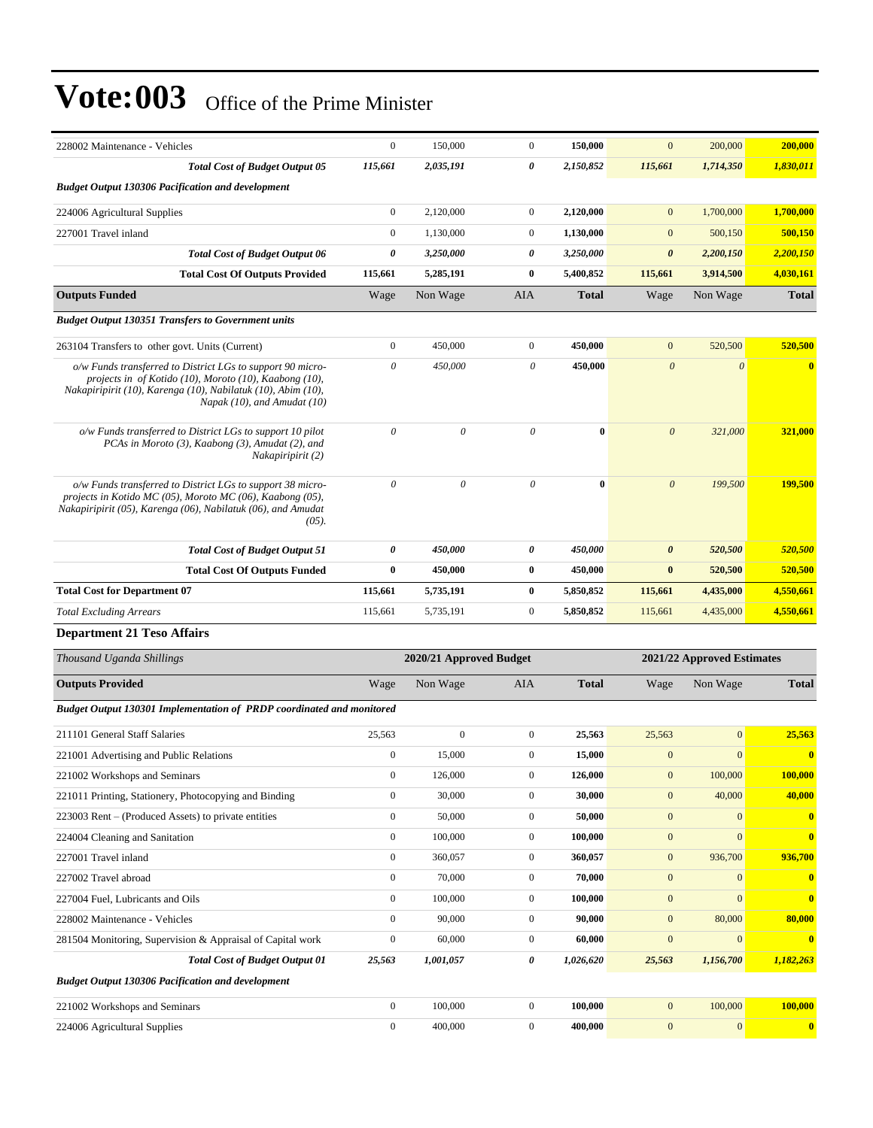| 228002 Maintenance - Vehicles                                                                                                                                                                                       | $\boldsymbol{0}$ | 150,000                   | $\mathbf{0}$     | 150,000      | $\mathbf{0}$          | 200,000                    | 200,000                 |
|---------------------------------------------------------------------------------------------------------------------------------------------------------------------------------------------------------------------|------------------|---------------------------|------------------|--------------|-----------------------|----------------------------|-------------------------|
| <b>Total Cost of Budget Output 05</b>                                                                                                                                                                               | 115,661          | 2,035,191                 | 0                | 2,150,852    | 115,661               | 1,714,350                  | 1,830,011               |
| <b>Budget Output 130306 Pacification and development</b>                                                                                                                                                            |                  |                           |                  |              |                       |                            |                         |
| 224006 Agricultural Supplies                                                                                                                                                                                        | $\boldsymbol{0}$ | 2,120,000                 | $\mathbf{0}$     | 2,120,000    | $\mathbf{0}$          | 1,700,000                  | 1,700,000               |
| 227001 Travel inland                                                                                                                                                                                                | $\boldsymbol{0}$ | 1,130,000                 | $\mathbf{0}$     | 1,130,000    | $\mathbf{0}$          | 500,150                    | 500,150                 |
| <b>Total Cost of Budget Output 06</b>                                                                                                                                                                               | 0                | 3,250,000                 | 0                | 3,250,000    | $\boldsymbol{\theta}$ | 2,200,150                  | 2,200,150               |
| <b>Total Cost Of Outputs Provided</b>                                                                                                                                                                               | 115,661          | 5,285,191                 | $\bf{0}$         | 5,400,852    | 115,661               | 3,914,500                  | 4,030,161               |
| <b>Outputs Funded</b>                                                                                                                                                                                               | Wage             | Non Wage                  | AIA              | <b>Total</b> | Wage                  | Non Wage                   | <b>Total</b>            |
| <b>Budget Output 130351 Transfers to Government units</b>                                                                                                                                                           |                  |                           |                  |              |                       |                            |                         |
| 263104 Transfers to other govt. Units (Current)                                                                                                                                                                     | $\boldsymbol{0}$ | 450,000                   | $\mathbf{0}$     | 450,000      | $\mathbf{0}$          | 520,500                    | 520,500                 |
| o/w Funds transferred to District LGs to support 90 micro-<br>projects in of Kotido (10), Moroto (10), Kaabong (10),<br>Nakapiripirit (10), Karenga (10), Nabilatuk (10), Abim (10),<br>Napak (10), and Amudat (10) | $\theta$         | 450,000                   | $\theta$         | 450,000      | $\boldsymbol{\theta}$ | $\boldsymbol{\theta}$      | $\overline{\mathbf{0}}$ |
| o/w Funds transferred to District LGs to support 10 pilot<br>PCAs in Moroto (3), Kaabong (3), Amudat (2), and<br>Nakapiripirit (2)                                                                                  | $\theta$         | $\boldsymbol{\mathit{0}}$ | $\theta$         | $\bf{0}$     | $\boldsymbol{\theta}$ | 321,000                    | 321,000                 |
| o/w Funds transferred to District LGs to support 38 micro-<br>projects in Kotido MC (05), Moroto MC (06), Kaabong (05),<br>Nakapiripirit (05), Karenga (06), Nabilatuk (06), and Amudat<br>$(05)$ .                 | $\theta$         | $\theta$                  | $\theta$         | $\mathbf{0}$ | $\boldsymbol{\theta}$ | 199,500                    | 199,500                 |
| <b>Total Cost of Budget Output 51</b>                                                                                                                                                                               | 0                | 450,000                   | 0                | 450,000      | $\boldsymbol{\theta}$ | 520,500                    | 520,500                 |
| <b>Total Cost Of Outputs Funded</b>                                                                                                                                                                                 | $\bf{0}$         | 450,000                   | $\bf{0}$         | 450,000      | $\bf{0}$              | 520,500                    | 520,500                 |
| <b>Total Cost for Department 07</b>                                                                                                                                                                                 | 115,661          | 5,735,191                 | $\bf{0}$         | 5,850,852    | 115,661               | 4,435,000                  | 4,550,661               |
| <b>Total Excluding Arrears</b>                                                                                                                                                                                      | 115,661          | 5,735,191                 | $\boldsymbol{0}$ | 5,850,852    | 115,661               | 4,435,000                  | 4,550,661               |
| <b>Department 21 Teso Affairs</b>                                                                                                                                                                                   |                  |                           |                  |              |                       |                            |                         |
| Thousand Uganda Shillings                                                                                                                                                                                           |                  | 2020/21 Approved Budget   |                  |              |                       | 2021/22 Approved Estimates |                         |
| <b>Outputs Provided</b>                                                                                                                                                                                             | Wage             | Non Wage                  | AIA              | <b>Total</b> | Wage                  | Non Wage                   | <b>Total</b>            |
| Budget Output 130301 Implementation of PRDP coordinated and monitored                                                                                                                                               |                  |                           |                  |              |                       |                            |                         |
| 211101 General Staff Salaries                                                                                                                                                                                       | 25,563           | $\boldsymbol{0}$          | $\boldsymbol{0}$ | 25,563       | 25,563                | $\overline{0}$             | 25,563                  |
| 221001 Advertising and Public Relations                                                                                                                                                                             | $\boldsymbol{0}$ | 15,000                    | $\mathbf{0}$     | 15,000       | $\mathbf{0}$          | $\mathbf{0}$               | $\bf{0}$                |
| 221002 Workshops and Seminars                                                                                                                                                                                       | $\boldsymbol{0}$ | 126,000                   | $\boldsymbol{0}$ | 126,000      | $\boldsymbol{0}$      | 100,000                    | 100,000                 |
| 221011 Printing, Stationery, Photocopying and Binding                                                                                                                                                               | $\boldsymbol{0}$ | 30,000                    | $\boldsymbol{0}$ | 30,000       | $\mathbf{0}$          | 40,000                     | 40,000                  |
| 223003 Rent – (Produced Assets) to private entities                                                                                                                                                                 | $\boldsymbol{0}$ | 50,000                    | $\boldsymbol{0}$ | 50,000       | $\mathbf{0}$          | $\mathbf{0}$               | $\overline{\mathbf{0}}$ |
| 224004 Cleaning and Sanitation                                                                                                                                                                                      | $\boldsymbol{0}$ | 100,000                   | $\boldsymbol{0}$ | 100,000      | $\boldsymbol{0}$      | $\mathbf{0}$               | $\bf{0}$                |
| 227001 Travel inland                                                                                                                                                                                                | $\boldsymbol{0}$ | 360,057                   | $\boldsymbol{0}$ | 360,057      | $\boldsymbol{0}$      | 936,700                    | 936,700                 |
| 227002 Travel abroad                                                                                                                                                                                                | $\boldsymbol{0}$ | 70,000                    | $\boldsymbol{0}$ | 70,000       | $\mathbf{0}$          | $\bf{0}$                   | $\bf{0}$                |
| 227004 Fuel, Lubricants and Oils                                                                                                                                                                                    | $\mathbf{0}$     | 100,000                   | $\boldsymbol{0}$ | 100,000      | $\boldsymbol{0}$      | $\mathbf{0}$               | $\bf{0}$                |
| 228002 Maintenance - Vehicles                                                                                                                                                                                       | $\boldsymbol{0}$ | 90,000                    | $\boldsymbol{0}$ | 90,000       | $\mathbf{0}$          | 80,000                     | 80,000                  |
| 281504 Monitoring, Supervision & Appraisal of Capital work                                                                                                                                                          | $\boldsymbol{0}$ | 60,000                    | $\boldsymbol{0}$ | 60,000       | $\boldsymbol{0}$      | $\mathbf{0}$               | $\bf{0}$                |
| <b>Total Cost of Budget Output 01</b>                                                                                                                                                                               | 25,563           | 1,001,057                 | 0                | 1,026,620    | 25,563                | 1,156,700                  | 1,182,263               |
| <b>Budget Output 130306 Pacification and development</b>                                                                                                                                                            |                  |                           |                  |              |                       |                            |                         |
| 221002 Workshops and Seminars                                                                                                                                                                                       | $\boldsymbol{0}$ | 100,000                   | $\boldsymbol{0}$ | 100,000      | $\mathbf{0}$          | 100,000                    | 100,000                 |
| 224006 Agricultural Supplies                                                                                                                                                                                        | $\boldsymbol{0}$ | 400,000                   | $\mathbf{0}$     | 400,000      | $\boldsymbol{0}$      | 0                          | $\bullet$               |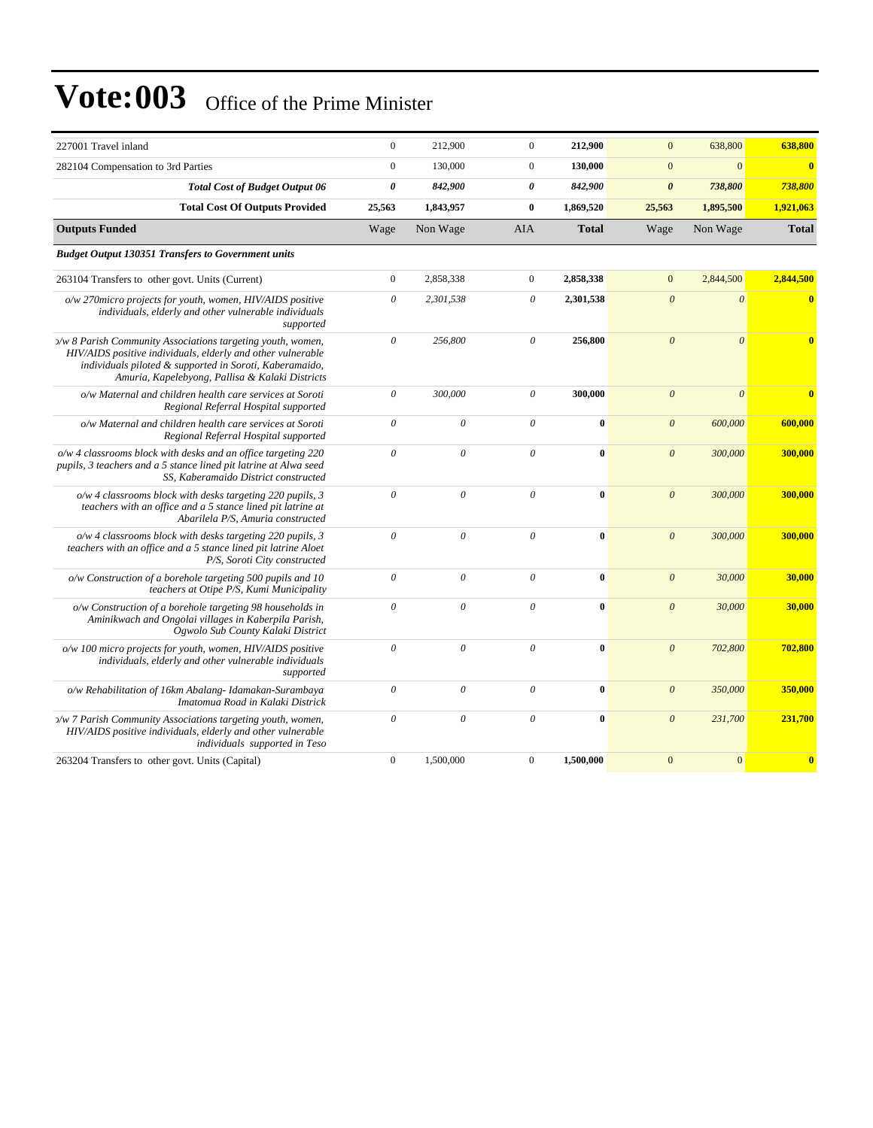| 227001 Travel inland                                                                                                                                                                                                                     | $\boldsymbol{0}$      | 212,900               | $\overline{0}$ | 212,900      | $\mathbf{0}$          | 638,800                 | 638,800                 |
|------------------------------------------------------------------------------------------------------------------------------------------------------------------------------------------------------------------------------------------|-----------------------|-----------------------|----------------|--------------|-----------------------|-------------------------|-------------------------|
| 282104 Compensation to 3rd Parties                                                                                                                                                                                                       | $\mathbf{0}$          | 130,000               | $\mathbf{0}$   | 130,000      | $\mathbf{0}$          | $\mathbf{0}$            | $\bf{0}$                |
| <b>Total Cost of Budget Output 06</b>                                                                                                                                                                                                    | 0                     | 842,900               | 0              | 842,900      | $\boldsymbol{\theta}$ | 738,800                 | 738,800                 |
| <b>Total Cost Of Outputs Provided</b>                                                                                                                                                                                                    | 25,563                | 1,843,957             | $\bf{0}$       | 1,869,520    | 25,563                | 1,895,500               | 1,921,063               |
| <b>Outputs Funded</b>                                                                                                                                                                                                                    | Wage                  | Non Wage              | <b>AIA</b>     | <b>Total</b> | Wage                  | Non Wage                | <b>Total</b>            |
| <b>Budget Output 130351 Transfers to Government units</b>                                                                                                                                                                                |                       |                       |                |              |                       |                         |                         |
| 263104 Transfers to other govt. Units (Current)                                                                                                                                                                                          | $\boldsymbol{0}$      | 2,858,338             | $\mathbf{0}$   | 2,858,338    | $\mathbf{0}$          | 2,844,500               | 2,844,500               |
| o/w 270micro projects for youth, women, HIV/AIDS positive<br>individuals, elderly and other vulnerable individuals<br>supported                                                                                                          | $\boldsymbol{\theta}$ | 2,301,538             | $\theta$       | 2,301,538    | $\boldsymbol{0}$      | $\boldsymbol{\theta}$   | $\overline{\mathbf{0}}$ |
| >/w 8 Parish Community Associations targeting youth, women,<br>HIV/AIDS positive individuals, elderly and other vulnerable<br>individuals piloted & supported in Soroti, Kaberamaido,<br>Amuria, Kapelebyong, Pallisa & Kalaki Districts | $\boldsymbol{\theta}$ | 256,800               | $\theta$       | 256,800      | $\boldsymbol{\theta}$ | $\overline{\mathbf{0}}$ | $\overline{0}$          |
| o/w Maternal and children health care services at Soroti<br>Regional Referral Hospital supported                                                                                                                                         | $\theta$              | 300,000               | $\theta$       | 300,000      | $\mathcal{O}$         | $\theta$                |                         |
| o/w Maternal and children health care services at Soroti<br>Regional Referral Hospital supported                                                                                                                                         | $\theta$              | $\theta$              | $\theta$       | $\bf{0}$     | $\mathcal{O}$         | 600,000                 | 600,000                 |
| o/w 4 classrooms block with desks and an office targeting 220<br>pupils, 3 teachers and a 5 stance lined pit latrine at Alwa seed<br>SS, Kaberamaido District constructed                                                                | $\theta$              | $\boldsymbol{\theta}$ | $\theta$       | $\bf{0}$     | $\boldsymbol{\theta}$ | 300,000                 | 300,000                 |
| $o/w$ 4 classrooms block with desks targeting 220 pupils, 3<br>teachers with an office and a 5 stance lined pit latrine at<br>Abarilela P/S, Amuria constructed                                                                          | $\boldsymbol{\theta}$ | $\theta$              | $\theta$       | $\bf{0}$     | $\mathcal{O}$         | 300,000                 | 300,000                 |
| $o/w$ 4 classrooms block with desks targeting 220 pupils, 3<br>teachers with an office and a 5 stance lined pit latrine Aloet<br>P/S, Soroti City constructed                                                                            | $\theta$              | $\theta$              | $\theta$       | $\bf{0}$     | $\mathcal{O}$         | 300,000                 | 300,000                 |
| o/w Construction of a borehole targeting 500 pupils and 10<br>teachers at Otipe P/S, Kumi Municipality                                                                                                                                   | $\theta$              | $\theta$              | $\theta$       | $\bf{0}$     | $\mathcal{O}$         | 30,000                  | 30,000                  |
| o/w Construction of a borehole targeting 98 households in<br>Aminikwach and Ongolai villages in Kaberpila Parish,<br>Ogwolo Sub County Kalaki District                                                                                   | $\theta$              | $\theta$              | $\theta$       | $\theta$     | $\theta$              | 30,000                  | 30,000                  |
| o/w 100 micro projects for youth, women, HIV/AIDS positive<br>individuals, elderly and other vulnerable individuals<br>supported                                                                                                         | $\theta$              | $\theta$              | $\theta$       | $\bf{0}$     | $\boldsymbol{\theta}$ | 702,800                 | 702,800                 |
| o/w Rehabilitation of 16km Abalang- Idamakan-Surambaya<br>Imatomua Road in Kalaki Districk                                                                                                                                               | $\theta$              | $\theta$              | $\theta$       | $\bf{0}$     | $\mathcal{O}$         | 350,000                 | 350,000                 |
| y/w 7 Parish Community Associations targeting youth, women,<br>HIV/AIDS positive individuals, elderly and other vulnerable<br>individuals supported in Teso                                                                              | $\theta$              | $\theta$              | $\theta$       | $\theta$     | $\mathcal{O}$         | 231,700                 | 231,700                 |
| 263204 Transfers to other govt. Units (Capital)                                                                                                                                                                                          | $\mathbf{0}$          | 1,500,000             | $\mathbf{0}$   | 1,500,000    | $\overline{0}$        | $\overline{0}$          | $\overline{\mathbf{0}}$ |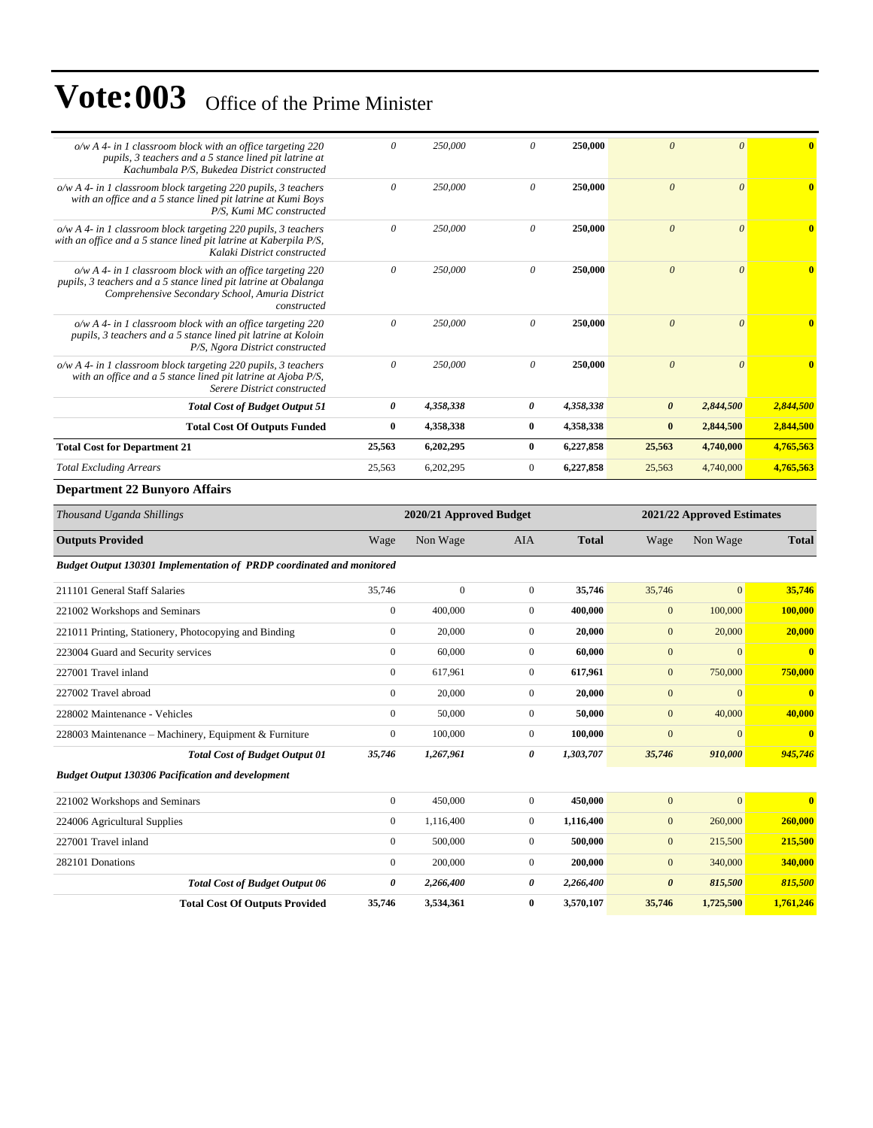| $o/w$ A 4- in 1 classroom block with an office targeting 220<br>pupils, 3 teachers and a 5 stance lined pit latrine at<br>Kachumbala P/S, Bukedea District constructed                            | $\theta$ | 250,000   | $\Omega$     | 250,000   | $\theta$              | $\theta$  | $\bf{0}$     |
|---------------------------------------------------------------------------------------------------------------------------------------------------------------------------------------------------|----------|-----------|--------------|-----------|-----------------------|-----------|--------------|
| o/w A 4- in 1 classroom block targeting 220 pupils, 3 teachers<br>with an office and a 5 stance lined pit latrine at Kumi Boys<br>P/S. Kumi MC constructed                                        | $\theta$ | 250,000   | $\theta$     | 250,000   | $\theta$              | $\theta$  |              |
| $o/w A 4$ - in 1 classroom block targeting 220 pupils, 3 teachers<br>with an office and a 5 stance lined pit latrine at Kaberpila P/S,<br>Kalaki District constructed                             | $\theta$ | 250,000   | $\theta$     | 250,000   | $\theta$              | $\theta$  | $\mathbf{0}$ |
| $o/w$ A 4- in 1 classroom block with an office targeting 220<br>pupils, 3 teachers and a 5 stance lined pit latrine at Obalanga<br>Comprehensive Secondary School, Amuria District<br>constructed | $\theta$ | 250,000   | $\theta$     | 250,000   | $\theta$              | $\theta$  | $\mathbf{0}$ |
| $o/w$ A 4- in 1 classroom block with an office targeting 220<br>pupils, 3 teachers and a 5 stance lined pit latrine at Koloin<br>P/S, Ngora District constructed                                  | $\theta$ | 250,000   | $\theta$     | 250,000   | $\theta$              | $\theta$  |              |
| $o/w$ A 4- in 1 classroom block targeting 220 pupils, 3 teachers<br>with an office and a 5 stance lined pit latrine at Ajoba P/S,<br>Serere District constructed                                  | $\theta$ | 250,000   | $\theta$     | 250,000   | $\theta$              | $\theta$  | $\mathbf{0}$ |
| <b>Total Cost of Budget Output 51</b>                                                                                                                                                             | 0        | 4,358,338 | 0            | 4,358,338 | $\boldsymbol{\theta}$ | 2,844,500 | 2,844,500    |
| <b>Total Cost Of Outputs Funded</b>                                                                                                                                                               | $\bf{0}$ | 4,358,338 | $\bf{0}$     | 4,358,338 | $\bf{0}$              | 2,844,500 | 2,844,500    |
| <b>Total Cost for Department 21</b>                                                                                                                                                               | 25,563   | 6,202,295 | $\bf{0}$     | 6,227,858 | 25,563                | 4,740,000 | 4,765,563    |
| <b>Total Excluding Arrears</b>                                                                                                                                                                    | 25,563   | 6,202,295 | $\mathbf{0}$ | 6,227,858 | 25,563                | 4,740,000 | 4,765,563    |

#### **Department 22 Bunyoro Affairs**

| Thousand Uganda Shillings                                             |                  | 2020/21 Approved Budget |                |              |                  | 2021/22 Approved Estimates |                         |  |
|-----------------------------------------------------------------------|------------------|-------------------------|----------------|--------------|------------------|----------------------------|-------------------------|--|
| <b>Outputs Provided</b>                                               | Wage             | Non Wage                | <b>AIA</b>     | <b>Total</b> | Wage             | Non Wage                   | <b>Total</b>            |  |
| Budget Output 130301 Implementation of PRDP coordinated and monitored |                  |                         |                |              |                  |                            |                         |  |
| 211101 General Staff Salaries                                         | 35,746           | $\overline{0}$          | $\overline{0}$ | 35,746       | 35,746           | $\mathbf{0}$               | 35,746                  |  |
| 221002 Workshops and Seminars                                         | $\boldsymbol{0}$ | 400,000                 | $\overline{0}$ | 400,000      | $\mathbf{0}$     | 100,000                    | 100,000                 |  |
| 221011 Printing, Stationery, Photocopying and Binding                 | $\overline{0}$   | 20,000                  | $\overline{0}$ | 20,000       | $\mathbf{0}$     | 20,000                     | 20,000                  |  |
| 223004 Guard and Security services                                    | $\overline{0}$   | 60,000                  | $\overline{0}$ | 60,000       | $\mathbf{0}$     | $\mathbf{0}$               | $\overline{\mathbf{0}}$ |  |
| 227001 Travel inland                                                  | $\overline{0}$   | 617,961                 | $\overline{0}$ | 617,961      | $\mathbf{0}$     | 750,000                    | 750,000                 |  |
| 227002 Travel abroad                                                  | $\overline{0}$   | 20,000                  | $\overline{0}$ | 20,000       | $\mathbf{0}$     | $\mathbf{0}$               | $\overline{\mathbf{0}}$ |  |
| 228002 Maintenance - Vehicles                                         | $\overline{0}$   | 50,000                  | $\overline{0}$ | 50,000       | $\mathbf{0}$     | 40,000                     | 40,000                  |  |
| 228003 Maintenance - Machinery, Equipment & Furniture                 | $\boldsymbol{0}$ | 100,000                 | $\overline{0}$ | 100,000      | $\boldsymbol{0}$ | $\boldsymbol{0}$           | $\mathbf{0}$            |  |
| <b>Total Cost of Budget Output 01</b>                                 | 35,746           | 1,267,961               | 0              | 1,303,707    | 35,746           | 910,000                    | 945,746                 |  |
| <b>Budget Output 130306 Pacification and development</b>              |                  |                         |                |              |                  |                            |                         |  |
| 221002 Workshops and Seminars                                         | $\boldsymbol{0}$ | 450,000                 | $\overline{0}$ | 450,000      | $\mathbf{0}$     | $\mathbf{0}$               | $\mathbf{0}$            |  |
| 224006 Agricultural Supplies                                          | $\overline{0}$   | 1,116,400               | $\mathbf{0}$   | 1,116,400    | $\mathbf{0}$     | 260,000                    | 260,000                 |  |
| 227001 Travel inland                                                  | $\mathbf{0}$     | 500,000                 | $\overline{0}$ | 500,000      | $\mathbf{0}$     | 215,500                    | 215,500                 |  |
| 282101 Donations                                                      | $\overline{0}$   | 200,000                 | $\overline{0}$ | 200,000      | $\mathbf{0}$     | 340,000                    | 340,000                 |  |
| <b>Total Cost of Budget Output 06</b>                                 | 0                | 2,266,400               | 0              | 2,266,400    | 0                | 815,500                    | 815,500                 |  |
| <b>Total Cost Of Outputs Provided</b>                                 | 35,746           | 3,534,361               | $\bf{0}$       | 3,570,107    | 35,746           | 1,725,500                  | 1,761,246               |  |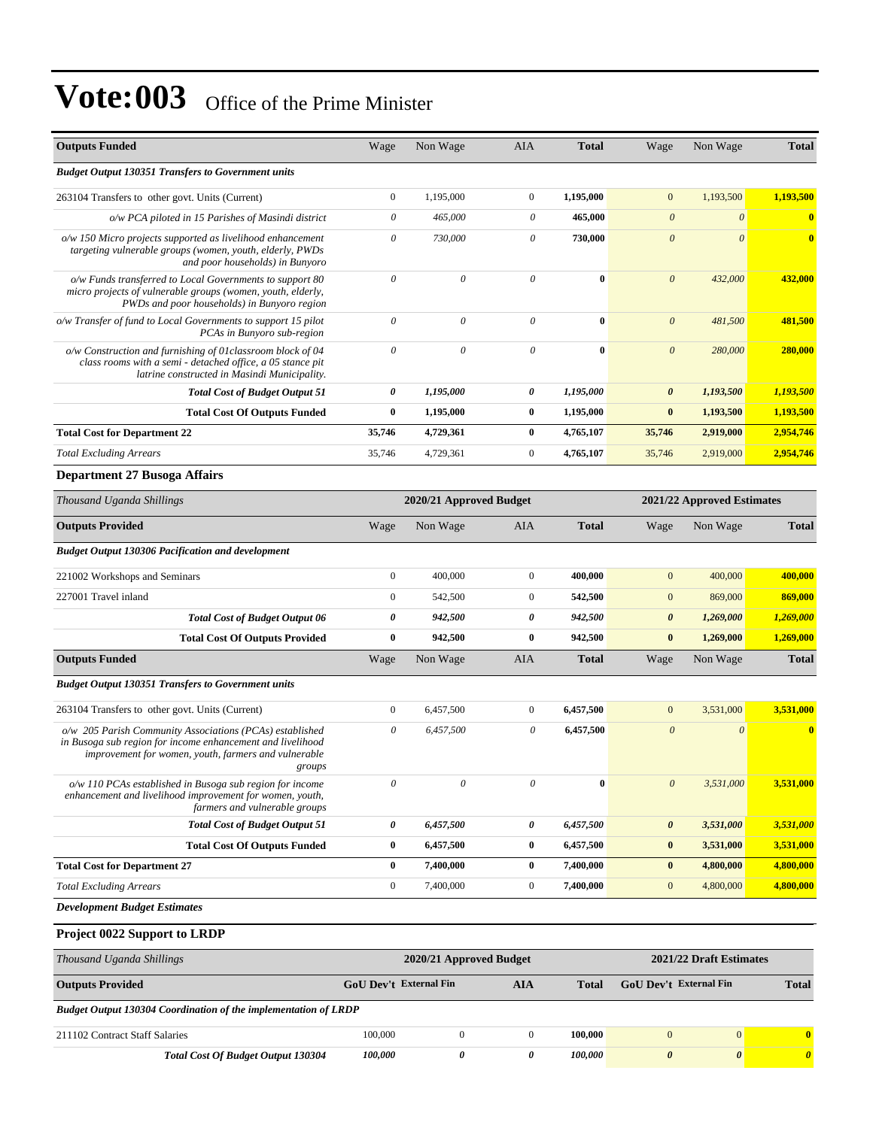| <b>Outputs Funded</b>                                                                                                                                                                    | Wage                      | Non Wage                  | <b>AIA</b>            | <b>Total</b> | Wage                  | Non Wage                   | <b>Total</b> |
|------------------------------------------------------------------------------------------------------------------------------------------------------------------------------------------|---------------------------|---------------------------|-----------------------|--------------|-----------------------|----------------------------|--------------|
| <b>Budget Output 130351 Transfers to Government units</b>                                                                                                                                |                           |                           |                       |              |                       |                            |              |
| 263104 Transfers to other govt. Units (Current)                                                                                                                                          | $\boldsymbol{0}$          | 1,195,000                 | $\mathbf{0}$          | 1,195,000    | $\boldsymbol{0}$      | 1,193,500                  | 1,193,500    |
| o/w PCA piloted in 15 Parishes of Masindi district                                                                                                                                       | $\boldsymbol{\mathit{0}}$ | 465,000                   | 0                     | 465,000      | $\boldsymbol{\theta}$ | $\boldsymbol{\theta}$      | $\bf{0}$     |
| o/w 150 Micro projects supported as livelihood enhancement<br>targeting vulnerable groups (women, youth, elderly, PWDs<br>and poor households) in Bunyoro                                | $\boldsymbol{\mathit{0}}$ | 730,000                   | 0                     | 730,000      | $\boldsymbol{\theta}$ | $\theta$                   | $\bf{0}$     |
| o/w Funds transferred to Local Governments to support 80<br>micro projects of vulnerable groups (women, youth, elderly,<br>PWDs and poor households) in Bunyoro region                   | $\theta$                  | $\theta$                  | $\theta$              | $\bf{0}$     | $\boldsymbol{\theta}$ | 432,000                    | 432,000      |
| o/w Transfer of fund to Local Governments to support 15 pilot<br>PCAs in Bunyoro sub-region                                                                                              | $\boldsymbol{\mathit{0}}$ | $\boldsymbol{\mathit{0}}$ | $\theta$              | $\bf{0}$     | $\boldsymbol{\theta}$ | 481,500                    | 481,500      |
| o/w Construction and furnishing of 01 classroom block of 04<br>class rooms with a semi - detached office, a 05 stance pit<br>latrine constructed in Masindi Municipality.                | $\theta$                  | $\theta$                  | $\theta$              | $\bf{0}$     | $\boldsymbol{\theta}$ | 280,000                    | 280,000      |
| <b>Total Cost of Budget Output 51</b>                                                                                                                                                    | 0                         | 1,195,000                 | 0                     | 1,195,000    | 0                     | 1,193,500                  | 1,193,500    |
| <b>Total Cost Of Outputs Funded</b>                                                                                                                                                      | $\bf{0}$                  | 1,195,000                 | $\bf{0}$              | 1,195,000    | $\bf{0}$              | 1,193,500                  | 1,193,500    |
| <b>Total Cost for Department 22</b>                                                                                                                                                      | 35,746                    | 4,729,361                 | $\bf{0}$              | 4,765,107    | 35,746                | 2,919,000                  | 2,954,746    |
| <b>Total Excluding Arrears</b>                                                                                                                                                           | 35,746                    | 4,729,361                 | $\mathbf{0}$          | 4,765,107    | 35,746                | 2,919,000                  | 2,954,746    |
| <b>Department 27 Busoga Affairs</b>                                                                                                                                                      |                           |                           |                       |              |                       |                            |              |
| Thousand Uganda Shillings                                                                                                                                                                |                           | 2020/21 Approved Budget   |                       |              |                       | 2021/22 Approved Estimates |              |
| <b>Outputs Provided</b>                                                                                                                                                                  | Wage                      | Non Wage                  | <b>AIA</b>            | <b>Total</b> | Wage                  | Non Wage                   | <b>Total</b> |
| <b>Budget Output 130306 Pacification and development</b>                                                                                                                                 |                           |                           |                       |              |                       |                            |              |
| 221002 Workshops and Seminars                                                                                                                                                            | $\boldsymbol{0}$          | 400,000                   | $\mathbf{0}$          | 400,000      | $\boldsymbol{0}$      | 400,000                    | 400,000      |
| 227001 Travel inland                                                                                                                                                                     | $\boldsymbol{0}$          | 542,500                   | $\mathbf{0}$          | 542,500      | $\boldsymbol{0}$      | 869,000                    | 869,000      |
| <b>Total Cost of Budget Output 06</b>                                                                                                                                                    | $\pmb{\theta}$            | 942,500                   | $\boldsymbol{\theta}$ | 942,500      | $\boldsymbol{\theta}$ | 1,269,000                  | 1,269,000    |
| <b>Total Cost Of Outputs Provided</b>                                                                                                                                                    | $\bf{0}$                  | 942,500                   | $\bf{0}$              | 942,500      | $\bf{0}$              | 1,269,000                  | 1,269,000    |
| <b>Outputs Funded</b>                                                                                                                                                                    | Wage                      | Non Wage                  | AIA                   | <b>Total</b> | Wage                  | Non Wage                   | <b>Total</b> |
| <b>Budget Output 130351 Transfers to Government units</b>                                                                                                                                |                           |                           |                       |              |                       |                            |              |
| 263104 Transfers to other govt. Units (Current)                                                                                                                                          | $\boldsymbol{0}$          | 6,457,500                 | $\mathbf{0}$          | 6,457,500    | $\boldsymbol{0}$      | 3,531,000                  | 3,531,000    |
| o/w 205 Parish Community Associations (PCAs) established<br>in Busoga sub region for income enhancement and livelihood<br>improvement for women, youth, farmers and vulnerable<br>groups | 0                         | 6,457,500                 | 0                     | 6,457,500    | $\boldsymbol{\theta}$ | $\boldsymbol{\theta}$      | $\bf{0}$     |
| o/w 110 PCAs established in Busoga sub region for income<br>enhancement and livelihood improvement for women, youth,<br>farmers and vulnerable groups                                    | $\boldsymbol{\mathit{0}}$ | $\boldsymbol{\mathit{0}}$ | $\theta$              | $\bf{0}$     | $\boldsymbol{0}$      | 3,531,000                  | 3,531,000    |
| <b>Total Cost of Budget Output 51</b>                                                                                                                                                    | 0                         | 6,457,500                 | 0                     | 6,457,500    | 0                     | 3,531,000                  | 3,531,000    |
| <b>Total Cost Of Outputs Funded</b>                                                                                                                                                      | $\bf{0}$                  | 6,457,500                 | $\bf{0}$              | 6,457,500    | $\bf{0}$              | 3,531,000                  | 3,531,000    |
| <b>Total Cost for Department 27</b>                                                                                                                                                      | $\bf{0}$                  | 7,400,000                 | $\bf{0}$              | 7,400,000    | $\bf{0}$              | 4,800,000                  | 4,800,000    |
| <b>Total Excluding Arrears</b>                                                                                                                                                           | $\boldsymbol{0}$          | 7,400,000                 | $\boldsymbol{0}$      | 7,400,000    | $\mathbf{0}$          | 4,800,000                  | 4,800,000    |
| <b>Development Budget Estimates</b>                                                                                                                                                      |                           |                           |                       |              |                       |                            |              |
| Project 0022 Support to LRDP                                                                                                                                                             |                           |                           |                       |              |                       |                            |              |

| Thousand Uganda Shillings                                              |                        | 2020/21 Approved Budget | 2021/22 Draft Estimates |         |                               |                       |              |
|------------------------------------------------------------------------|------------------------|-------------------------|-------------------------|---------|-------------------------------|-----------------------|--------------|
| <b>Outputs Provided</b>                                                | GoU Dev't External Fin |                         | AIA                     | Total   | <b>GoU</b> Dev't External Fin |                       | <b>Total</b> |
| <b>Budget Output 130304 Coordination of the implementation of LRDP</b> |                        |                         |                         |         |                               |                       |              |
| 211102 Contract Staff Salaries                                         | 100,000                | $\theta$                | $\Omega$                | 100.000 | $\theta$                      | $\mathbf{0}$          | $\mathbf{0}$ |
| <b>Total Cost Of Budget Output 130304</b>                              | <i>100,000</i>         | 0                       |                         | 100.000 | $\theta$                      | $\boldsymbol{\theta}$ | 0            |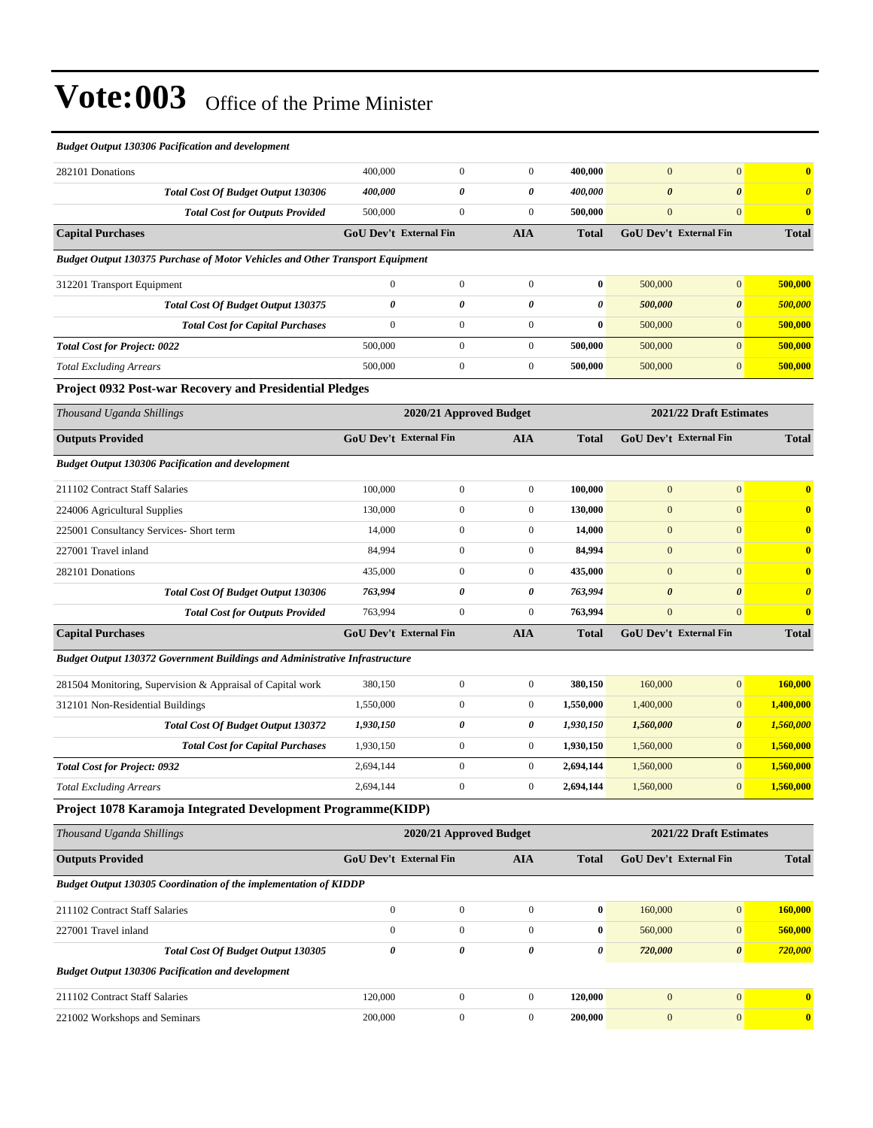| <b>Budget Output 130306 Pacification and development</b>                             |                               |                         |                       |              |                               |                         |                         |
|--------------------------------------------------------------------------------------|-------------------------------|-------------------------|-----------------------|--------------|-------------------------------|-------------------------|-------------------------|
| 282101 Donations                                                                     | 400,000                       | $\mathbf{0}$            | $\boldsymbol{0}$      | 400,000      | $\overline{0}$                | $\Omega$                | $\overline{\mathbf{0}}$ |
| <b>Total Cost Of Budget Output 130306</b>                                            | 400,000                       | $\boldsymbol{\theta}$   | $\boldsymbol{\theta}$ | 400,000      | $\boldsymbol{\theta}$         | $\theta$                | $\boldsymbol{0}$        |
| <b>Total Cost for Outputs Provided</b>                                               | 500,000                       | $\mathbf{0}$            | $\mathbf{0}$          | 500,000      | $\mathbf{0}$                  | $\mathbf{0}$            | $\overline{\mathbf{0}}$ |
| <b>Capital Purchases</b>                                                             | GoU Dev't External Fin        |                         | <b>AIA</b>            | <b>Total</b> | <b>GoU Dev't External Fin</b> |                         | <b>Total</b>            |
| <b>Budget Output 130375 Purchase of Motor Vehicles and Other Transport Equipment</b> |                               |                         |                       |              |                               |                         |                         |
| 312201 Transport Equipment                                                           | $\overline{0}$                | $\mathbf{0}$            | $\mathbf{0}$          | $\bf{0}$     | 500,000                       | $\overline{0}$          | 500,000                 |
| <b>Total Cost Of Budget Output 130375</b>                                            | $\boldsymbol{\theta}$         | $\theta$                | $\boldsymbol{\theta}$ | 0            | 500,000                       | $\theta$                | 500,000                 |
| <b>Total Cost for Capital Purchases</b>                                              | $\mathbf{0}$                  | $\boldsymbol{0}$        | $\boldsymbol{0}$      | $\bf{0}$     | 500,000                       | $\Omega$                | 500,000                 |
| <b>Total Cost for Project: 0022</b>                                                  | 500,000                       | $\overline{0}$          | $\mathbf{0}$          | 500,000      | 500,000                       | $\overline{0}$          | 500,000                 |
| <b>Total Excluding Arrears</b>                                                       | 500,000                       | $\mathbf{0}$            | $\boldsymbol{0}$      | 500,000      | 500,000                       | $\mathbf{0}$            | 500,000                 |
| Project 0932 Post-war Recovery and Presidential Pledges                              |                               |                         |                       |              |                               |                         |                         |
| Thousand Uganda Shillings                                                            |                               | 2020/21 Approved Budget |                       |              |                               | 2021/22 Draft Estimates |                         |
| <b>Outputs Provided</b>                                                              | <b>GoU Dev't External Fin</b> |                         | <b>AIA</b>            | <b>Total</b> | <b>GoU Dev't External Fin</b> |                         | <b>Total</b>            |
| <b>Budget Output 130306 Pacification and development</b>                             |                               |                         |                       |              |                               |                         |                         |
| 211102 Contract Staff Salaries                                                       | 100,000                       | $\mathbf{0}$            | $\mathbf{0}$          | 100,000      | $\overline{0}$                | $\mathbf{0}$            | $\overline{0}$          |
| 224006 Agricultural Supplies                                                         | 130,000                       | $\boldsymbol{0}$        | $\mathbf{0}$          | 130,000      | $\overline{0}$                | $\Omega$                | $\mathbf{0}$            |
| 225001 Consultancy Services- Short term                                              | 14,000                        | $\mathbf{0}$            | $\mathbf{0}$          | 14,000       | $\overline{0}$                | $\mathbf{0}$            | $\mathbf 0$             |
| 227001 Travel inland                                                                 | 84,994                        | $\boldsymbol{0}$        | $\mathbf{0}$          | 84,994       | $\Omega$                      | $\Omega$                | $\mathbf 0$             |
| 282101 Donations                                                                     | 435,000                       | $\boldsymbol{0}$        | $\boldsymbol{0}$      | 435,000      | $\overline{0}$                | $\Omega$                | $\mathbf 0$             |
| <b>Total Cost Of Budget Output 130306</b>                                            | 763,994                       | 0                       | $\boldsymbol{\theta}$ | 763.994      | $\boldsymbol{\theta}$         | $\boldsymbol{\theta}$   | $\boldsymbol{\theta}$   |

*Budget Output 130372 Government Buildings and Administrative Infrastructure*

| 281504 Monitoring, Supervision & Appraisal of Capital work | 380.150   |   | 380,150   | 160,000   | $\overline{0}$        | 160,000   |
|------------------------------------------------------------|-----------|---|-----------|-----------|-----------------------|-----------|
| 312101 Non-Residential Buildings                           | 1.550.000 |   | 1,550,000 | 1,400,000 | $\overline{0}$        | 1.400.000 |
| <b>Total Cost Of Budget Output 130372</b>                  | 1,930,150 | 0 | 1.930.150 | 1,560,000 | $\boldsymbol{\theta}$ | 1,560,000 |
| <b>Total Cost for Capital Purchases</b>                    | 1,930,150 |   | 1.930.150 | 1.560,000 |                       | 1,560,000 |
| <b>Total Cost for Project: 0932</b>                        | 2,694,144 |   | 2.694.144 | 1,560,000 |                       | 1,560,000 |
| <b>Total Excluding Arrears</b>                             | 2,694,144 |   | 2.694.144 | 1,560,000 | $\Omega$              | 1,560,000 |

**Capital Purchases GoU Dev't External Fin AIA Total GoU Dev't External Fin Total**

*Total Cost for Outputs Provided* 763,994 0 0 **763,994** 0 0 **0**

#### **Project 1078 Karamoja Integrated Development Programme(KIDP)**

| Thousand Uganda Shillings                                        |                               | 2020/21 Approved Budget |              |              |                               | 2021/22 Draft Estimates |              |  |
|------------------------------------------------------------------|-------------------------------|-------------------------|--------------|--------------|-------------------------------|-------------------------|--------------|--|
| <b>Outputs Provided</b>                                          | <b>GoU Dev't External Fin</b> |                         | <b>AIA</b>   | <b>Total</b> | <b>GoU Dev't External Fin</b> |                         | <b>Total</b> |  |
| Budget Output 130305 Coordination of the implementation of KIDDP |                               |                         |              |              |                               |                         |              |  |
| 211102 Contract Staff Salaries                                   | $\mathbf{0}$                  | $\mathbf{0}$            | $\Omega$     | $\bf{0}$     | 160,000                       | $\overline{0}$          | 160,000      |  |
| 227001 Travel inland                                             | $\mathbf{0}$                  | $\mathbf{0}$            | $\Omega$     | $\bf{0}$     | 560,000                       | $\overline{0}$          | 560,000      |  |
| <b>Total Cost Of Budget Output 130305</b>                        | $\theta$                      | 0                       | 0            | 0            | 720,000                       | $\boldsymbol{\theta}$   | 720,000      |  |
| <b>Budget Output 130306 Pacification and development</b>         |                               |                         |              |              |                               |                         |              |  |
| 211102 Contract Staff Salaries                                   | 120,000                       | $\mathbf{0}$            | $\Omega$     | 120,000      | $\mathbf{0}$                  | $\Omega$                | $\mathbf{0}$ |  |
| 221002 Workshops and Seminars                                    | 200,000                       | $\overline{0}$          | $\mathbf{0}$ | 200,000      | $\mathbf{0}$                  | $\overline{0}$          | $\mathbf{0}$ |  |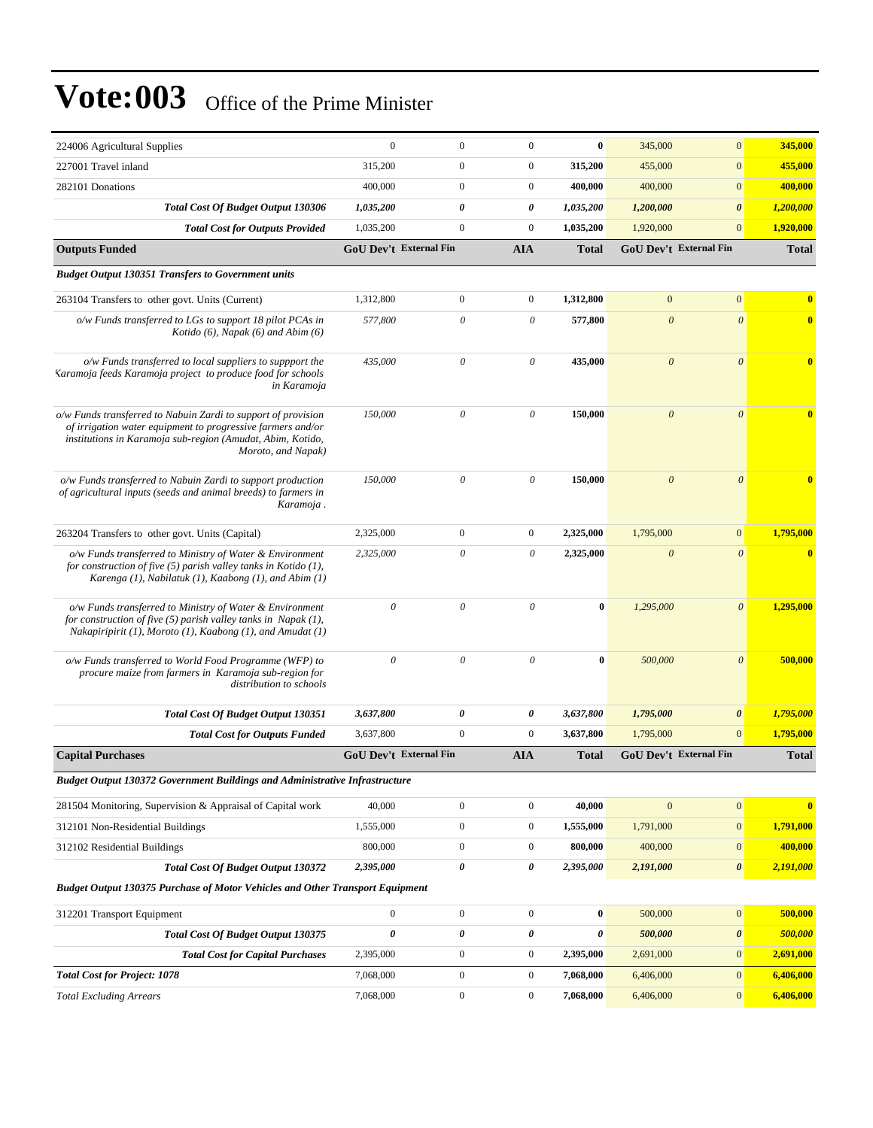| 224006 Agricultural Supplies                                                                                                                                                                                     | $\mathbf{0}$              | $\boldsymbol{0}$              | $\mathbf{0}$     | $\bf{0}$     | 345,000               | $\mathbf{0}$                  | 345,000      |
|------------------------------------------------------------------------------------------------------------------------------------------------------------------------------------------------------------------|---------------------------|-------------------------------|------------------|--------------|-----------------------|-------------------------------|--------------|
| 227001 Travel inland                                                                                                                                                                                             | 315,200                   | $\boldsymbol{0}$              | $\boldsymbol{0}$ | 315,200      | 455,000               | $\boldsymbol{0}$              | 455,000      |
| 282101 Donations                                                                                                                                                                                                 | 400,000                   | $\boldsymbol{0}$              | $\boldsymbol{0}$ | 400,000      | 400,000               | $\boldsymbol{0}$              | 400,000      |
| <b>Total Cost Of Budget Output 130306</b>                                                                                                                                                                        | 1,035,200                 | 0                             | 0                | 1,035,200    | 1,200,000             | $\boldsymbol{\theta}$         | 1,200,000    |
| <b>Total Cost for Outputs Provided</b>                                                                                                                                                                           | 1,035,200                 | $\boldsymbol{0}$              | $\boldsymbol{0}$ | 1,035,200    | 1,920,000             | $\mathbf{0}$                  | 1,920,000    |
| <b>Outputs Funded</b>                                                                                                                                                                                            |                           | <b>GoU Dev't External Fin</b> | <b>AIA</b>       | <b>Total</b> |                       | GoU Dev't External Fin        | <b>Total</b> |
| <b>Budget Output 130351 Transfers to Government units</b>                                                                                                                                                        |                           |                               |                  |              |                       |                               |              |
| 263104 Transfers to other govt. Units (Current)                                                                                                                                                                  | 1,312,800                 | $\boldsymbol{0}$              | $\boldsymbol{0}$ | 1,312,800    | $\overline{0}$        | $\mathbf{0}$                  | $\bf{0}$     |
| o/w Funds transferred to LGs to support 18 pilot PCAs in<br>Kotido $(6)$ , Napak $(6)$ and Abim $(6)$                                                                                                            | 577,800                   | $\boldsymbol{\theta}$         | 0                | 577,800      | $\boldsymbol{\theta}$ | $\boldsymbol{\theta}$         | $\bf{0}$     |
| o/w Funds transferred to local suppliers to suppport the<br>Karamoja feeds Karamoja project to produce food for schools<br>in Karamoja                                                                           | 435,000                   | $\theta$                      | $\theta$         | 435,000      | $\boldsymbol{\theta}$ | $\theta$                      | $\bf{0}$     |
| o/w Funds transferred to Nabuin Zardi to support of provision<br>of irrigation water equipment to progressive farmers and/or<br>institutions in Karamoja sub-region (Amudat, Abim, Kotido,<br>Moroto, and Napak) | 150,000                   | $\theta$                      | $\theta$         | 150,000      | $\boldsymbol{\theta}$ | $\theta$                      | $\bf{0}$     |
| o/w Funds transferred to Nabuin Zardi to support production<br>of agricultural inputs (seeds and animal breeds) to farmers in<br>Karamoja.                                                                       | 150,000                   | $\theta$                      | $\theta$         | 150,000      | $\boldsymbol{\theta}$ | $\theta$                      |              |
| 263204 Transfers to other govt. Units (Capital)                                                                                                                                                                  | 2,325,000                 | $\boldsymbol{0}$              | $\boldsymbol{0}$ | 2,325,000    | 1,795,000             | $\boldsymbol{0}$              | 1,795,000    |
| o/w Funds transferred to Ministry of Water & Environment<br>for construction of five $(5)$ parish valley tanks in Kotido $(1)$ ,<br>Karenga $(1)$ , Nabilatuk $(1)$ , Kaabong $(1)$ , and Abim $(1)$             | 2,325,000                 | $\theta$                      | 0                | 2,325,000    | $\boldsymbol{\theta}$ | $\theta$                      | $\bf{0}$     |
| o/w Funds transferred to Ministry of Water & Environment<br>for construction of five $(5)$ parish valley tanks in Napak $(1)$ ,<br>Nakapiripirit (1), Moroto (1), Kaabong (1), and Amudat (1)                    | $\boldsymbol{\mathit{0}}$ | $\boldsymbol{\mathit{0}}$     | $\theta$         | $\bf{0}$     | 1,295,000             | $\boldsymbol{\theta}$         | 1,295,000    |
| o/w Funds transferred to World Food Programme (WFP) to<br>procure maize from farmers in Karamoja sub-region for<br>distribution to schools                                                                       | $\theta$                  | $\boldsymbol{\theta}$         | $\theta$         | $\bf{0}$     | 500,000               | $\boldsymbol{\theta}$         | 500,000      |
| <b>Total Cost Of Budget Output 130351</b>                                                                                                                                                                        | 3,637,800                 | 0                             | 0                | 3,637,800    | 1,795,000             | $\pmb{\theta}$                | 1,795,000    |
| <b>Total Cost for Outputs Funded</b>                                                                                                                                                                             | 3,637,800                 | $\boldsymbol{0}$              | $\boldsymbol{0}$ | 3,637,800    | 1,795,000             | $\mathbf{0}$                  | 1,795,000    |
| <b>Capital Purchases</b>                                                                                                                                                                                         |                           | <b>GoU Dev't External Fin</b> | <b>AIA</b>       | Total        |                       | <b>GoU Dev't External Fin</b> | <b>Total</b> |
| Budget Output 130372 Government Buildings and Administrative Infrastructure                                                                                                                                      |                           |                               |                  |              |                       |                               |              |
| 281504 Monitoring, Supervision & Appraisal of Capital work                                                                                                                                                       | 40,000                    | $\boldsymbol{0}$              | $\boldsymbol{0}$ | 40,000       | $\mathbf{0}$          | $\boldsymbol{0}$              | $\bf{0}$     |
| 312101 Non-Residential Buildings                                                                                                                                                                                 | 1,555,000                 | $\boldsymbol{0}$              | $\boldsymbol{0}$ | 1,555,000    | 1,791,000             | $\boldsymbol{0}$              | 1,791,000    |
| 312102 Residential Buildings                                                                                                                                                                                     | 800,000                   | $\boldsymbol{0}$              | $\boldsymbol{0}$ | 800,000      | 400,000               | $\boldsymbol{0}$              | 400,000      |
| Total Cost Of Budget Output 130372                                                                                                                                                                               | 2,395,000                 | $\pmb{\theta}$                | 0                | 2,395,000    | 2,191,000             | 0                             | 2,191,000    |
| <b>Budget Output 130375 Purchase of Motor Vehicles and Other Transport Equipment</b>                                                                                                                             |                           |                               |                  |              |                       |                               |              |
| 312201 Transport Equipment                                                                                                                                                                                       | $\boldsymbol{0}$          | $\boldsymbol{0}$              | $\boldsymbol{0}$ | $\bf{0}$     | 500,000               | $\boldsymbol{0}$              | 500,000      |
| Total Cost Of Budget Output 130375                                                                                                                                                                               | $\pmb{\theta}$            | 0                             | 0                | 0            | 500,000               | $\pmb{\theta}$                | 500,000      |
| <b>Total Cost for Capital Purchases</b>                                                                                                                                                                          | 2,395,000                 | $\boldsymbol{0}$              | $\boldsymbol{0}$ | 2,395,000    | 2,691,000             | $\boldsymbol{0}$              | 2,691,000    |
| <b>Total Cost for Project: 1078</b>                                                                                                                                                                              | 7,068,000                 | $\boldsymbol{0}$              | $\boldsymbol{0}$ | 7,068,000    | 6,406,000             | $\boldsymbol{0}$              | 6,406,000    |
| <b>Total Excluding Arrears</b>                                                                                                                                                                                   | 7,068,000                 | $\boldsymbol{0}$              | $\boldsymbol{0}$ | 7,068,000    | 6,406,000             | $\boldsymbol{0}$              | 6,406,000    |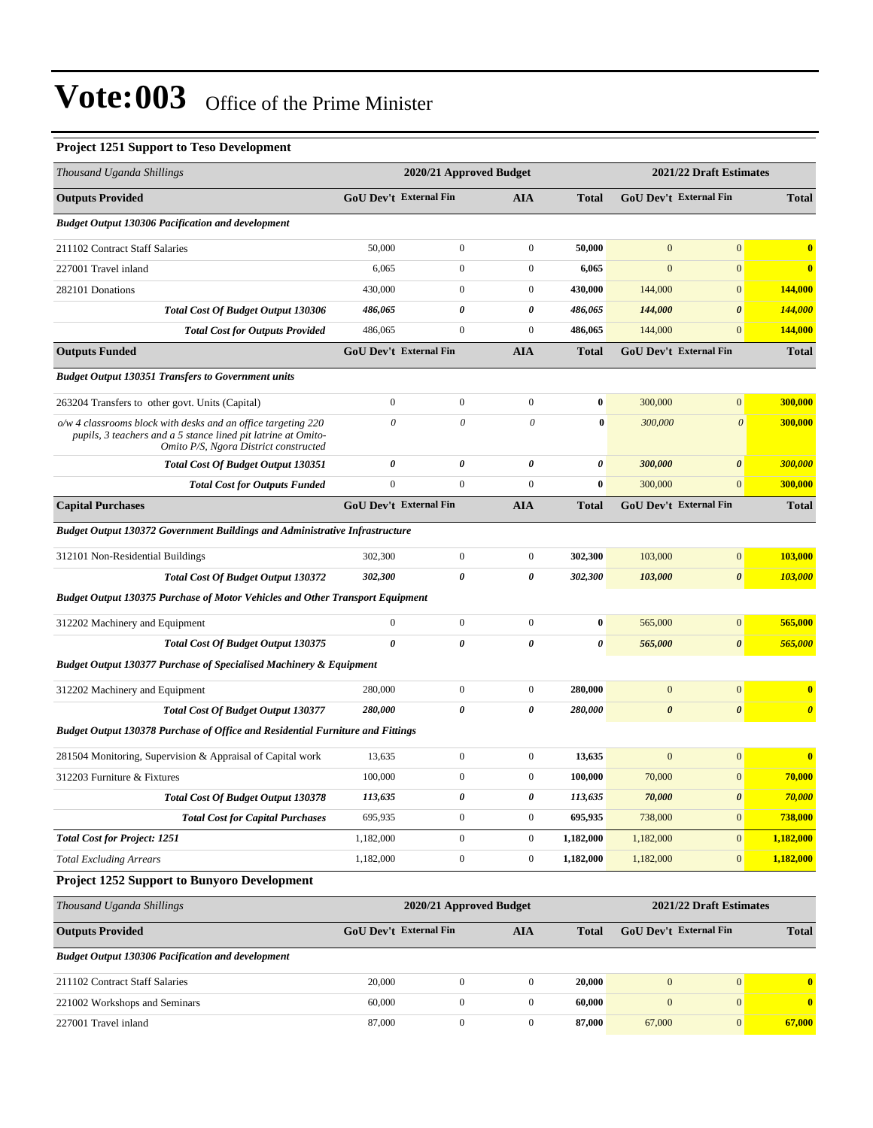#### **Project 1251 Support to Teso Development**

| Thousand Uganda Shillings                                                                                                                                               |                  | 2020/21 Approved Budget       |                  |                  |                               | 2021/22 Draft Estimates |                       |
|-------------------------------------------------------------------------------------------------------------------------------------------------------------------------|------------------|-------------------------------|------------------|------------------|-------------------------------|-------------------------|-----------------------|
| <b>Outputs Provided</b>                                                                                                                                                 |                  | <b>GoU Dev't External Fin</b> | <b>AIA</b>       | <b>Total</b>     | GoU Dev't External Fin        |                         | <b>Total</b>          |
| <b>Budget Output 130306 Pacification and development</b>                                                                                                                |                  |                               |                  |                  |                               |                         |                       |
| 211102 Contract Staff Salaries                                                                                                                                          | 50,000           | $\mathbf{0}$                  | $\mathbf{0}$     | 50,000           | $\mathbf{0}$                  | $\boldsymbol{0}$        | $\bf{0}$              |
| 227001 Travel inland                                                                                                                                                    | 6,065            | $\overline{0}$                | $\boldsymbol{0}$ | 6,065            | $\overline{0}$                | $\mathbf{0}$            | $\bf{0}$              |
| 282101 Donations                                                                                                                                                        | 430,000          | $\boldsymbol{0}$              | $\mathbf{0}$     | 430,000          | 144,000                       | $\mathbf{0}$            | 144,000               |
| <b>Total Cost Of Budget Output 130306</b>                                                                                                                               | 486,065          | 0                             | 0                | 486,065          | 144,000                       | $\boldsymbol{\theta}$   | <b>144,000</b>        |
| <b>Total Cost for Outputs Provided</b>                                                                                                                                  | 486,065          | $\boldsymbol{0}$              | $\boldsymbol{0}$ | 486,065          | 144,000                       | $\mathbf{0}$            | 144,000               |
| <b>Outputs Funded</b>                                                                                                                                                   |                  | <b>GoU</b> Dev't External Fin | <b>AIA</b>       | <b>Total</b>     | <b>GoU</b> Dev't External Fin |                         | <b>Total</b>          |
| <b>Budget Output 130351 Transfers to Government units</b>                                                                                                               |                  |                               |                  |                  |                               |                         |                       |
| 263204 Transfers to other govt. Units (Capital)                                                                                                                         | $\boldsymbol{0}$ | $\mathbf{0}$                  | $\boldsymbol{0}$ | $\bf{0}$         | 300,000                       | $\boldsymbol{0}$        | 300,000               |
| o/w 4 classrooms block with desks and an office targeting 220<br>pupils, 3 teachers and a 5 stance lined pit latrine at Omito-<br>Omito P/S, Ngora District constructed | $\theta$         | $\theta$                      | $\theta$         | $\bf{0}$         | 300,000                       | $\boldsymbol{\theta}$   | 300,000               |
| Total Cost Of Budget Output 130351                                                                                                                                      | 0                | 0                             | 0                | 0                | 300,000                       | $\boldsymbol{\theta}$   | <b>300,000</b>        |
| <b>Total Cost for Outputs Funded</b>                                                                                                                                    | $\boldsymbol{0}$ | $\boldsymbol{0}$              | $\boldsymbol{0}$ | $\bf{0}$         | 300,000                       | $\mathbf{0}$            | 300,000               |
| <b>Capital Purchases</b>                                                                                                                                                |                  | <b>GoU Dev't External Fin</b> | <b>AIA</b>       | <b>Total</b>     | <b>GoU</b> Dev't External Fin |                         | <b>Total</b>          |
| <b>Budget Output 130372 Government Buildings and Administrative Infrastructure</b>                                                                                      |                  |                               |                  |                  |                               |                         |                       |
| 312101 Non-Residential Buildings                                                                                                                                        | 302,300          | $\mathbf{0}$                  | $\mathbf{0}$     | 302,300          | 103,000                       | $\boldsymbol{0}$        | 103,000               |
| <b>Total Cost Of Budget Output 130372</b>                                                                                                                               | 302,300          | $\theta$                      | 0                | 302,300          | 103,000                       | $\boldsymbol{\theta}$   | 103,000               |
| <b>Budget Output 130375 Purchase of Motor Vehicles and Other Transport Equipment</b>                                                                                    |                  |                               |                  |                  |                               |                         |                       |
| 312202 Machinery and Equipment                                                                                                                                          | $\boldsymbol{0}$ | $\mathbf{0}$                  | $\boldsymbol{0}$ | $\boldsymbol{0}$ | 565,000                       | $\overline{0}$          | 565,000               |
| <b>Total Cost Of Budget Output 130375</b>                                                                                                                               | 0                | 0                             | 0                | 0                | 565,000                       | $\boldsymbol{\theta}$   | 565,000               |
| <b>Budget Output 130377 Purchase of Specialised Machinery &amp; Equipment</b>                                                                                           |                  |                               |                  |                  |                               |                         |                       |
| 312202 Machinery and Equipment                                                                                                                                          | 280,000          | $\mathbf{0}$                  | $\mathbf{0}$     | 280,000          | $\mathbf{0}$                  | $\boldsymbol{0}$        | $\bf{0}$              |
| <b>Total Cost Of Budget Output 130377</b>                                                                                                                               | 280,000          | 0                             | 0                | 280,000          | $\boldsymbol{\theta}$         | $\boldsymbol{\theta}$   | $\boldsymbol{\theta}$ |
| Budget Output 130378 Purchase of Office and Residential Furniture and Fittings                                                                                          |                  |                               |                  |                  |                               |                         |                       |
| 281504 Monitoring, Supervision & Appraisal of Capital work                                                                                                              | 13,635           | $\mathbf{0}$                  | $\mathbf{0}$     | 13,635           | $\mathbf{0}$                  | $\mathbf{0}$            | $\bf{0}$              |
| 312203 Furniture & Fixtures                                                                                                                                             | 100,000          | $\boldsymbol{0}$              | $\mathbf{0}$     | 100,000          | 70,000                        | $\boldsymbol{0}$        | 70,000                |
| <b>Total Cost Of Budget Output 130378</b>                                                                                                                               | 113,635          | 0                             | 0                | 113,635          | 70,000                        | $\boldsymbol{\theta}$   | 70,000                |
| <b>Total Cost for Capital Purchases</b>                                                                                                                                 | 695,935          | $\boldsymbol{0}$              | $\mathbf{0}$     | 695,935          | 738,000                       | $\boldsymbol{0}$        | 738,000               |
| <b>Total Cost for Project: 1251</b>                                                                                                                                     | 1,182,000        | $\boldsymbol{0}$              | $\mathbf{0}$     | 1,182,000        | 1,182,000                     | $\overline{0}$          | 1,182,000             |
| <b>Total Excluding Arrears</b>                                                                                                                                          | 1,182,000        | $\boldsymbol{0}$              | $\boldsymbol{0}$ | 1,182,000        | 1,182,000                     | $\mathbf{0}$            | 1,182,000             |
| Project 1252 Support to Bunyoro Development                                                                                                                             |                  |                               |                  |                  |                               |                         |                       |
| Thousand Uganda Shillings                                                                                                                                               |                  | 2020/21 Approved Budget       |                  |                  |                               | 2021/22 Draft Estimates |                       |
| <b>Outputs Provided</b>                                                                                                                                                 |                  | GoU Dev't External Fin        | AIA              | <b>Total</b>     | GoU Dev't External Fin        |                         | <b>Total</b>          |
| <b>Budget Output 130306 Pacification and development</b>                                                                                                                |                  |                               |                  |                  |                               |                         |                       |
| 211102 Contract Staff Salaries                                                                                                                                          | 20,000           | $\boldsymbol{0}$              | $\boldsymbol{0}$ | 20,000           | $\mathbf{0}$                  | $\boldsymbol{0}$        | $\bf{0}$              |
| 221002 Workshops and Seminars                                                                                                                                           | 60,000           | $\boldsymbol{0}$              | $\boldsymbol{0}$ | 60,000           | $\boldsymbol{0}$              | $\boldsymbol{0}$        | $\bf{0}$              |
| 227001 Travel inland                                                                                                                                                    | 87,000           | $\boldsymbol{0}$              | $\boldsymbol{0}$ | 87,000           | 67,000                        | $\boldsymbol{0}$        | 67,000                |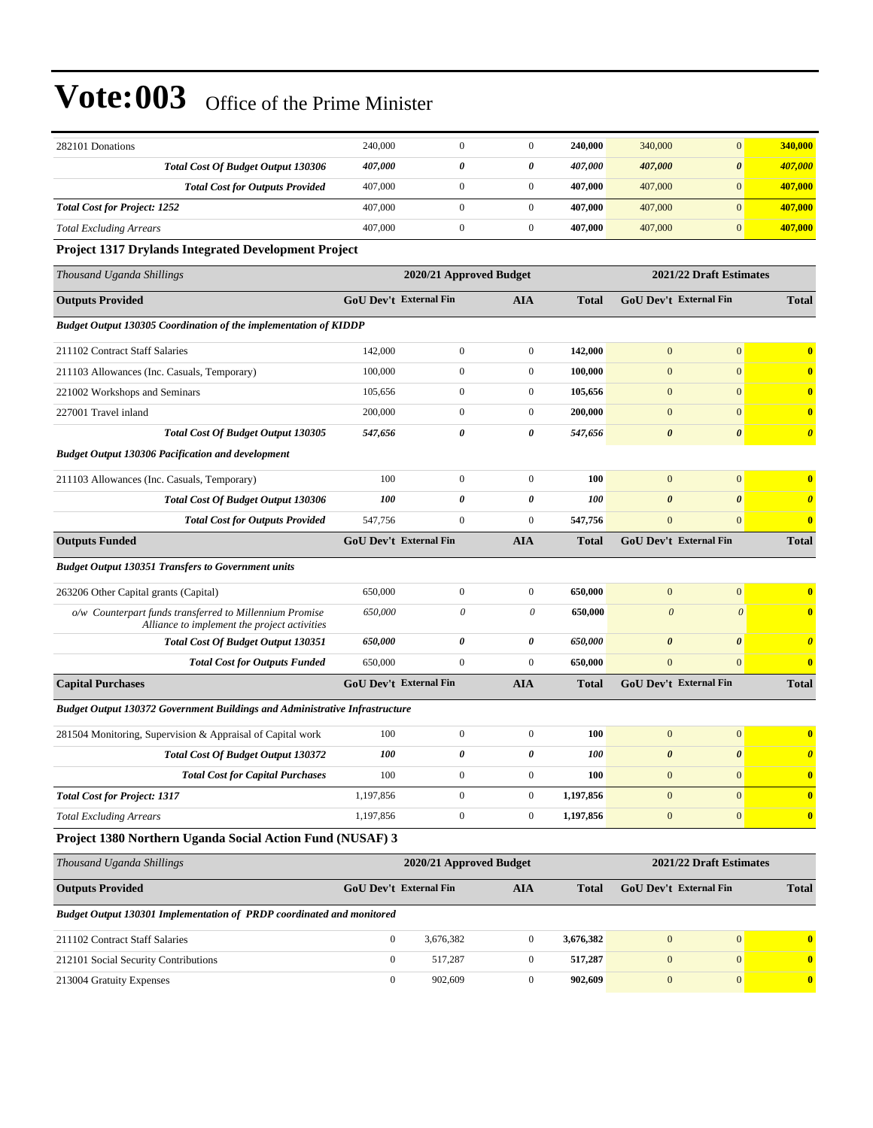| 282101 Donations                                                                                        | 240,000          | $\mathbf{0}$                  | $\mathbf{0}$          | 240,000      | 340,000                       | $\overline{0}$          | 340,000                 |
|---------------------------------------------------------------------------------------------------------|------------------|-------------------------------|-----------------------|--------------|-------------------------------|-------------------------|-------------------------|
| <b>Total Cost Of Budget Output 130306</b>                                                               | 407,000          | $\theta$                      | 0                     | 407,000      | 407,000                       | $\boldsymbol{\theta}$   | 407,000                 |
| <b>Total Cost for Outputs Provided</b>                                                                  | 407,000          | $\mathbf{0}$                  | $\boldsymbol{0}$      | 407,000      | 407,000                       | $\boldsymbol{0}$        | 407,000                 |
| <b>Total Cost for Project: 1252</b>                                                                     | 407,000          | $\overline{0}$                | $\boldsymbol{0}$      | 407,000      | 407,000                       | $\mathbf{0}$            | 407,000                 |
| <b>Total Excluding Arrears</b>                                                                          | 407,000          | $\overline{0}$                | $\boldsymbol{0}$      | 407,000      | 407,000                       | $\mathbf{0}$            | 407,000                 |
| <b>Project 1317 Drylands Integrated Development Project</b>                                             |                  |                               |                       |              |                               |                         |                         |
| Thousand Uganda Shillings                                                                               |                  | 2020/21 Approved Budget       |                       |              |                               | 2021/22 Draft Estimates |                         |
| <b>Outputs Provided</b>                                                                                 |                  | GoU Dev't External Fin        | <b>AIA</b>            | <b>Total</b> | GoU Dev't External Fin        |                         | <b>Total</b>            |
| Budget Output 130305 Coordination of the implementation of KIDDP                                        |                  |                               |                       |              |                               |                         |                         |
| 211102 Contract Staff Salaries                                                                          | 142,000          | $\overline{0}$                | $\boldsymbol{0}$      | 142,000      | $\mathbf{0}$                  | $\overline{0}$          | $\bf{0}$                |
| 211103 Allowances (Inc. Casuals, Temporary)                                                             | 100,000          | $\overline{0}$                | $\boldsymbol{0}$      | 100,000      | $\boldsymbol{0}$              | $\overline{0}$          | $\bf{0}$                |
| 221002 Workshops and Seminars                                                                           | 105,656          | $\mathbf{0}$                  | $\boldsymbol{0}$      | 105,656      | $\mathbf{0}$                  | $\boldsymbol{0}$        | $\bf{0}$                |
| 227001 Travel inland                                                                                    | 200,000          | $\overline{0}$                | $\boldsymbol{0}$      | 200,000      | $\mathbf{0}$                  | $\mathbf{0}$            | $\bf{0}$                |
| <b>Total Cost Of Budget Output 130305</b>                                                               | 547,656          | 0                             | 0                     | 547,656      | $\boldsymbol{\theta}$         | $\boldsymbol{\theta}$   | $\boldsymbol{\theta}$   |
| <b>Budget Output 130306 Pacification and development</b>                                                |                  |                               |                       |              |                               |                         |                         |
| 211103 Allowances (Inc. Casuals, Temporary)                                                             | 100              | $\overline{0}$                | $\boldsymbol{0}$      | 100          | $\mathbf{0}$                  | $\overline{0}$          | $\overline{\mathbf{0}}$ |
| <b>Total Cost Of Budget Output 130306</b>                                                               | 100              | 0                             | $\boldsymbol{\theta}$ | 100          | $\boldsymbol{\theta}$         | $\boldsymbol{\theta}$   | $\boldsymbol{\theta}$   |
| <b>Total Cost for Outputs Provided</b>                                                                  | 547,756          | $\overline{0}$                | $\boldsymbol{0}$      | 547,756      | $\mathbf{0}$                  | $\mathbf{0}$            | $\mathbf{0}$            |
| <b>Outputs Funded</b>                                                                                   |                  | GoU Dev't External Fin        | <b>AIA</b>            | <b>Total</b> | GoU Dev't External Fin        |                         | <b>Total</b>            |
| <b>Budget Output 130351 Transfers to Government units</b>                                               |                  |                               |                       |              |                               |                         |                         |
| 263206 Other Capital grants (Capital)                                                                   | 650,000          | $\overline{0}$                | $\boldsymbol{0}$      | 650,000      | $\mathbf{0}$                  | $\overline{0}$          | $\bf{0}$                |
| o/w Counterpart funds transferred to Millennium Promise<br>Alliance to implement the project activities | 650,000          | 0                             | $\theta$              | 650,000      | $\boldsymbol{\theta}$         | $\boldsymbol{\theta}$   | $\overline{\mathbf{0}}$ |
| <b>Total Cost Of Budget Output 130351</b>                                                               | 650,000          | 0                             | 0                     | 650,000      | $\boldsymbol{\theta}$         | $\boldsymbol{\theta}$   | $\boldsymbol{\theta}$   |
| <b>Total Cost for Outputs Funded</b>                                                                    | 650,000          | $\overline{0}$                | $\boldsymbol{0}$      | 650,000      | $\mathbf{0}$                  | $\overline{0}$          | $\overline{\mathbf{0}}$ |
| <b>Capital Purchases</b>                                                                                |                  | <b>GoU Dev't External Fin</b> | <b>AIA</b>            | <b>Total</b> | <b>GoU Dev't External Fin</b> |                         | <b>Total</b>            |
| Budget Output 130372 Government Buildings and Administrative Infrastructure                             |                  |                               |                       |              |                               |                         |                         |
| 281504 Monitoring, Supervision & Appraisal of Capital work                                              | 100              | $\overline{0}$                | $\boldsymbol{0}$      | 100          | $\mathbf{0}$                  | $\mathbf{0}$            | $\bf{0}$                |
| <b>Total Cost Of Budget Output 130372</b>                                                               | 100              | 0                             | $\boldsymbol{\theta}$ | 100          | $\boldsymbol{\theta}$         | $\boldsymbol{\theta}$   | $\boldsymbol{\theta}$   |
| <b>Total Cost for Capital Purchases</b>                                                                 | 100              | 0                             | $\boldsymbol{0}$      | 100          | $\theta$                      | $\mathbf{0}$            | $\bf{0}$                |
| <b>Total Cost for Project: 1317</b>                                                                     | 1,197,856        | $\overline{0}$                | $\boldsymbol{0}$      | 1,197,856    | $\mathbf{0}$                  | $\mathbf{0}$            | $\overline{\mathbf{0}}$ |
| <b>Total Excluding Arrears</b>                                                                          | 1,197,856        | $\boldsymbol{0}$              | $\boldsymbol{0}$      | 1,197,856    | $\boldsymbol{0}$              | $\boldsymbol{0}$        | $\bf{0}$                |
| Project 1380 Northern Uganda Social Action Fund (NUSAF) 3                                               |                  |                               |                       |              |                               |                         |                         |
| Thousand Uganda Shillings                                                                               |                  | 2020/21 Approved Budget       |                       |              |                               | 2021/22 Draft Estimates |                         |
| <b>Outputs Provided</b>                                                                                 |                  | GoU Dev't External Fin        | <b>AIA</b>            | <b>Total</b> | GoU Dev't External Fin        |                         | <b>Total</b>            |
| Budget Output 130301 Implementation of PRDP coordinated and monitored                                   |                  |                               |                       |              |                               |                         |                         |
| 211102 Contract Staff Salaries                                                                          | $\boldsymbol{0}$ | 3,676,382                     | $\boldsymbol{0}$      | 3,676,382    | $\boldsymbol{0}$              | $\mathbf{0}$            | $\bf{0}$                |
| 212101 Social Security Contributions                                                                    | $\boldsymbol{0}$ | 517,287                       | $\boldsymbol{0}$      | 517,287      | $\boldsymbol{0}$              | $\mathbf{0}$            | $\bf{0}$                |
| 213004 Gratuity Expenses                                                                                | $\boldsymbol{0}$ | 902,609                       | $\boldsymbol{0}$      | 902,609      | $\boldsymbol{0}$              | $\mathbf{0}$            | $\mathbf{0}$            |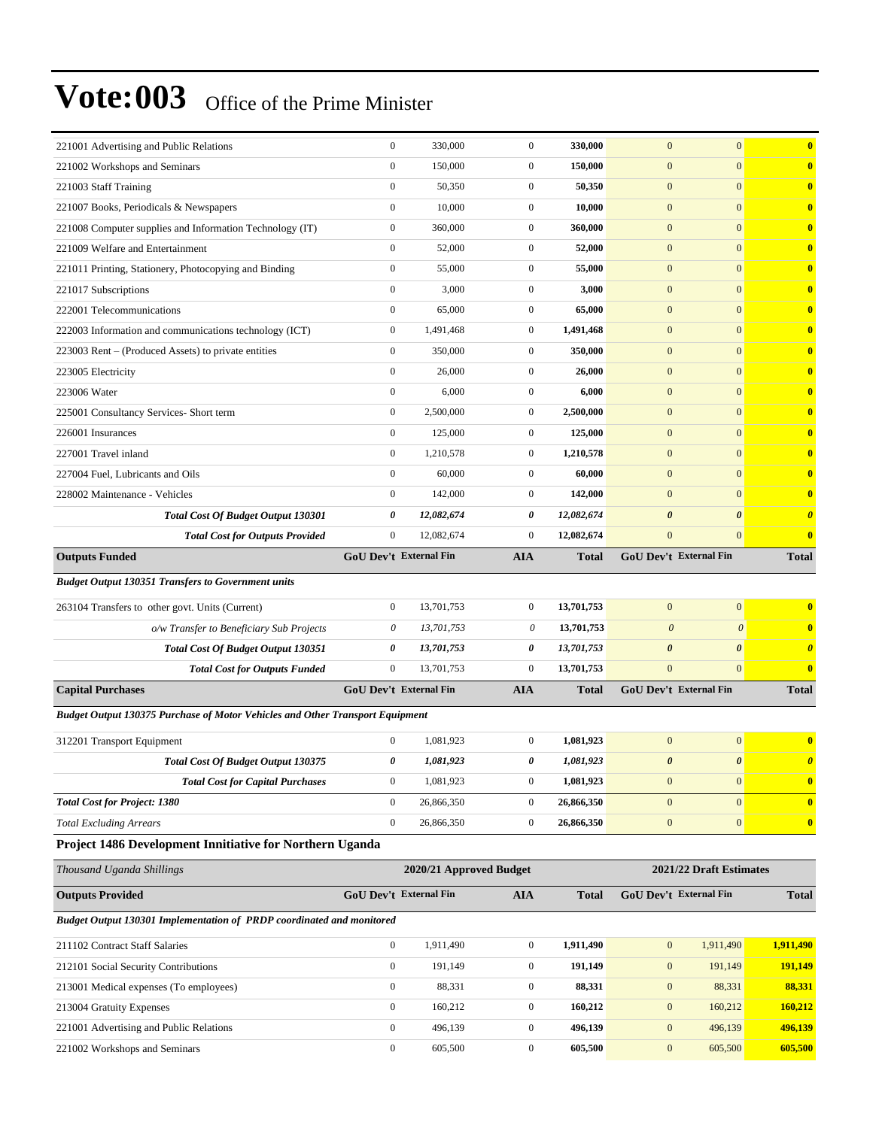| 221001 Advertising and Public Relations                                       | $\boldsymbol{0}$              | 330,000                 | $\mathbf{0}$     | 330,000      | $\mathbf{0}$          | $\mathbf{0}$                  | $\bf{0}$                      |
|-------------------------------------------------------------------------------|-------------------------------|-------------------------|------------------|--------------|-----------------------|-------------------------------|-------------------------------|
| 221002 Workshops and Seminars                                                 | $\boldsymbol{0}$              | 150,000                 | $\mathbf{0}$     | 150,000      | $\mathbf{0}$          | $\mathbf{0}$                  | $\mathbf{0}$                  |
| 221003 Staff Training                                                         | $\boldsymbol{0}$              | 50,350                  | $\boldsymbol{0}$ | 50,350       | $\boldsymbol{0}$      | $\mathbf{0}$                  | $\bf{0}$                      |
| 221007 Books, Periodicals & Newspapers                                        | $\boldsymbol{0}$              | 10,000                  | $\boldsymbol{0}$ | 10,000       | $\boldsymbol{0}$      | $\mathbf{0}$                  | $\mathbf{0}$                  |
| 221008 Computer supplies and Information Technology (IT)                      | $\boldsymbol{0}$              | 360,000                 | $\boldsymbol{0}$ | 360,000      | $\mathbf{0}$          | $\mathbf{0}$                  | $\mathbf{0}$                  |
| 221009 Welfare and Entertainment                                              | $\boldsymbol{0}$              | 52,000                  | $\boldsymbol{0}$ | 52,000       | $\mathbf{0}$          | $\mathbf{0}$                  | $\mathbf{0}$                  |
| 221011 Printing, Stationery, Photocopying and Binding                         | $\boldsymbol{0}$              | 55,000                  | $\boldsymbol{0}$ | 55,000       | $\mathbf{0}$          | $\mathbf{0}$                  | $\mathbf{0}$                  |
| 221017 Subscriptions                                                          | $\boldsymbol{0}$              | 3,000                   | $\boldsymbol{0}$ | 3,000        | $\boldsymbol{0}$      | $\mathbf{0}$                  | $\bf{0}$                      |
| 222001 Telecommunications                                                     | $\boldsymbol{0}$              | 65,000                  | $\boldsymbol{0}$ | 65,000       | $\boldsymbol{0}$      | $\mathbf{0}$                  | $\mathbf{0}$                  |
| 222003 Information and communications technology (ICT)                        | $\boldsymbol{0}$              | 1,491,468               | $\boldsymbol{0}$ | 1,491,468    | $\mathbf{0}$          | $\mathbf{0}$                  | $\mathbf{0}$                  |
| 223003 Rent – (Produced Assets) to private entities                           | $\boldsymbol{0}$              | 350,000                 | $\boldsymbol{0}$ | 350,000      | $\mathbf{0}$          | $\mathbf{0}$                  | $\mathbf{0}$                  |
| 223005 Electricity                                                            | $\boldsymbol{0}$              | 26,000                  | $\boldsymbol{0}$ | 26,000       | $\mathbf{0}$          | $\mathbf{0}$                  | $\mathbf{0}$                  |
| 223006 Water                                                                  | $\boldsymbol{0}$              | 6,000                   | $\boldsymbol{0}$ | 6,000        | $\boldsymbol{0}$      | $\mathbf{0}$                  | $\bf{0}$                      |
| 225001 Consultancy Services- Short term                                       | $\boldsymbol{0}$              | 2,500,000               | $\boldsymbol{0}$ | 2,500,000    | $\boldsymbol{0}$      | $\mathbf{0}$                  | $\mathbf{0}$                  |
| 226001 Insurances                                                             | $\mathbf{0}$                  | 125,000                 | $\boldsymbol{0}$ | 125,000      | $\mathbf{0}$          | $\mathbf{0}$                  | $\mathbf{0}$                  |
| 227001 Travel inland                                                          | $\boldsymbol{0}$              | 1,210,578               | $\boldsymbol{0}$ | 1,210,578    | $\mathbf{0}$          | $\mathbf{0}$                  | $\mathbf{0}$                  |
| 227004 Fuel, Lubricants and Oils                                              | $\boldsymbol{0}$              | 60,000                  | $\boldsymbol{0}$ | 60,000       | $\mathbf{0}$          | $\mathbf{0}$                  | $\mathbf{0}$                  |
| 228002 Maintenance - Vehicles                                                 | $\mathbf{0}$                  | 142,000                 | $\boldsymbol{0}$ | 142,000      | $\boldsymbol{0}$      | $\mathbf{0}$                  | $\bf{0}$                      |
| <b>Total Cost Of Budget Output 130301</b>                                     | 0                             | 12,082,674              | 0                | 12,082,674   | $\boldsymbol{\theta}$ | $\boldsymbol{\theta}$         | $\boldsymbol{\theta}$         |
| <b>Total Cost for Outputs Provided</b>                                        | $\mathbf{0}$                  | 12,082,674              | $\boldsymbol{0}$ | 12,082,674   | $\mathbf{0}$          | $\mathbf{0}$                  | $\mathbf{0}$                  |
| <b>Outputs Funded</b>                                                         | GoU Dev't External Fin        |                         | <b>AIA</b>       | <b>Total</b> |                       | GoU Dev't External Fin        | <b>Total</b>                  |
| <b>Budget Output 130351 Transfers to Government units</b>                     |                               |                         |                  |              |                       |                               |                               |
| 263104 Transfers to other govt. Units (Current)                               | $\mathbf{0}$                  | 13,701,753              | $\boldsymbol{0}$ | 13,701,753   | $\mathbf{0}$          | $\mathbf{0}$                  | $\mathbf{0}$                  |
| o/w Transfer to Beneficiary Sub Projects                                      | $\theta$                      | 13,701,753              | 0                | 13,701,753   | $\mathcal{O}$         | $\boldsymbol{\theta}$         | $\mathbf{0}$                  |
| Total Cost Of Budget Output 130351                                            | 0                             | 13,701,753              | 0                | 13,701,753   | $\boldsymbol{\theta}$ | $\boldsymbol{\theta}$         | $\boldsymbol{\theta}$         |
| <b>Total Cost for Outputs Funded</b>                                          | $\mathbf{0}$                  | 13,701,753              | $\boldsymbol{0}$ | 13,701,753   | $\mathbf{0}$          | $\mathbf{0}$                  | $\bf{0}$                      |
| <b>Capital Purchases</b>                                                      | <b>GoU Dev't External Fin</b> |                         | <b>AIA</b>       | Total        |                       | <b>GoU Dev't External Fin</b> | <b>Total</b>                  |
| Budget Output 130375 Purchase of Motor Vehicles and Other Transport Equipment |                               |                         |                  |              |                       |                               |                               |
|                                                                               |                               |                         |                  |              |                       |                               |                               |
| 312201 Transport Equipment                                                    | $\boldsymbol{0}$              | 1,081,923               | $\boldsymbol{0}$ | 1,081,923    | $\mathbf{0}$          | $\mathbf{0}$                  | $\bf{0}$                      |
| Total Cost Of Budget Output 130375                                            | 0                             | 1,081,923               | 0                | 1,081,923    | $\boldsymbol{\theta}$ | $\boldsymbol{\theta}$         | $\boldsymbol{\theta}$         |
| <b>Total Cost for Capital Purchases</b>                                       | $\boldsymbol{0}$              | 1,081,923               | $\boldsymbol{0}$ | 1,081,923    | $\boldsymbol{0}$      | $\boldsymbol{0}$              | $\mathbf{0}$                  |
| <b>Total Cost for Project: 1380</b>                                           | $\boldsymbol{0}$              | 26,866,350              | $\boldsymbol{0}$ | 26,866,350   | $\mathbf{0}$          | $\mathbf{0}$                  | $\bf{0}$                      |
| <b>Total Excluding Arrears</b>                                                | $\boldsymbol{0}$              | 26,866,350              | $\boldsymbol{0}$ | 26,866,350   | $\boldsymbol{0}$      | $\mathbf{0}$                  | $\mathbf{0}$                  |
| Project 1486 Development Innitiative for Northern Uganda                      |                               |                         |                  |              |                       |                               |                               |
| Thousand Uganda Shillings                                                     |                               | 2020/21 Approved Budget |                  |              |                       | 2021/22 Draft Estimates       |                               |
| <b>Outputs Provided</b>                                                       | <b>GoU Dev't External Fin</b> |                         | <b>AIA</b>       | <b>Total</b> |                       | GoU Dev't External Fin        | <b>Total</b>                  |
| <b>Budget Output 130301 Implementation of PRDP coordinated and monitored</b>  |                               |                         |                  |              |                       |                               |                               |
| 211102 Contract Staff Salaries                                                | $\boldsymbol{0}$              | 1,911,490               | $\boldsymbol{0}$ | 1,911,490    | $\boldsymbol{0}$      | 1,911,490                     | 1,911,490                     |
| 212101 Social Security Contributions                                          | $\boldsymbol{0}$              | 191,149                 | $\boldsymbol{0}$ | 191,149      | $\mathbf{0}$          | 191,149                       | 191,149                       |
| 213001 Medical expenses (To employees)                                        | $\boldsymbol{0}$              | 88,331                  | $\boldsymbol{0}$ | 88,331       | $\boldsymbol{0}$      | 88,331                        | 88,331                        |
| 213004 Gratuity Expenses                                                      |                               |                         |                  |              |                       |                               |                               |
|                                                                               | $\mathbf{0}$                  | 160,212                 | $\boldsymbol{0}$ | 160,212      | $\boldsymbol{0}$      | 160,212                       |                               |
| 221001 Advertising and Public Relations                                       | $\mathbf{0}$                  | 496,139                 | $\boldsymbol{0}$ | 496,139      | $\boldsymbol{0}$      | 496,139                       |                               |
| 221002 Workshops and Seminars                                                 | $\boldsymbol{0}$              | 605,500                 | $\boldsymbol{0}$ | 605,500      | $\boldsymbol{0}$      | 605,500                       | 160,212<br>496,139<br>605,500 |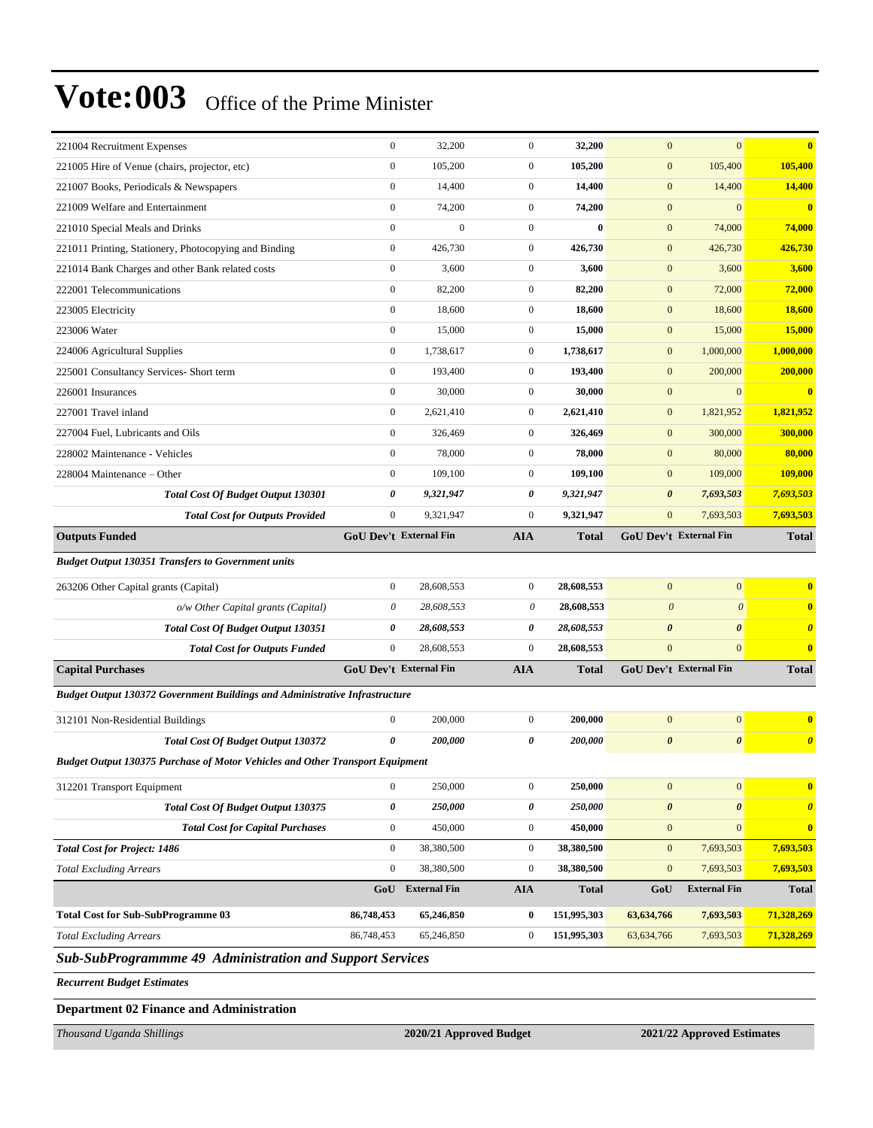| 221004 Recruitment Expenses                                                          | $\boldsymbol{0}$              | 32,200           | $\overline{0}$   | 32,200       | $\mathbf{0}$          | $\mathbf{0}$                  | $\bf{0}$              |
|--------------------------------------------------------------------------------------|-------------------------------|------------------|------------------|--------------|-----------------------|-------------------------------|-----------------------|
| 221005 Hire of Venue (chairs, projector, etc)                                        | $\boldsymbol{0}$              | 105,200          | $\boldsymbol{0}$ | 105,200      | $\boldsymbol{0}$      | 105,400                       | 105,400               |
| 221007 Books, Periodicals & Newspapers                                               | $\boldsymbol{0}$              | 14,400           | $\boldsymbol{0}$ | 14,400       | $\boldsymbol{0}$      | 14,400                        | 14,400                |
| 221009 Welfare and Entertainment                                                     | $\mathbf{0}$                  | 74,200           | $\boldsymbol{0}$ | 74,200       | $\boldsymbol{0}$      | $\mathbf{0}$                  | $\bf{0}$              |
| 221010 Special Meals and Drinks                                                      | $\boldsymbol{0}$              | $\overline{0}$   | $\boldsymbol{0}$ | $\bf{0}$     | $\boldsymbol{0}$      | 74,000                        | 74,000                |
| 221011 Printing, Stationery, Photocopying and Binding                                | $\boldsymbol{0}$              | 426,730          | $\boldsymbol{0}$ | 426,730      | $\boldsymbol{0}$      | 426,730                       | 426,730               |
| 221014 Bank Charges and other Bank related costs                                     | $\boldsymbol{0}$              | 3,600            | $\boldsymbol{0}$ | 3,600        | $\boldsymbol{0}$      | 3,600                         | 3,600                 |
| 222001 Telecommunications                                                            | $\boldsymbol{0}$              | 82,200           | $\boldsymbol{0}$ | 82,200       | $\boldsymbol{0}$      | 72,000                        | 72,000                |
| 223005 Electricity                                                                   | $\boldsymbol{0}$              | 18,600           | $\boldsymbol{0}$ | 18,600       | $\boldsymbol{0}$      | 18,600                        | 18,600                |
| 223006 Water                                                                         | $\mathbf{0}$                  | 15,000           | $\boldsymbol{0}$ | 15,000       | $\mathbf{0}$          | 15,000                        | 15,000                |
| 224006 Agricultural Supplies                                                         | $\mathbf{0}$                  | 1,738,617        | $\overline{0}$   | 1,738,617    | $\mathbf{0}$          | 1,000,000                     | 1,000,000             |
| 225001 Consultancy Services- Short term                                              | $\boldsymbol{0}$              | 193,400          | $\boldsymbol{0}$ | 193,400      | $\mathbf{0}$          | 200,000                       | 200,000               |
| 226001 Insurances                                                                    | $\boldsymbol{0}$              | 30,000           | $\boldsymbol{0}$ | 30,000       | $\mathbf{0}$          | $\mathbf{0}$                  | $\bf{0}$              |
| 227001 Travel inland                                                                 | $\mathbf{0}$                  | 2,621,410        | $\boldsymbol{0}$ | 2,621,410    | $\mathbf{0}$          | 1,821,952                     | 1,821,952             |
| 227004 Fuel, Lubricants and Oils                                                     | $\mathbf{0}$                  | 326,469          | $\boldsymbol{0}$ | 326,469      | $\mathbf{0}$          | 300,000                       | 300,000               |
| 228002 Maintenance - Vehicles                                                        | $\mathbf{0}$                  | 78,000           | $\boldsymbol{0}$ | 78,000       | $\mathbf{0}$          | 80,000                        | 80,000                |
| 228004 Maintenance - Other                                                           | $\boldsymbol{0}$              | 109,100          | $\boldsymbol{0}$ | 109,100      | $\mathbf{0}$          | 109,000                       | 109,000               |
| <b>Total Cost Of Budget Output 130301</b>                                            | 0                             | 9,321,947        | 0                | 9,321,947    | $\boldsymbol{\theta}$ | 7,693,503                     | 7,693,503             |
| <b>Total Cost for Outputs Provided</b>                                               | $\mathbf{0}$                  | 9,321,947        | $\overline{0}$   | 9,321,947    | $\mathbf{0}$          | 7,693,503                     | 7,693,503             |
| <b>Outputs Funded</b>                                                                | GoU Dev't External Fin        |                  | <b>AIA</b>       | Total        |                       | <b>GoU Dev't External Fin</b> | <b>Total</b>          |
| <b>Budget Output 130351 Transfers to Government units</b>                            |                               |                  |                  |              |                       |                               |                       |
| 263206 Other Capital grants (Capital)                                                | $\mathbf{0}$                  | 28,608,553       | $\overline{0}$   | 28,608,553   | $\mathbf{0}$          | $\mathbf{0}$                  | $\bf{0}$              |
| o/w Other Capital grants (Capital)                                                   | $\boldsymbol{\theta}$         | 28,608,553       | 0                | 28,608,553   | $\boldsymbol{\theta}$ | $\boldsymbol{\theta}$         | $\bf{0}$              |
| <b>Total Cost Of Budget Output 130351</b>                                            | 0                             | 28,608,553       | 0                | 28,608,553   | $\boldsymbol{\theta}$ | $\boldsymbol{\theta}$         | $\boldsymbol{\theta}$ |
| <b>Total Cost for Outputs Funded</b>                                                 | $\mathbf{0}$                  | 28,608,553       | $\overline{0}$   | 28,608,553   | $\mathbf{0}$          | $\mathbf{0}$                  | $\bf{0}$              |
| <b>Capital Purchases</b>                                                             | <b>GoU Dev't External Fin</b> |                  | <b>AIA</b>       | <b>Total</b> |                       | <b>GoU Dev't External Fin</b> | <b>Total</b>          |
| <b>Budget Output 130372 Government Buildings and Administrative Infrastructure</b>   |                               |                  |                  |              |                       |                               |                       |
| 312101 Non-Residential Buildings                                                     | $\boldsymbol{0}$              | 200,000          | $\mathbf{0}$     | 200,000      | $\mathbf{0}$          | $\mathbf{0}$                  | $\mathbf{0}$          |
| <b>Total Cost Of Budget Output 130372</b>                                            | 0                             | 200,000          | 0                | 200,000      | $\boldsymbol{\theta}$ | $\boldsymbol{\theta}$         | $\boldsymbol{\theta}$ |
| <b>Budget Output 130375 Purchase of Motor Vehicles and Other Transport Equipment</b> |                               |                  |                  |              |                       |                               |                       |
|                                                                                      |                               |                  |                  |              |                       |                               |                       |
| 312201 Transport Equipment                                                           | $\boldsymbol{0}$              | 250,000          | $\boldsymbol{0}$ | 250,000      | $\mathbf{0}$          | $\mathbf{0}$                  | $\bf{0}$              |
| <b>Total Cost Of Budget Output 130375</b>                                            | 0                             | 250,000          | 0                | 250,000      | $\pmb{\theta}$        | $\pmb{\theta}$                | $\boldsymbol{\theta}$ |
| <b>Total Cost for Capital Purchases</b>                                              | $\boldsymbol{0}$              | 450,000          | $\boldsymbol{0}$ | 450,000      | $\boldsymbol{0}$      | $\mathbf{0}$                  | $\bf{0}$              |
| <b>Total Cost for Project: 1486</b>                                                  | $\boldsymbol{0}$              | 38,380,500       | $\boldsymbol{0}$ | 38,380,500   | $\mathbf{0}$          | 7,693,503                     | 7,693,503             |
| <b>Total Excluding Arrears</b>                                                       | $\mathbf{0}$                  | 38,380,500       | $\boldsymbol{0}$ | 38,380,500   | $\mathbf{0}$          | 7,693,503                     | 7,693,503             |
|                                                                                      |                               | GoU External Fin | <b>AIA</b>       | <b>Total</b> | GoU                   | <b>External Fin</b>           | <b>Total</b>          |
| <b>Total Cost for Sub-SubProgramme 03</b>                                            | 86,748,453                    | 65,246,850       | $\bf{0}$         | 151,995,303  | 63,634,766            | 7,693,503                     | 71,328,269            |
| <b>Total Excluding Arrears</b>                                                       | 86,748,453                    | 65,246,850       | $\boldsymbol{0}$ | 151,995,303  | 63, 634, 766          | 7,693,503                     | 71,328,269            |
| Sub-SubProgrammme 49 Administration and Support Services                             |                               |                  |                  |              |                       |                               |                       |
| <b>Recurrent Budget Estimates</b>                                                    |                               |                  |                  |              |                       |                               |                       |
|                                                                                      |                               |                  |                  |              |                       |                               |                       |

*Thousand Uganda Shillings* **2020/21 Approved Budget 2021/22 Approved Estimates**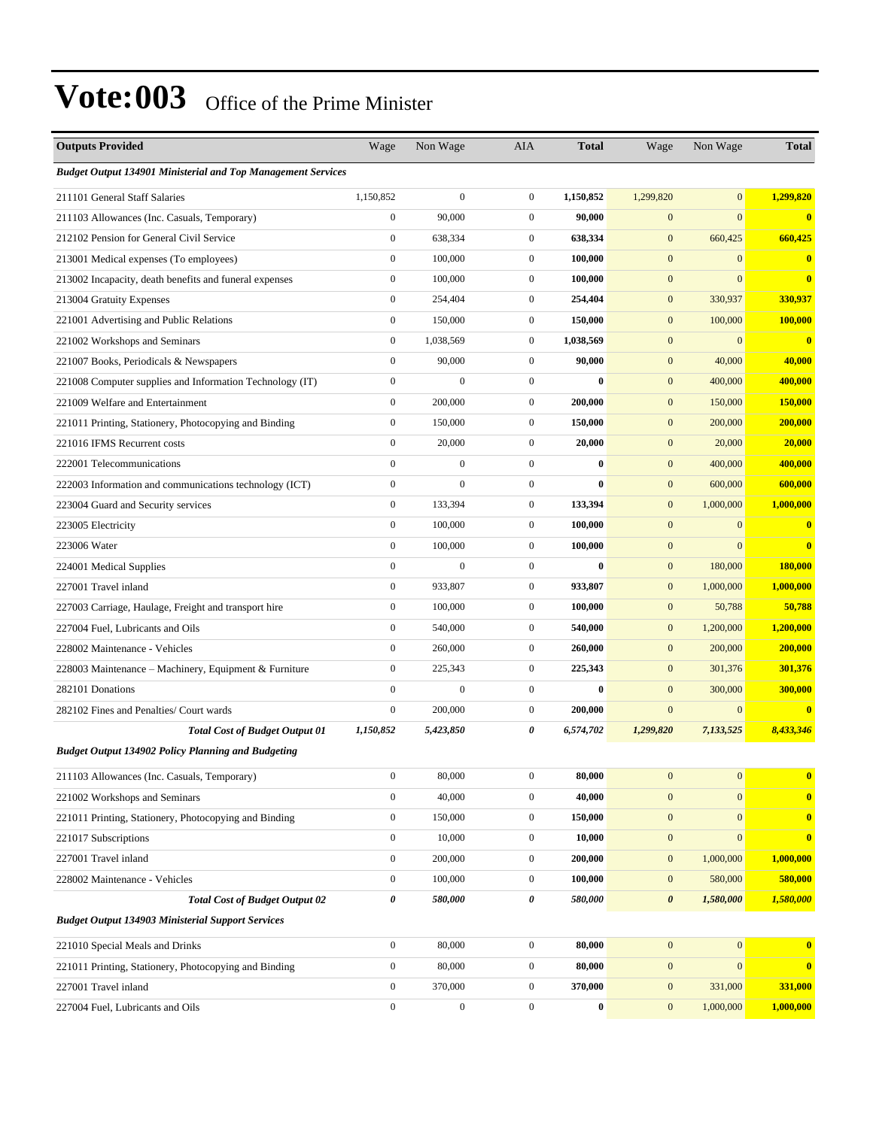| <b>Outputs Provided</b>                                             | Wage             | Non Wage         | AIA              | <b>Total</b> | Wage                  | Non Wage         | <b>Total</b>            |
|---------------------------------------------------------------------|------------------|------------------|------------------|--------------|-----------------------|------------------|-------------------------|
| <b>Budget Output 134901 Ministerial and Top Management Services</b> |                  |                  |                  |              |                       |                  |                         |
| 211101 General Staff Salaries                                       | 1,150,852        | $\boldsymbol{0}$ | $\mathbf{0}$     | 1,150,852    | 1,299,820             | $\mathbf{0}$     | 1,299,820               |
| 211103 Allowances (Inc. Casuals, Temporary)                         | $\boldsymbol{0}$ | 90,000           | $\boldsymbol{0}$ | 90,000       | $\mathbf{0}$          | $\mathbf{0}$     | $\bf{0}$                |
| 212102 Pension for General Civil Service                            | $\boldsymbol{0}$ | 638,334          | $\mathbf{0}$     | 638,334      | $\mathbf{0}$          | 660,425          | 660,425                 |
| 213001 Medical expenses (To employees)                              | $\boldsymbol{0}$ | 100,000          | $\mathbf{0}$     | 100,000      | $\mathbf{0}$          | $\mathbf{0}$     | $\bf{0}$                |
| 213002 Incapacity, death benefits and funeral expenses              | $\boldsymbol{0}$ | 100,000          | $\mathbf{0}$     | 100,000      | $\boldsymbol{0}$      | $\mathbf{0}$     | $\overline{\mathbf{0}}$ |
| 213004 Gratuity Expenses                                            | $\boldsymbol{0}$ | 254,404          | $\mathbf{0}$     | 254,404      | $\mathbf{0}$          | 330,937          | 330,937                 |
| 221001 Advertising and Public Relations                             | $\boldsymbol{0}$ | 150,000          | $\boldsymbol{0}$ | 150,000      | $\mathbf{0}$          | 100,000          | 100,000                 |
| 221002 Workshops and Seminars                                       | $\boldsymbol{0}$ | 1,038,569        | $\mathbf{0}$     | 1,038,569    | $\mathbf{0}$          | $\mathbf{0}$     | $\mathbf{0}$            |
| 221007 Books, Periodicals & Newspapers                              | $\boldsymbol{0}$ | 90,000           | $\mathbf{0}$     | 90,000       | $\mathbf{0}$          | 40,000           | 40,000                  |
| 221008 Computer supplies and Information Technology (IT)            | $\boldsymbol{0}$ | $\mathbf{0}$     | $\boldsymbol{0}$ | $\bf{0}$     | $\boldsymbol{0}$      | 400,000          | 400,000                 |
| 221009 Welfare and Entertainment                                    | $\boldsymbol{0}$ | 200,000          | $\mathbf{0}$     | 200,000      | $\mathbf{0}$          | 150,000          | 150,000                 |
| 221011 Printing, Stationery, Photocopying and Binding               | $\boldsymbol{0}$ | 150,000          | $\boldsymbol{0}$ | 150,000      | $\mathbf{0}$          | 200,000          | 200,000                 |
| 221016 IFMS Recurrent costs                                         | $\boldsymbol{0}$ | 20,000           | $\mathbf{0}$     | 20,000       | $\mathbf{0}$          | 20,000           | 20,000                  |
| 222001 Telecommunications                                           | $\boldsymbol{0}$ | $\boldsymbol{0}$ | $\boldsymbol{0}$ | $\bf{0}$     | $\mathbf{0}$          | 400,000          | 400,000                 |
| 222003 Information and communications technology (ICT)              | $\boldsymbol{0}$ | $\mathbf{0}$     | $\boldsymbol{0}$ | $\bf{0}$     | $\boldsymbol{0}$      | 600,000          | 600,000                 |
| 223004 Guard and Security services                                  | $\boldsymbol{0}$ | 133,394          | $\mathbf{0}$     | 133,394      | $\mathbf{0}$          | 1,000,000        | 1,000,000               |
| 223005 Electricity                                                  | $\boldsymbol{0}$ | 100,000          | $\mathbf{0}$     | 100,000      | $\mathbf{0}$          | $\mathbf{0}$     | $\mathbf{0}$            |
| 223006 Water                                                        | $\boldsymbol{0}$ | 100,000          | $\mathbf{0}$     | 100,000      | $\mathbf{0}$          | $\overline{0}$   | $\bf{0}$                |
| 224001 Medical Supplies                                             | $\boldsymbol{0}$ | $\mathbf{0}$     | $\boldsymbol{0}$ | $\bf{0}$     | $\mathbf{0}$          | 180,000          | 180,000                 |
| 227001 Travel inland                                                | $\boldsymbol{0}$ | 933,807          | $\mathbf{0}$     | 933,807      | $\boldsymbol{0}$      | 1,000,000        | 1,000,000               |
| 227003 Carriage, Haulage, Freight and transport hire                | $\boldsymbol{0}$ | 100,000          | $\mathbf{0}$     | 100,000      | $\mathbf{0}$          | 50,788           | 50,788                  |
| 227004 Fuel, Lubricants and Oils                                    | $\boldsymbol{0}$ | 540,000          | $\mathbf{0}$     | 540,000      | $\mathbf{0}$          | 1,200,000        | 1,200,000               |
| 228002 Maintenance - Vehicles                                       | $\boldsymbol{0}$ | 260,000          | $\mathbf{0}$     | 260,000      | $\mathbf{0}$          | 200,000          | 200,000                 |
| 228003 Maintenance - Machinery, Equipment & Furniture               | $\boldsymbol{0}$ | 225,343          | $\mathbf{0}$     | 225,343      | $\mathbf{0}$          | 301,376          | 301,376                 |
| 282101 Donations                                                    | $\mathbf{0}$     | $\overline{0}$   | $\boldsymbol{0}$ | $\bf{0}$     | $\mathbf{0}$          | 300,000          | 300,000                 |
| 282102 Fines and Penalties/ Court wards                             | $\boldsymbol{0}$ | 200,000          | $\mathbf{0}$     | 200,000      | $\mathbf{0}$          | $\mathbf{0}$     | $\bf{0}$                |
| <b>Total Cost of Budget Output 01</b>                               | 1,150,852        | 5,423,850        | 0                | 6,574,702    | 1,299,820             | 7,133,525        | 8,433,346               |
| <b>Budget Output 134902 Policy Planning and Budgeting</b>           |                  |                  |                  |              |                       |                  |                         |
| 211103 Allowances (Inc. Casuals, Temporary)                         | $\boldsymbol{0}$ | 80,000           | $\boldsymbol{0}$ | 80,000       | $\boldsymbol{0}$      | $\boldsymbol{0}$ | $\bf{0}$                |
| 221002 Workshops and Seminars                                       | $\boldsymbol{0}$ | 40,000           | $\boldsymbol{0}$ | 40,000       | $\mathbf{0}$          | $\boldsymbol{0}$ | $\bf{0}$                |
| 221011 Printing, Stationery, Photocopying and Binding               | $\boldsymbol{0}$ | 150,000          | $\boldsymbol{0}$ | 150,000      | $\boldsymbol{0}$      | $\boldsymbol{0}$ | $\bf{0}$                |
| 221017 Subscriptions                                                | $\boldsymbol{0}$ | 10,000           | $\boldsymbol{0}$ | 10,000       | $\mathbf{0}$          | $\mathbf{0}$     | $\bf{0}$                |
| 227001 Travel inland                                                | $\boldsymbol{0}$ | 200,000          | $\boldsymbol{0}$ | 200,000      | $\mathbf{0}$          | 1,000,000        | 1,000,000               |
| 228002 Maintenance - Vehicles                                       | $\boldsymbol{0}$ | 100,000          | $\boldsymbol{0}$ | 100,000      | $\boldsymbol{0}$      | 580,000          | 580,000                 |
| <b>Total Cost of Budget Output 02</b>                               | 0                | 580,000          | $\pmb{\theta}$   | 580,000      | $\boldsymbol{\theta}$ | 1,580,000        | 1,580,000               |
| <b>Budget Output 134903 Ministerial Support Services</b>            |                  |                  |                  |              |                       |                  |                         |
| 221010 Special Meals and Drinks                                     | $\boldsymbol{0}$ | 80,000           | $\boldsymbol{0}$ | 80,000       | $\mathbf{0}$          | $\mathbf{0}$     | $\mathbf{0}$            |
| 221011 Printing, Stationery, Photocopying and Binding               | $\boldsymbol{0}$ | 80,000           | $\boldsymbol{0}$ | 80,000       | $\mathbf{0}$          | $\mathbf{0}$     | $\bf{0}$                |
| 227001 Travel inland                                                | $\boldsymbol{0}$ | 370,000          | $\boldsymbol{0}$ | 370,000      | $\boldsymbol{0}$      | 331,000          | 331,000                 |
| 227004 Fuel, Lubricants and Oils                                    | $\boldsymbol{0}$ | $\boldsymbol{0}$ | $\boldsymbol{0}$ | $\bf{0}$     | $\boldsymbol{0}$      | 1,000,000        | 1,000,000               |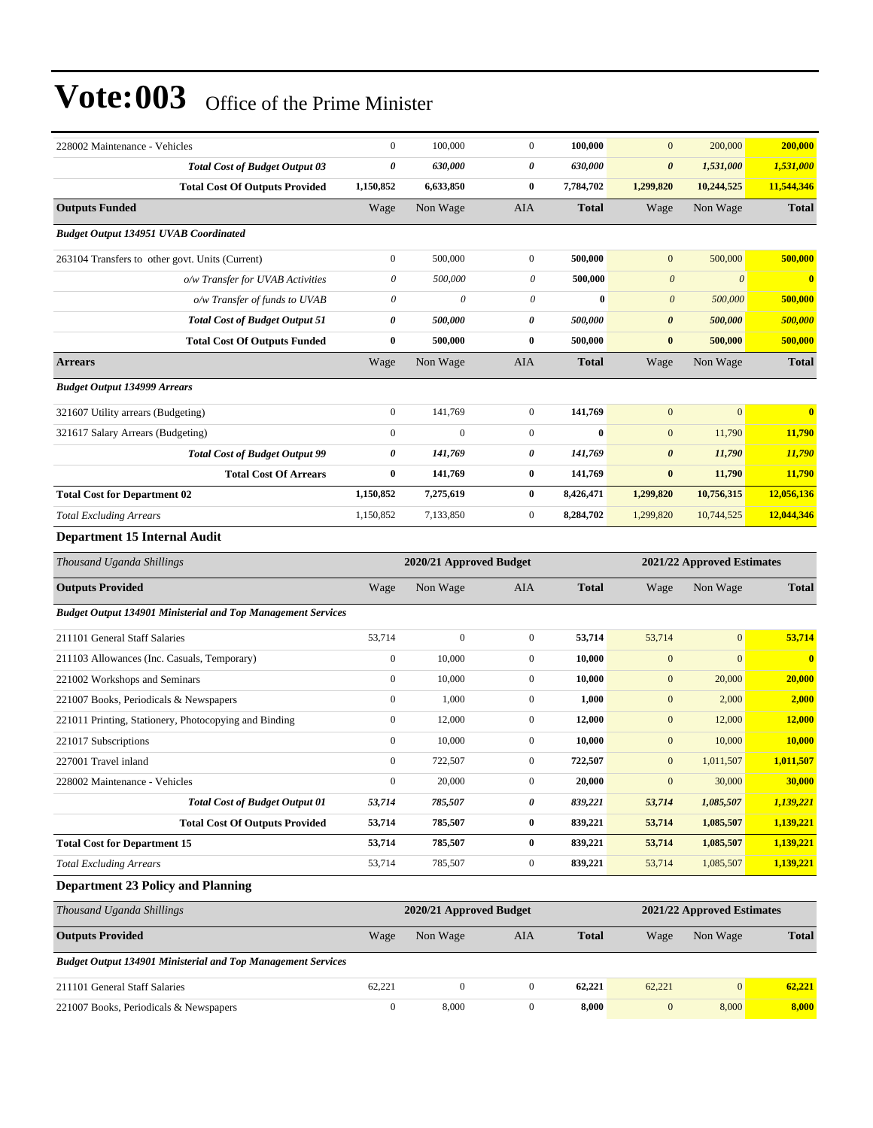| 228002 Maintenance - Vehicles                                       | $\boldsymbol{0}$          | 100,000                 | $\mathbf{0}$     | 100,000      | $\mathbf{0}$          | 200,000                    | 200,000                 |
|---------------------------------------------------------------------|---------------------------|-------------------------|------------------|--------------|-----------------------|----------------------------|-------------------------|
| <b>Total Cost of Budget Output 03</b>                               | 0                         | 630,000                 | 0                | 630,000      | $\boldsymbol{\theta}$ | 1,531,000                  | 1,531,000               |
| <b>Total Cost Of Outputs Provided</b>                               | 1,150,852                 | 6,633,850               | $\bf{0}$         | 7,784,702    | 1,299,820             | 10,244,525                 | 11,544,346              |
| <b>Outputs Funded</b>                                               | Wage                      | Non Wage                | AIA              | <b>Total</b> | Wage                  | Non Wage                   | <b>Total</b>            |
| <b>Budget Output 134951 UVAB Coordinated</b>                        |                           |                         |                  |              |                       |                            |                         |
| 263104 Transfers to other govt. Units (Current)                     | $\boldsymbol{0}$          | 500,000                 | $\boldsymbol{0}$ | 500,000      | $\mathbf{0}$          | 500,000                    | 500,000                 |
| o/w Transfer for UVAB Activities                                    | $\boldsymbol{\mathit{0}}$ | 500,000                 | $\theta$         | 500,000      | $\boldsymbol{\theta}$ | $\boldsymbol{\theta}$      | $\bf{0}$                |
| o/w Transfer of funds to UVAB                                       | 0                         | $\theta$                | 0                | $\bf{0}$     | $\boldsymbol{\theta}$ | 500,000                    | 500,000                 |
| <b>Total Cost of Budget Output 51</b>                               | $\pmb{\theta}$            | 500,000                 | 0                | 500,000      | $\pmb{\theta}$        | 500,000                    | 500,000                 |
| <b>Total Cost Of Outputs Funded</b>                                 | $\bf{0}$                  | 500,000                 | $\bf{0}$         | 500,000      | $\bf{0}$              | 500,000                    | 500,000                 |
| <b>Arrears</b>                                                      | Wage                      | Non Wage                | AIA              | <b>Total</b> | Wage                  | Non Wage                   | <b>Total</b>            |
| <b>Budget Output 134999 Arrears</b>                                 |                           |                         |                  |              |                       |                            |                         |
| 321607 Utility arrears (Budgeting)                                  | $\boldsymbol{0}$          | 141,769                 | $\boldsymbol{0}$ | 141,769      | $\mathbf{0}$          | $\mathbf{0}$               | $\overline{\mathbf{0}}$ |
| 321617 Salary Arrears (Budgeting)                                   | $\boldsymbol{0}$          | $\mathbf{0}$            | $\boldsymbol{0}$ | $\bf{0}$     | $\mathbf{0}$          | 11,790                     | 11,790                  |
| <b>Total Cost of Budget Output 99</b>                               | 0                         | 141,769                 | 0                | 141,769      | $\boldsymbol{\theta}$ | 11,790                     | 11,790                  |
| <b>Total Cost Of Arrears</b>                                        | 0                         | 141,769                 | $\bf{0}$         | 141,769      | $\pmb{0}$             | 11,790                     | 11,790                  |
| <b>Total Cost for Department 02</b>                                 | 1,150,852                 | 7,275,619               | $\bf{0}$         | 8,426,471    | 1,299,820             | 10,756,315                 | 12,056,136              |
| <b>Total Excluding Arrears</b>                                      | 1,150,852                 | 7,133,850               | $\boldsymbol{0}$ | 8,284,702    | 1,299,820             | 10,744,525                 | 12,044,346              |
| Department 15 Internal Audit                                        |                           |                         |                  |              |                       |                            |                         |
| Thousand Uganda Shillings                                           |                           | 2020/21 Approved Budget |                  |              |                       | 2021/22 Approved Estimates |                         |
|                                                                     |                           |                         |                  |              |                       |                            |                         |
| <b>Outputs Provided</b>                                             | Wage                      | Non Wage                | AIA              | <b>Total</b> | Wage                  | Non Wage                   | <b>Total</b>            |
| <b>Budget Output 134901 Ministerial and Top Management Services</b> |                           |                         |                  |              |                       |                            |                         |
| 211101 General Staff Salaries                                       | 53,714                    | $\boldsymbol{0}$        | $\boldsymbol{0}$ | 53,714       | 53,714                | $\mathbf{0}$               | 53,714                  |
| 211103 Allowances (Inc. Casuals, Temporary)                         | $\boldsymbol{0}$          | 10,000                  | $\mathbf{0}$     | 10,000       | $\boldsymbol{0}$      | $\mathbf{0}$               | $\bf{0}$                |
| 221002 Workshops and Seminars                                       | $\boldsymbol{0}$          | 10,000                  | $\boldsymbol{0}$ | 10,000       | $\mathbf{0}$          | 20,000                     | 20,000                  |
| 221007 Books, Periodicals & Newspapers                              | $\boldsymbol{0}$          | 1,000                   | $\boldsymbol{0}$ | 1,000        | $\boldsymbol{0}$      | 2,000                      | 2,000                   |
| 221011 Printing, Stationery, Photocopying and Binding               | $\boldsymbol{0}$          | 12,000                  | $\boldsymbol{0}$ | 12,000       | $\boldsymbol{0}$      | 12,000                     | 12,000                  |
| 221017 Subscriptions                                                | $\boldsymbol{0}$          | 10,000                  | $\boldsymbol{0}$ | 10,000       | $\mathbf{0}$          | 10,000                     | 10,000                  |
| 227001 Travel inland                                                | $\boldsymbol{0}$          | 722,507                 | $\mathbf{0}$     | 722,507      | $\mathbf{0}$          | 1,011,507                  | 1,011,507               |
| 228002 Maintenance - Vehicles                                       | $\boldsymbol{0}$          | 20,000                  | $\boldsymbol{0}$ | 20,000       | $\boldsymbol{0}$      | 30,000                     | 30,000                  |
| <b>Total Cost of Budget Output 01</b>                               | 53,714                    | 785,507                 | 0                | 839,221      | 53,714                | 1,085,507                  | 1,139,221               |
| <b>Total Cost Of Outputs Provided</b>                               | 53,714                    | 785,507                 | $\bf{0}$         | 839,221      | 53,714                | 1,085,507                  | 1,139,221               |
| <b>Total Cost for Department 15</b>                                 | 53,714                    | 785,507                 | $\bf{0}$         | 839,221      | 53,714                | 1,085,507                  | 1,139,221               |
| <b>Total Excluding Arrears</b>                                      | 53,714                    | 785,507                 | $\boldsymbol{0}$ | 839,221      | 53,714                | 1,085,507                  | 1,139,221               |
| <b>Department 23 Policy and Planning</b>                            |                           |                         |                  |              |                       |                            |                         |
| Thousand Uganda Shillings                                           |                           | 2020/21 Approved Budget |                  |              |                       | 2021/22 Approved Estimates |                         |
| <b>Outputs Provided</b>                                             | Wage                      | Non Wage                | AIA              | <b>Total</b> | Wage                  | Non Wage                   | <b>Total</b>            |
| <b>Budget Output 134901 Ministerial and Top Management Services</b> |                           |                         |                  |              |                       |                            |                         |
| 211101 General Staff Salaries                                       | 62,221                    | $\boldsymbol{0}$        | $\boldsymbol{0}$ | 62,221       | 62,221                | $\boldsymbol{0}$           | 62,221                  |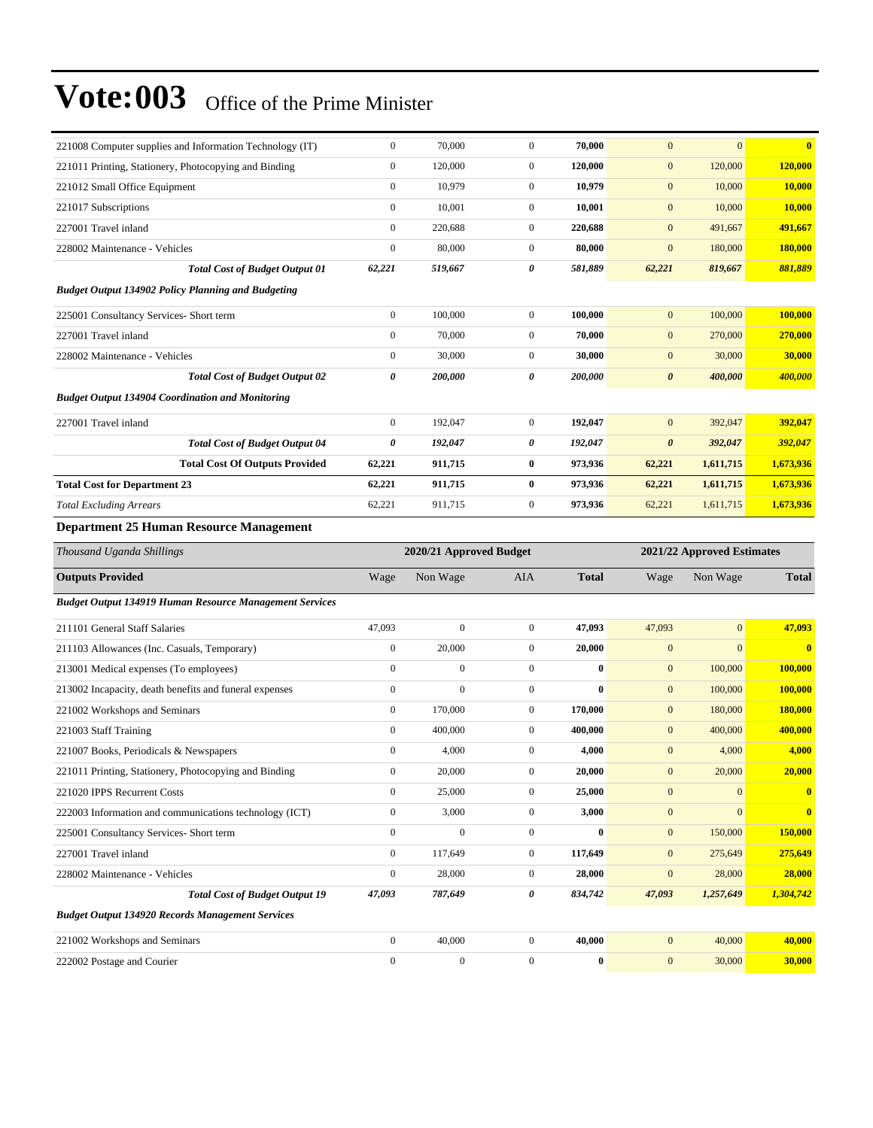| 221008 Computer supplies and Information Technology (IT)       | $\boldsymbol{0}$ | 70,000                  | $\boldsymbol{0}$ | 70,000       | $\mathbf{0}$          | $\mathbf{0}$               | $\bf{0}$                |
|----------------------------------------------------------------|------------------|-------------------------|------------------|--------------|-----------------------|----------------------------|-------------------------|
| 221011 Printing, Stationery, Photocopying and Binding          | $\boldsymbol{0}$ | 120,000                 | $\boldsymbol{0}$ | 120,000      | $\mathbf{0}$          | 120,000                    | 120,000                 |
| 221012 Small Office Equipment                                  | $\mathbf{0}$     | 10,979                  | $\boldsymbol{0}$ | 10,979       | $\mathbf{0}$          | 10,000                     | 10,000                  |
| 221017 Subscriptions                                           | $\boldsymbol{0}$ | 10,001                  | $\boldsymbol{0}$ | 10,001       | $\mathbf{0}$          | 10,000                     | <b>10,000</b>           |
| 227001 Travel inland                                           | $\boldsymbol{0}$ | 220,688                 | $\mathbf{0}$     | 220,688      | $\boldsymbol{0}$      | 491,667                    | 491,667                 |
| 228002 Maintenance - Vehicles                                  | $\boldsymbol{0}$ | 80,000                  | $\boldsymbol{0}$ | 80,000       | $\mathbf{0}$          | 180,000                    | 180,000                 |
| <b>Total Cost of Budget Output 01</b>                          | 62,221           | 519,667                 | 0                | 581,889      | 62,221                | 819,667                    | 881,889                 |
| <b>Budget Output 134902 Policy Planning and Budgeting</b>      |                  |                         |                  |              |                       |                            |                         |
| 225001 Consultancy Services- Short term                        | $\boldsymbol{0}$ | 100,000                 | $\boldsymbol{0}$ | 100,000      | $\mathbf{0}$          | 100,000                    | 100,000                 |
| 227001 Travel inland                                           | $\boldsymbol{0}$ | 70,000                  | $\boldsymbol{0}$ | 70,000       | $\mathbf{0}$          | 270,000                    | 270,000                 |
| 228002 Maintenance - Vehicles                                  | $\mathbf{0}$     | 30,000                  | $\boldsymbol{0}$ | 30,000       | $\mathbf{0}$          | 30,000                     | 30,000                  |
| <b>Total Cost of Budget Output 02</b>                          | 0                | 200,000                 | 0                | 200,000      | $\boldsymbol{\theta}$ | 400,000                    | 400,000                 |
| <b>Budget Output 134904 Coordination and Monitoring</b>        |                  |                         |                  |              |                       |                            |                         |
| 227001 Travel inland                                           | $\boldsymbol{0}$ | 192,047                 | $\boldsymbol{0}$ | 192,047      | $\mathbf{0}$          | 392,047                    | 392,047                 |
| <b>Total Cost of Budget Output 04</b>                          | $\pmb{\theta}$   | 192,047                 | 0                | 192,047      | $\pmb{\theta}$        | 392,047                    | 392,047                 |
| <b>Total Cost Of Outputs Provided</b>                          | 62,221           | 911,715                 | 0                | 973,936      | 62,221                | 1,611,715                  | 1,673,936               |
| <b>Total Cost for Department 23</b>                            | 62,221           | 911,715                 | 0                | 973,936      | 62,221                | 1,611,715                  | 1,673,936               |
| <b>Total Excluding Arrears</b>                                 | 62,221           | 911,715                 | $\boldsymbol{0}$ | 973,936      | 62,221                | 1,611,715                  | 1,673,936               |
| <b>Department 25 Human Resource Management</b>                 |                  |                         |                  |              |                       |                            |                         |
|                                                                |                  |                         |                  |              |                       |                            |                         |
| Thousand Uganda Shillings                                      |                  | 2020/21 Approved Budget |                  |              |                       | 2021/22 Approved Estimates |                         |
| <b>Outputs Provided</b>                                        | Wage             | Non Wage                | <b>AIA</b>       | <b>Total</b> | Wage                  | Non Wage                   | <b>Total</b>            |
|                                                                |                  |                         |                  |              |                       |                            |                         |
| <b>Budget Output 134919 Human Resource Management Services</b> |                  |                         |                  |              |                       |                            |                         |
| 211101 General Staff Salaries                                  | 47,093           | $\boldsymbol{0}$        | $\mathbf{0}$     | 47,093       | 47,093                | $\mathbf{0}$               | 47,093                  |
| 211103 Allowances (Inc. Casuals, Temporary)                    | $\boldsymbol{0}$ | 20,000                  | $\boldsymbol{0}$ | 20,000       | $\mathbf{0}$          | $\mathbf{0}$               | $\overline{\mathbf{0}}$ |
| 213001 Medical expenses (To employees)                         | $\boldsymbol{0}$ | $\boldsymbol{0}$        | $\boldsymbol{0}$ | $\bf{0}$     | $\mathbf{0}$          | 100,000                    | <b>100,000</b>          |
| 213002 Incapacity, death benefits and funeral expenses         | $\mathbf{0}$     | $\overline{0}$          | $\boldsymbol{0}$ | $\bf{0}$     | $\mathbf{0}$          | 100,000                    | 100,000                 |
| 221002 Workshops and Seminars                                  | $\boldsymbol{0}$ | 170,000                 | $\boldsymbol{0}$ | 170,000      | $\mathbf{0}$          | 180,000                    | 180,000                 |
| 221003 Staff Training                                          | $\boldsymbol{0}$ | 400,000                 | $\mathbf{0}$     | 400,000      | $\mathbf{0}$          | 400,000                    | 400,000                 |
| 221007 Books, Periodicals & Newspapers                         | $\boldsymbol{0}$ | 4,000                   | $\boldsymbol{0}$ | 4,000        | $\mathbf{0}$          | 4,000                      | 4,000                   |
| 221011 Printing, Stationery, Photocopying and Binding          | $\boldsymbol{0}$ | 20,000                  | $\overline{0}$   | 20,000       | $\mathbf{0}$          | 20,000                     | 20,000                  |
| 221020 IPPS Recurrent Costs                                    | $\boldsymbol{0}$ | 25,000                  | $\boldsymbol{0}$ | 25,000       | $\boldsymbol{0}$      | $\mathbf{0}$               | $\bf{0}$                |
| 222003 Information and communications technology (ICT)         | $\boldsymbol{0}$ | 3,000                   | $\boldsymbol{0}$ | 3,000        | $\boldsymbol{0}$      | $\mathbf{0}$               | $\bf{0}$                |
| 225001 Consultancy Services- Short term                        | $\boldsymbol{0}$ | $\boldsymbol{0}$        | $\boldsymbol{0}$ | $\bf{0}$     | $\mathbf{0}$          | 150,000                    | 150,000                 |
| 227001 Travel inland                                           | $\boldsymbol{0}$ | 117,649                 | $\boldsymbol{0}$ | 117,649      | $\mathbf{0}$          | 275,649                    | 275,649                 |
| 228002 Maintenance - Vehicles                                  | $\boldsymbol{0}$ | 28,000                  | $\boldsymbol{0}$ | 28,000       | $\mathbf{0}$          | 28,000                     | 28,000                  |
| <b>Total Cost of Budget Output 19</b>                          | 47,093           | 787,649                 | 0                | 834,742      | 47,093                | 1,257,649                  | 1,304,742               |
| <b>Budget Output 134920 Records Management Services</b>        |                  |                         |                  |              |                       |                            |                         |
| 221002 Workshops and Seminars                                  | $\boldsymbol{0}$ | 40,000                  | $\mathbf{0}$     | 40,000       | $\mathbf{0}$          | 40,000                     | 40,000                  |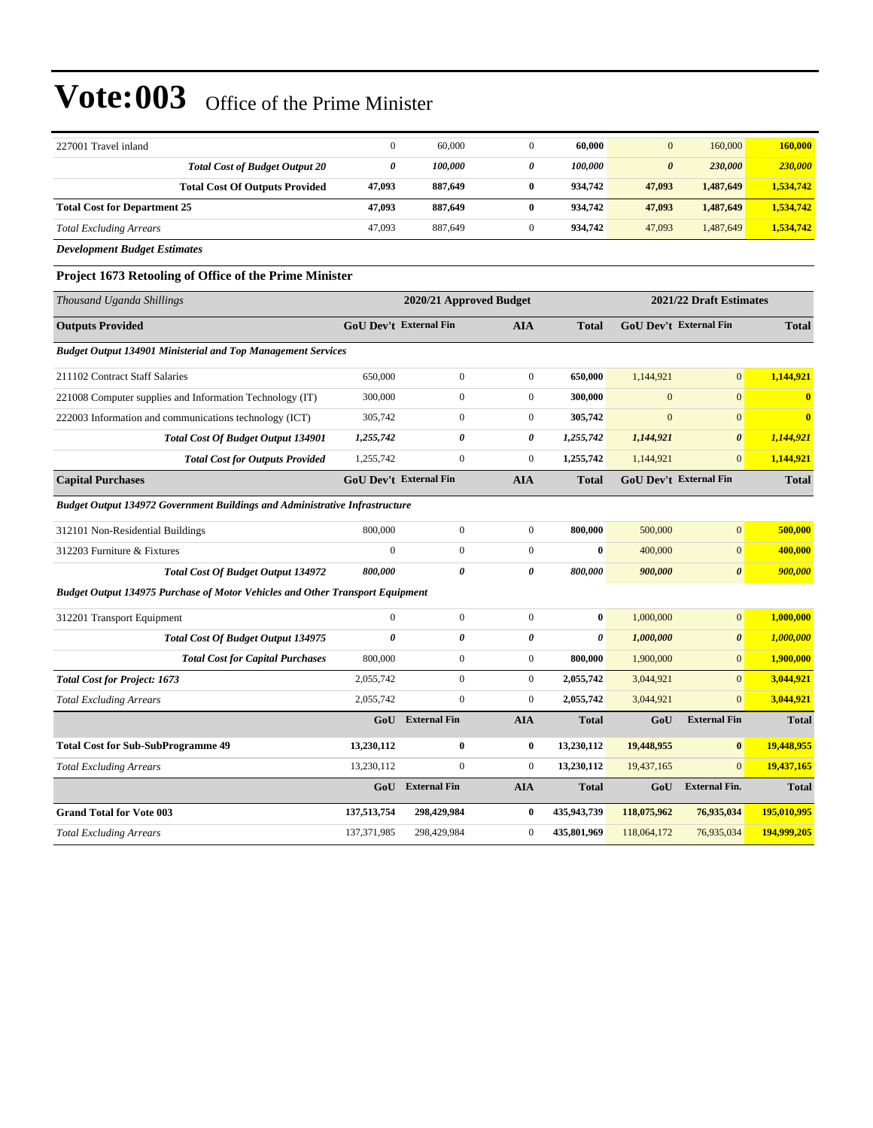| 227001 Travel inland                                                                 | $\mathbf{0}$                  | 60,000                  | $\mathbf{0}$          | 60,000                | $\mathbf{0}$          | 160,000                       | 160,000                 |
|--------------------------------------------------------------------------------------|-------------------------------|-------------------------|-----------------------|-----------------------|-----------------------|-------------------------------|-------------------------|
| <b>Total Cost of Budget Output 20</b>                                                | $\boldsymbol{\theta}$         | 100,000                 | 0                     | 100,000               | $\boldsymbol{\theta}$ | 230,000                       | 230,000                 |
| <b>Total Cost Of Outputs Provided</b>                                                | 47,093                        | 887,649                 | $\bf{0}$              | 934,742               | 47,093                | 1,487,649                     | 1,534,742               |
| <b>Total Cost for Department 25</b>                                                  | 47,093                        | 887,649                 | $\bf{0}$              | 934,742               | 47,093                | 1,487,649                     | 1,534,742               |
| <b>Total Excluding Arrears</b>                                                       | 47,093                        | 887,649                 | $\overline{0}$        | 934,742               | 47,093                | 1,487,649                     | 1,534,742               |
| <b>Development Budget Estimates</b>                                                  |                               |                         |                       |                       |                       |                               |                         |
| Project 1673 Retooling of Office of the Prime Minister                               |                               |                         |                       |                       |                       |                               |                         |
| Thousand Uganda Shillings                                                            |                               | 2020/21 Approved Budget |                       |                       |                       | 2021/22 Draft Estimates       |                         |
| <b>Outputs Provided</b>                                                              | <b>GoU</b> Dev't External Fin |                         | <b>AIA</b>            | <b>Total</b>          |                       | <b>GoU</b> Dev't External Fin | <b>Total</b>            |
| <b>Budget Output 134901 Ministerial and Top Management Services</b>                  |                               |                         |                       |                       |                       |                               |                         |
| 211102 Contract Staff Salaries                                                       | 650,000                       | $\overline{0}$          | $\mathbf{0}$          | 650,000               | 1,144,921             | $\mathbf{0}$                  | 1.144.921               |
| 221008 Computer supplies and Information Technology (IT)                             | 300,000                       | $\overline{0}$          | $\mathbf{0}$          | 300,000               | $\boldsymbol{0}$      | $\mathbf{0}$                  | $\bf{0}$                |
| 222003 Information and communications technology (ICT)                               | 305,742                       | $\overline{0}$          | $\mathbf{0}$          | 305,742               | $\mathbf{0}$          | $\mathbf{0}$                  | $\overline{\mathbf{0}}$ |
| <b>Total Cost Of Budget Output 134901</b>                                            | 1,255,742                     | $\theta$                | $\boldsymbol{\theta}$ | 1,255,742             | 1,144,921             | $\boldsymbol{\theta}$         | 1,144,921               |
| <b>Total Cost for Outputs Provided</b>                                               | 1,255,742                     | $\overline{0}$          | $\mathbf{0}$          | 1,255,742             | 1,144,921             | $\mathbf{0}$                  | 1,144,921               |
| <b>Capital Purchases</b>                                                             | GoU Dev't External Fin        |                         | <b>AIA</b>            | <b>Total</b>          |                       | GoU Dev't External Fin        | <b>Total</b>            |
| <b>Budget Output 134972 Government Buildings and Administrative Infrastructure</b>   |                               |                         |                       |                       |                       |                               |                         |
| 312101 Non-Residential Buildings                                                     | 800,000                       | $\overline{0}$          | $\mathbf{0}$          | 800,000               | 500,000               | $\mathbf{0}$                  | 500,000                 |
| 312203 Furniture & Fixtures                                                          | $\boldsymbol{0}$              | $\boldsymbol{0}$        | $\boldsymbol{0}$      | $\bf{0}$              | 400,000               | $\boldsymbol{0}$              | 400,000                 |
| <b>Total Cost Of Budget Output 134972</b>                                            | 800,000                       | 0                       | 0                     | 800,000               | 900,000               | $\boldsymbol{\theta}$         | 900,000                 |
| <b>Budget Output 134975 Purchase of Motor Vehicles and Other Transport Equipment</b> |                               |                         |                       |                       |                       |                               |                         |
| 312201 Transport Equipment                                                           | $\Omega$                      | $\boldsymbol{0}$        | $\boldsymbol{0}$      | $\bf{0}$              | 1,000,000             | $\mathbf{0}$                  | 1,000,000               |
| Total Cost Of Budget Output 134975                                                   | $\theta$                      | 0                       | $\pmb{\theta}$        | $\boldsymbol{\theta}$ | 1,000,000             | $\boldsymbol{\theta}$         | 1,000,000               |
| <b>Total Cost for Capital Purchases</b>                                              | 800,000                       | $\boldsymbol{0}$        | $\boldsymbol{0}$      | 800,000               | 1,900,000             | $\mathbf{0}$                  | 1,900,000               |
| <b>Total Cost for Project: 1673</b>                                                  | 2,055,742                     | $\boldsymbol{0}$        | $\boldsymbol{0}$      | 2,055,742             | 3,044,921             | $\overline{0}$                | 3,044,921               |
| <b>Total Excluding Arrears</b>                                                       | 2,055,742                     | $\boldsymbol{0}$        | $\boldsymbol{0}$      | 2,055,742             | 3,044,921             | $\mathbf{0}$                  | 3,044,921               |
|                                                                                      | GoU                           | <b>External Fin</b>     | <b>AIA</b>            | <b>Total</b>          | GoU                   | <b>External Fin</b>           | <b>Total</b>            |
| <b>Total Cost for Sub-SubProgramme 49</b>                                            | 13,230,112                    | $\bf{0}$                | $\bf{0}$              | 13,230,112            | 19,448,955            | $\bf{0}$                      | 19,448,955              |
| <b>Total Excluding Arrears</b>                                                       | 13,230,112                    | $\overline{0}$          | $\boldsymbol{0}$      | 13,230,112            | 19,437,165            | $\mathbf{0}$                  | 19,437,165              |
|                                                                                      | GoU                           | <b>External Fin</b>     | <b>AIA</b>            | <b>Total</b>          | GoU                   | <b>External Fin.</b>          | <b>Total</b>            |
| <b>Grand Total for Vote 003</b>                                                      | 137,513,754                   | 298,429,984             | $\bf{0}$              | 435,943,739           | 118,075,962           | 76,935,034                    | 195,010,995             |
| <b>Total Excluding Arrears</b>                                                       | 137,371,985                   | 298,429,984             | $\boldsymbol{0}$      | 435,801,969           | 118,064,172           | 76,935,034                    | 194,999,205             |